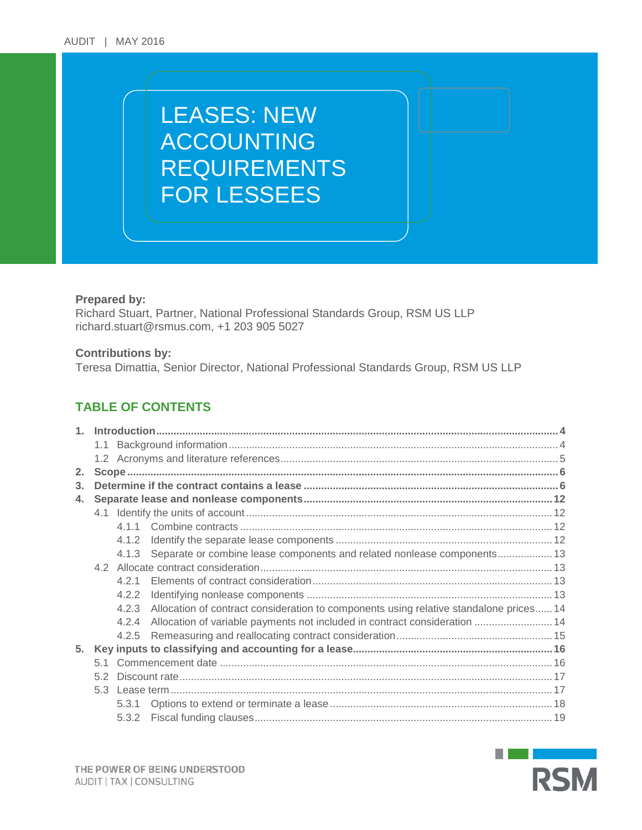# LEASES: NEW ACCOUNTING REQUIREMENTS FOR LESSEES

## **Prepared by:**

Richard Stuart, Partner, National Professional Standards Group, RSM US LLP [richard.stuart@rsmus.com,](mailto:richard.stuart@rsmus.com) +1 203 905 5027

## **Contributions by:**

Teresa Dimattia, Senior Director, National Professional Standards Group, RSM US LLP

## **TABLE OF CONTENTS**

| 1 <sup>1</sup> |     |       |                                                                                        |  |
|----------------|-----|-------|----------------------------------------------------------------------------------------|--|
|                |     |       |                                                                                        |  |
|                |     |       |                                                                                        |  |
| 2.             |     |       |                                                                                        |  |
| 3.             |     |       |                                                                                        |  |
| 4.             |     |       |                                                                                        |  |
|                |     |       |                                                                                        |  |
|                |     | 4 1 1 |                                                                                        |  |
|                |     | 4.1.2 |                                                                                        |  |
|                |     | 4.1.3 | Separate or combine lease components and related nonlease components 13                |  |
|                |     |       |                                                                                        |  |
|                |     | 421   |                                                                                        |  |
|                |     | 4.2.2 |                                                                                        |  |
|                |     | 4.2.3 | Allocation of contract consideration to components using relative standalone prices 14 |  |
|                |     | 4.2.4 | Allocation of variable payments not included in contract consideration  14             |  |
|                |     | 4.2.5 |                                                                                        |  |
| 5.             |     |       |                                                                                        |  |
|                |     |       |                                                                                        |  |
|                | 5.2 |       |                                                                                        |  |
|                | 53  |       |                                                                                        |  |
|                |     | 5.3.1 |                                                                                        |  |
|                |     | 5.3.2 |                                                                                        |  |

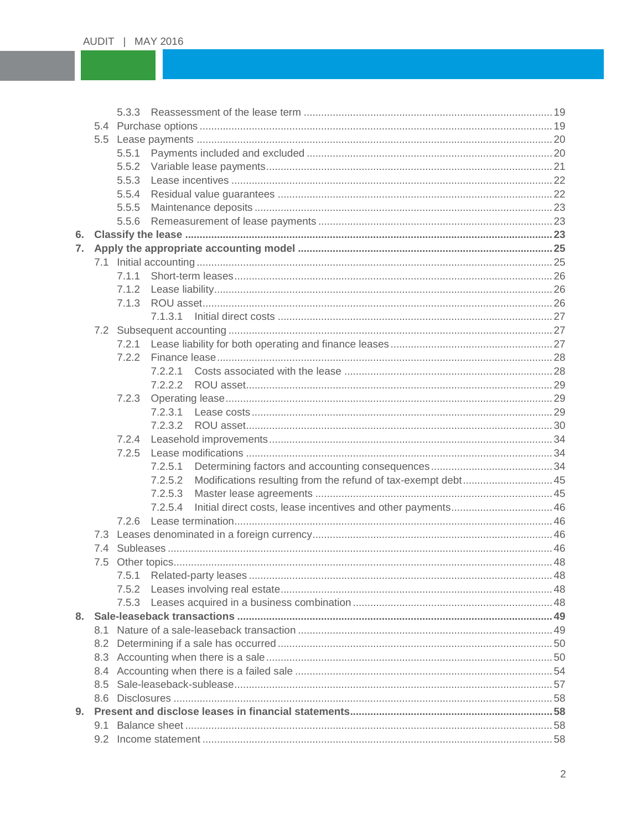|    |     | 5.5.1 |         |                                                               |  |
|----|-----|-------|---------|---------------------------------------------------------------|--|
|    |     |       |         |                                                               |  |
|    |     | 5.5.3 |         |                                                               |  |
|    |     | 5.5.4 |         |                                                               |  |
|    |     | 5.5.5 |         |                                                               |  |
|    |     | 5.5.6 |         |                                                               |  |
| 6. |     |       |         |                                                               |  |
| 7. |     |       |         |                                                               |  |
|    |     |       |         |                                                               |  |
|    |     | 7.1.1 |         |                                                               |  |
|    |     | 7.1.2 |         |                                                               |  |
|    |     | 7.1.3 |         |                                                               |  |
|    |     |       |         |                                                               |  |
|    |     |       |         |                                                               |  |
|    |     |       |         |                                                               |  |
|    |     | 7.2.2 |         |                                                               |  |
|    |     |       | 7.2.2.1 |                                                               |  |
|    |     |       |         |                                                               |  |
|    |     | 7.2.3 |         |                                                               |  |
|    |     |       |         |                                                               |  |
|    |     |       |         |                                                               |  |
|    |     | 7.2.4 |         |                                                               |  |
|    |     | 7.2.5 |         |                                                               |  |
|    |     |       | 7.2.5.1 |                                                               |  |
|    |     |       | 7.2.5.2 | Modifications resulting from the refund of tax-exempt debt 45 |  |
|    |     |       | 7.2.5.3 |                                                               |  |
|    |     |       | 7.2.5.4 |                                                               |  |
|    |     | 7.2.6 |         |                                                               |  |
|    |     |       |         |                                                               |  |
|    |     |       |         |                                                               |  |
|    |     |       |         |                                                               |  |
|    |     |       |         |                                                               |  |
|    |     |       |         |                                                               |  |
|    |     |       |         |                                                               |  |
|    |     |       |         |                                                               |  |
|    | 8.1 |       |         |                                                               |  |
|    |     |       |         |                                                               |  |
|    |     |       |         |                                                               |  |
|    |     |       |         |                                                               |  |
|    | 8.5 |       |         |                                                               |  |
|    |     |       |         |                                                               |  |
| 9. |     |       |         |                                                               |  |
|    |     |       |         |                                                               |  |
|    |     |       |         |                                                               |  |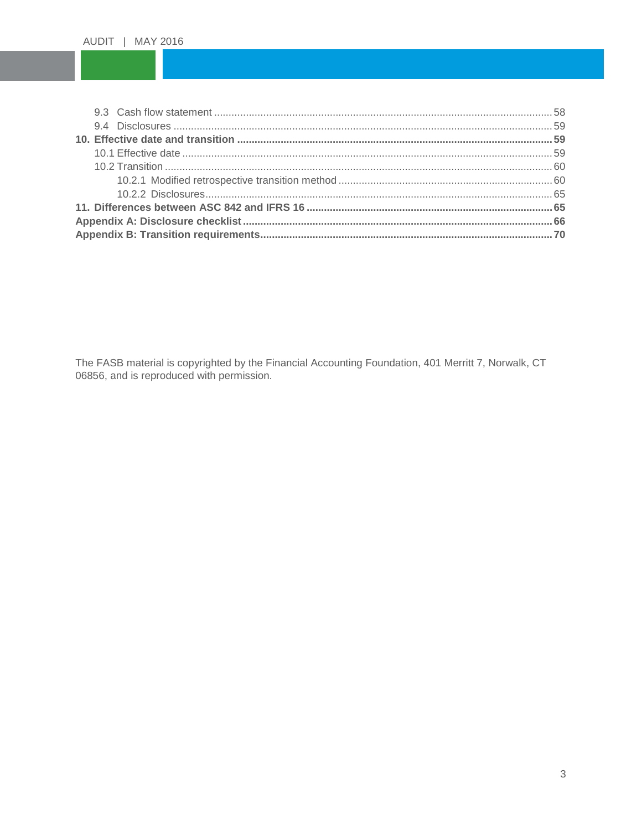The FASB material is copyrighted by the Financial Accounting Foundation, 401 Merritt 7, Norwalk, CT 06856, and is reproduced with permission.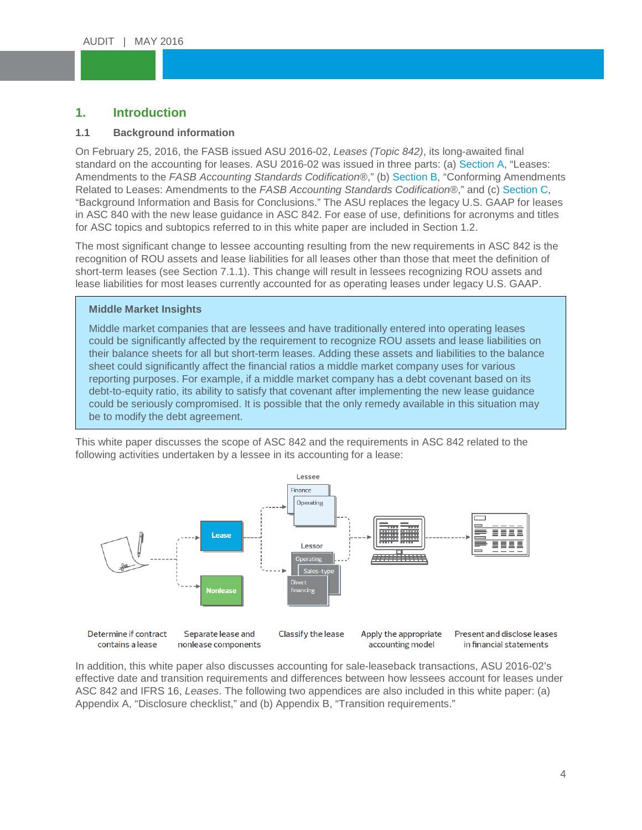#### <span id="page-3-0"></span>Lease in the second second second second second second second second second second second second second second<br>Excel second second second second second second second second second second second second second second second **1. Introduction**

## <span id="page-3-1"></span>**1.1 Background information**

ACCOUNTING On February 25, 2016, the FASB issued ASU 2016-02, *Leases (Topic 842)*, its long-awaited final standard on the accounting for leases. ASU 2016-02 was issued in three parts: (a) [Section A,](http://www.fasb.org/cs/ContentServer?c=Document_C&pagename=FASB%2FDocument_C%2FDocumentPage&cid=1176167901010) "Leases:<br>Amendments to the FASB Accounting Standards Codification®," (b) Section B, "Conforming Amendmer Related to Leases: Amendments to the *FASB Accounting Standards Codification*®," and (c) Section C,<br>"Background Information and Basis for Conclusions." The ASU replaces the legacy U.S. GAAP for leases Amendments to the *FASB Accounting Standards Codification®*," (b) [Section B,](http://www.fasb.org/cs/ContentServer?c=Document_C&pagename=FASB%2FDocument_C%2FDocumentPage&cid=1176167901056) "Conforming Amendments Related to Leases: Amendments to the *FASB Accounting Standards Codification*®," and (c) [Section C,](http://www.fasb.org/cs/ContentServer?c=Document_C&pagename=FASB%2FDocument_C%2FDocumentPage&cid=1176167901087) in ASC 840 with the new lease guidance in ASC 842. For ease of use, definitions for acronyms and titles for ASC topics and subtopics referred to in this white paper are included in Section 1.2.

The most significant change to lessee accounting resulting from the new requirements in ASC 842 is the recognition of ROU assets and lease liabilities for all leases other than those that meet the definition of short-term leases (see Section 7.1.1). This change will result in lessees recognizing ROU assets and lease liabilities for most leases currently accounted for as operating leases under legacy U.S. GAAP.

## **Middle Market Insights**

Middle market companies that are lessees and have traditionally entered into operating leases could be significantly affected by the requirement to recognize ROU assets and lease liabilities on their balance sheets for all but short-term leases. Adding these assets and liabilities to the balance sheet could significantly affect the financial ratios a middle market company uses for various reporting purposes. For example, if a middle market company has a debt covenant based on its debt-to-equity ratio, its ability to satisfy that covenant after implementing the new lease guidance could be seriously compromised. It is possible that the only remedy available in this situation may be to modify the debt agreement.

This white paper discusses the scope of ASC 842 and the requirements in ASC 842 related to the following activities undertaken by a lessee in its accounting for a lease:



In addition, this white paper also discusses accounting for sale-leaseback transactions, ASU 2016-02's effective date and transition requirements and differences between how lessees account for leases under ASC 842 and IFRS 16, *Leases*. The following two appendices are also included in this white paper: (a) Appendix A, "Disclosure checklist," and (b) Appendix B, "Transition requirements."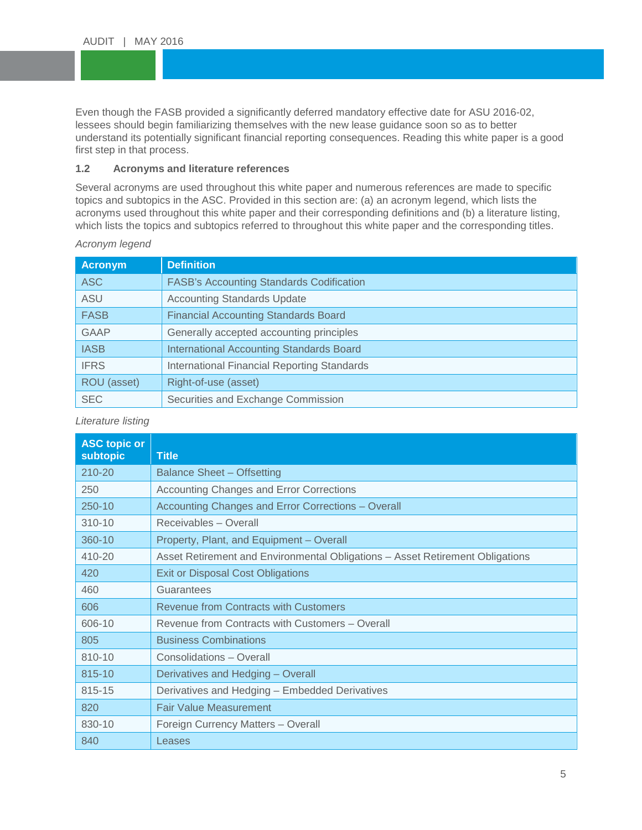Even though the FASB provided a significantly deferred mandatory effective date for ASU 2016-02,<br>lessees should begin familiarizing themselves with the new lease guidance soon so as to better understand its potentially significant financial reporting consequences. Reading this white paper is a good<br>first step in that process. lessees should begin familiarizing themselves with the new lease guidance soon so as to better first step in that process.

# <span id="page-4-0"></span>1.2 Acronyms and literature references

Several acronyms are used throughout this white paper and numerous references are made to spec<br>topics and subtopics in the ASC. Provided in this section are: (a) an acronym legend, which lists the Several acronyms are used throughout this white paper and numerous references are made to specific acronyms used throughout this white paper and their corresponding definitions and (b) a literature listing, which lists the topics and subtopics referred to throughout this white paper and the corresponding titles.

| <b>Acronym</b> | <b>Definition</b>                                  |
|----------------|----------------------------------------------------|
| <b>ASC</b>     | <b>FASB's Accounting Standards Codification</b>    |
| <b>ASU</b>     | <b>Accounting Standards Update</b>                 |
| <b>FASB</b>    | <b>Financial Accounting Standards Board</b>        |
| <b>GAAP</b>    | Generally accepted accounting principles           |
| <b>IASB</b>    | <b>International Accounting Standards Board</b>    |
| <b>IFRS</b>    | <b>International Financial Reporting Standards</b> |
| ROU (asset)    | Right-of-use (asset)                               |
| <b>SEC</b>     | Securities and Exchange Commission                 |

## *Acronym legend*

*Literature listing*

| <b>ASC topic or</b><br><b>subtopic</b> | <b>Title</b>                                                                  |
|----------------------------------------|-------------------------------------------------------------------------------|
| 210-20                                 | Balance Sheet – Offsetting                                                    |
| 250                                    | Accounting Changes and Error Corrections                                      |
| 250-10                                 | Accounting Changes and Error Corrections - Overall                            |
| 310-10                                 | Receivables - Overall                                                         |
| 360-10                                 | Property, Plant, and Equipment - Overall                                      |
| 410-20                                 | Asset Retirement and Environmental Obligations - Asset Retirement Obligations |
| 420                                    | <b>Exit or Disposal Cost Obligations</b>                                      |
| 460                                    | Guarantees                                                                    |
| 606                                    | <b>Revenue from Contracts with Customers</b>                                  |
| 606-10                                 | Revenue from Contracts with Customers - Overall                               |
| 805                                    | <b>Business Combinations</b>                                                  |
| 810-10                                 | Consolidations - Overall                                                      |
| 815-10                                 | Derivatives and Hedging - Overall                                             |
| 815-15                                 | Derivatives and Hedging - Embedded Derivatives                                |
| 820                                    | <b>Fair Value Measurement</b>                                                 |
| 830-10                                 | Foreign Currency Matters - Overall                                            |
| 840                                    | Leases                                                                        |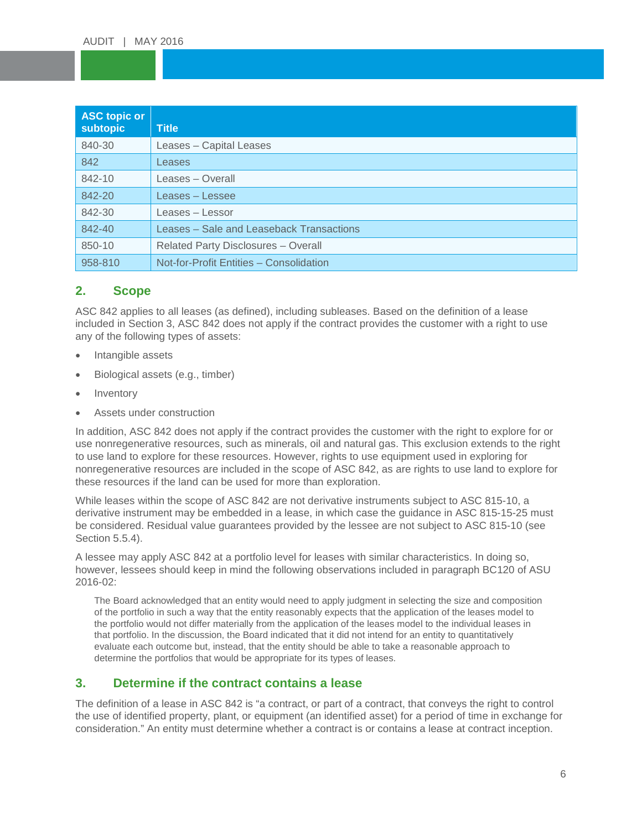| <b>ASC topic or</b><br>subtopic | <b>Title</b>                               |
|---------------------------------|--------------------------------------------|
| 840-30                          | Leases - Capital Leases                    |
| 842                             | Leases                                     |
| 842-10                          | Leases – Overall                           |
| 842-20                          | Leases – Lessee                            |
| 842-30                          | Leases - Lessor                            |
| 842-40                          | Leases - Sale and Leaseback Transactions   |
| 850-10                          | <b>Related Party Disclosures - Overall</b> |
| 958-810                         | Not-for-Profit Entities - Consolidation    |

## <span id="page-5-0"></span>**2. Scope**

ASC 842 applies to all leases (as defined), including subleases. Based on the definition of a lease included in Section 3, ASC 842 does not apply if the contract provides the customer with a right to use any of the following types of assets:

- Intangible assets
- Biological assets (e.g., timber)
- **Inventory**
- Assets under construction

In addition, ASC 842 does not apply if the contract provides the customer with the right to explore for or use nonregenerative resources, such as minerals, oil and natural gas. This exclusion extends to the right to use land to explore for these resources. However, rights to use equipment used in exploring for nonregenerative resources are included in the scope of ASC 842, as are rights to use land to explore for these resources if the land can be used for more than exploration.

While leases within the scope of ASC 842 are not derivative instruments subject to ASC 815-10, a derivative instrument may be embedded in a lease, in which case the guidance in ASC 815-15-25 must be considered. Residual value guarantees provided by the lessee are not subject to ASC 815-10 (see Section 5.5.4).

A lessee may apply ASC 842 at a portfolio level for leases with similar characteristics. In doing so, however, lessees should keep in mind the following observations included in paragraph BC120 of ASU 2016-02:

The Board acknowledged that an entity would need to apply judgment in selecting the size and composition of the portfolio in such a way that the entity reasonably expects that the application of the leases model to the portfolio would not differ materially from the application of the leases model to the individual leases in that portfolio. In the discussion, the Board indicated that it did not intend for an entity to quantitatively evaluate each outcome but, instead, that the entity should be able to take a reasonable approach to determine the portfolios that would be appropriate for its types of leases.

## <span id="page-5-1"></span>**3. Determine if the contract contains a lease**

The definition of a lease in ASC 842 is "a contract, or part of a contract, that conveys the right to control the use of identified property, plant, or equipment (an identified asset) for a period of time in exchange for consideration." An entity must determine whether a contract is or contains a lease at contract inception.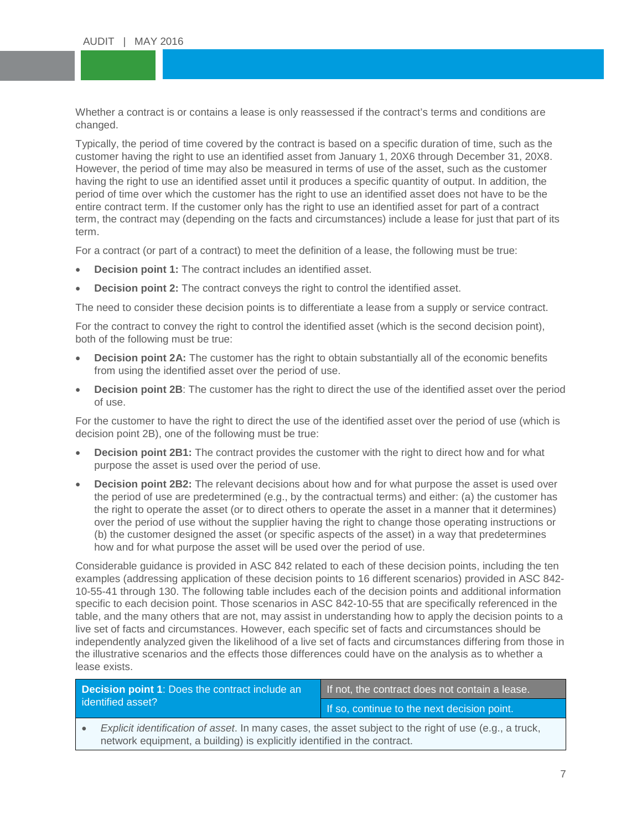Whether a contract is or contains a lease is only reassessed if the contract's terms and conditions are changed. changed.

Typically, the period of time covered by the contract is based on a specific duration of time, such as the property of the state of the state of the state of the state of the state of the state of the state of the state of However, the period of time may also be measured in terms of use of the asset, such as the customer<br>having the right to use an identified asset until it produces a specific quantity of output. In addition, the period of time over which the customer has the right to use an identified asset does not have to be the period of the customer only has the right to use an identified asset for part of a contract customer having the right to use an identified asset from January 1, 20X6 through December 31, 20X8. having the right to use an identified asset until it produces a specific quantity of output. In addition, the entire contract term. If the customer only has the right to use an identified asset for part of a contract term, the contract may (depending on the facts and circumstances) include a lease for just that part of its term.

For a contract (or part of a contract) to meet the definition of a lease, the following must be true:

- **Decision point 1:** The contract includes an identified asset.
- **Decision point 2:** The contract conveys the right to control the identified asset.

The need to consider these decision points is to differentiate a lease from a supply or service contract.

For the contract to convey the right to control the identified asset (which is the second decision point), both of the following must be true:

- **Decision point 2A:** The customer has the right to obtain substantially all of the economic benefits from using the identified asset over the period of use.
- **Decision point 2B**: The customer has the right to direct the use of the identified asset over the period of use.

For the customer to have the right to direct the use of the identified asset over the period of use (which is decision point 2B), one of the following must be true:

- **Decision point 2B1:** The contract provides the customer with the right to direct how and for what purpose the asset is used over the period of use.
- **Decision point 2B2:** The relevant decisions about how and for what purpose the asset is used over the period of use are predetermined (e.g., by the contractual terms) and either: (a) the customer has the right to operate the asset (or to direct others to operate the asset in a manner that it determines) over the period of use without the supplier having the right to change those operating instructions or (b) the customer designed the asset (or specific aspects of the asset) in a way that predetermines how and for what purpose the asset will be used over the period of use.

Considerable guidance is provided in ASC 842 related to each of these decision points, including the ten examples (addressing application of these decision points to 16 different scenarios) provided in ASC 842- 10-55-41 through 130. The following table includes each of the decision points and additional information specific to each decision point. Those scenarios in ASC 842-10-55 that are specifically referenced in the table, and the many others that are not, may assist in understanding how to apply the decision points to a live set of facts and circumstances. However, each specific set of facts and circumstances should be independently analyzed given the likelihood of a live set of facts and circumstances differing from those in the illustrative scenarios and the effects those differences could have on the analysis as to whether a lease exists.

| <b>Decision point 1: Does the contract include an</b><br>identified asset? |                                                                                                                                                                                    | If not, the contract does not contain a lease. |  |
|----------------------------------------------------------------------------|------------------------------------------------------------------------------------------------------------------------------------------------------------------------------------|------------------------------------------------|--|
|                                                                            |                                                                                                                                                                                    | If so, continue to the next decision point.    |  |
|                                                                            | Explicit identification of asset. In many cases, the asset subject to the right of use (e.g., a truck,<br>network equipment, a building) is explicitly identified in the contract. |                                                |  |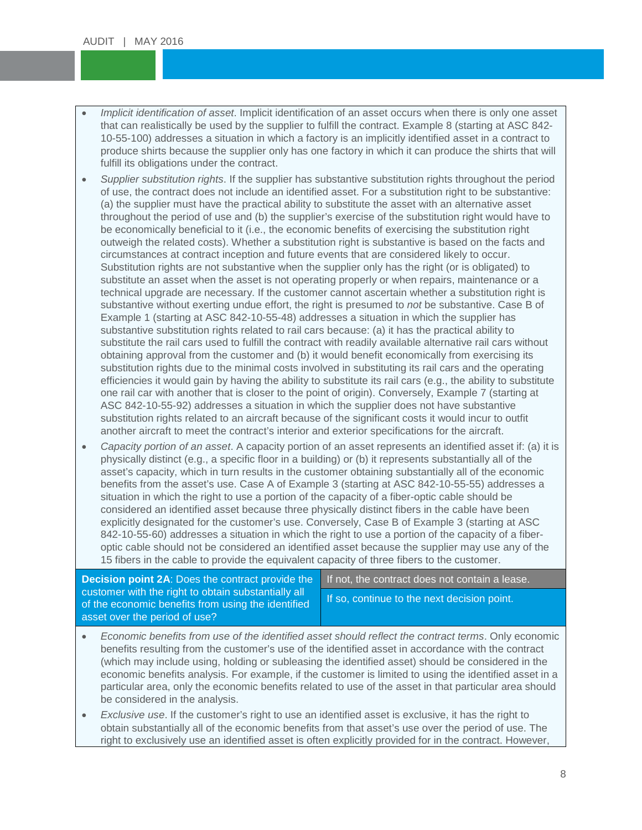- *Implicit identification of asset*. Implicit identification of an asset occurs when there is only one asset<br>that can realistically be used by the supplier to fulfill the contract. Example 8 (starting at ASC 842-10-55-100) addresses a situation in which a factory is an implicitly identified asset in a contract to<br>produce shirts because the supplier only has one factory in which it can produce the shirts that will that can realistically be used by the supplier to fulfill the contract. Example 8 (starting at ASC 842- 10-55-100) addresses a situation in which a factory is an implicitly identified asset in a contract to fulfill its obligations under the contract.
- fulfill its obligations under the contract.<br>Supplier substitution rights. If the supplier has substantive substitution rights throughout the period of use, the contract does not include an identified asset. For a substitution right to be substantive:<br>(a) the supplier must have the practical ability to substitute the asset with an alternative asset (a) the supplier must have the practical ability to substitute the asset with an alternative asset throughout the period of use and (b) the supplier's exercise of the substitution right would have to be economically beneficial to it (i.e., the economic benefits of exercising the substitution right outweigh the related costs). Whether a substitution right is substantive is based on the facts and circumstances at contract inception and future events that are considered likely to occur. Substitution rights are not substantive when the supplier only has the right (or is obligated) to substitute an asset when the asset is not operating properly or when repairs, maintenance or a technical upgrade are necessary. If the customer cannot ascertain whether a substitution right is substantive without exerting undue effort, the right is presumed to *not* be substantive. Case B of Example 1 (starting at ASC 842-10-55-48) addresses a situation in which the supplier has substantive substitution rights related to rail cars because: (a) it has the practical ability to substitute the rail cars used to fulfill the contract with readily available alternative rail cars without obtaining approval from the customer and (b) it would benefit economically from exercising its substitution rights due to the minimal costs involved in substituting its rail cars and the operating efficiencies it would gain by having the ability to substitute its rail cars (e.g., the ability to substitute one rail car with another that is closer to the point of origin). Conversely, Example 7 (starting at ASC 842-10-55-92) addresses a situation in which the supplier does not have substantive substitution rights related to an aircraft because of the significant costs it would incur to outfit another aircraft to meet the contract's interior and exterior specifications for the aircraft.
- *Capacity portion of an asset*. A capacity portion of an asset represents an identified asset if: (a) it is physically distinct (e.g., a specific floor in a building) or (b) it represents substantially all of the asset's capacity, which in turn results in the customer obtaining substantially all of the economic benefits from the asset's use. Case A of Example 3 (starting at ASC 842-10-55-55) addresses a situation in which the right to use a portion of the capacity of a fiber-optic cable should be considered an identified asset because three physically distinct fibers in the cable have been explicitly designated for the customer's use. Conversely, Case B of Example 3 (starting at ASC 842-10-55-60) addresses a situation in which the right to use a portion of the capacity of a fiberoptic cable should not be considered an identified asset because the supplier may use any of the 15 fibers in the cable to provide the equivalent capacity of three fibers to the customer.

**Decision point 2A**: Does the contract provide the customer with the right to obtain substantially all of the economic benefits from using the identified asset over the period of use?

If not, the contract does not contain a lease.

If so, continue to the next decision point.

- *Economic benefits from use of the identified asset should reflect the contract <i>terms*. Only economic benefits resulting from the customer's use of the identified asset in accordance with the contract (which may include using, holding or subleasing the identified asset) should be considered in the economic benefits analysis. For example, if the customer is limited to using the identified asset in a particular area, only the economic benefits related to use of the asset in that particular area should be considered in the analysis.
- *Exclusive use*. If the customer's right to use an identified asset is exclusive, it has the right to obtain substantially all of the economic benefits from that asset's use over the period of use. The right to exclusively use an identified asset is often explicitly provided for in the contract. However,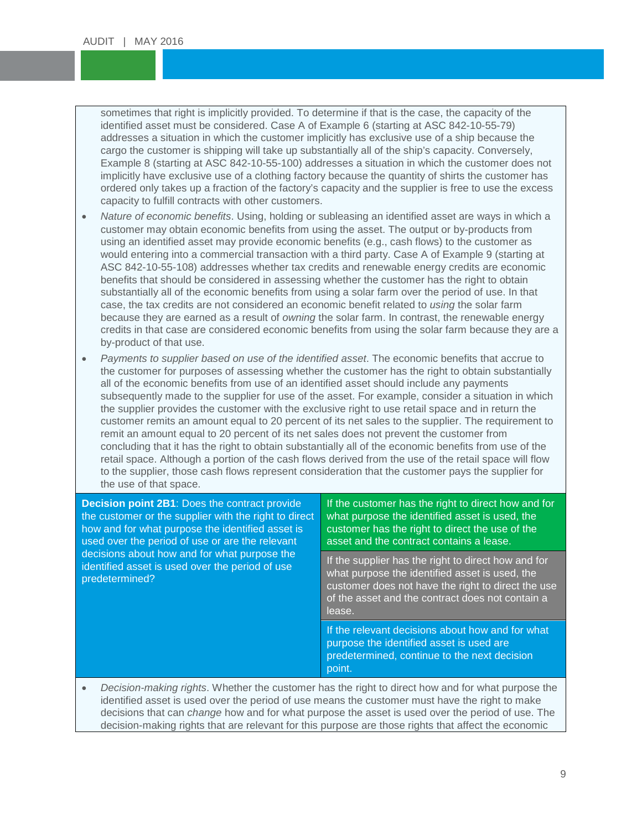sometimes that right is implicitly provided. To determine if that is the case, the capacity of the identified asset must be considered. Case A of Example 6 (starting at ASC 842-10-55-79) addresses a situation in which the customer implicitly has exclusive use of a ship because the<br>cargo the customer is shipping will take up substantially all of the ship's capacity. Conversely, Example 8 (starting at ASC 842-10-55-100) addresses a situation in which the customer does not<br>implicitly have exclusive use of a clothing factory because the quantity of shirts the customer has ordered only takes up a traction of the factory's c<br>capacity to fulfill contracts with other customers. identified asset must be considered. Case A of Example 6 (starting at ASC 842-10-55-79) addresses a situation in which the customer implicitly has exclusive use of a ship because the Example 8 (starting at ASC 842-10-55-100) addresses a situation in which the customer does not ordered only takes up a fraction of the factory's capacity and the supplier is free to use the excess

- *Nature of economic benefits*. Using, holding or subleasing an identified asset are ways in which a customer may obtain economic benefits from using the asset. The output or by-products from using an identified asset may provide economic benefits (e.g., cash flows) to the customer as would entering into a commercial transaction with a third party. Case A of Example 9 (starting at ASC 842-10-55-108) addresses whether tax credits and renewable energy credits are economic benefits that should be considered in assessing whether the customer has the right to obtain substantially all of the economic benefits from using a solar farm over the period of use. In that case, the tax credits are not considered an economic benefit related to *using* the solar farm because they are earned as a result of *owning* the solar farm. In contrast, the renewable energy credits in that case are considered economic benefits from using the solar farm because they are a by-product of that use.
- *Payments to supplier based on use of the identified asset*. The economic benefits that accrue to the customer for purposes of assessing whether the customer has the right to obtain substantially all of the economic benefits from use of an identified asset should include any payments subsequently made to the supplier for use of the asset. For example, consider a situation in which the supplier provides the customer with the exclusive right to use retail space and in return the customer remits an amount equal to 20 percent of its net sales to the supplier. The requirement to remit an amount equal to 20 percent of its net sales does not prevent the customer from concluding that it has the right to obtain substantially all of the economic benefits from use of the retail space. Although a portion of the cash flows derived from the use of the retail space will flow to the supplier, those cash flows represent consideration that the customer pays the supplier for the use of that space.

| <b>Decision point 2B1: Does the contract provide</b><br>the customer or the supplier with the right to direct<br>how and for what purpose the identified asset is<br>used over the period of use or are the relevant | If the customer has the right to direct how and for<br>what purpose the identified asset is used, the<br>customer has the right to direct the use of the<br>asset and the contract contains a lease.                      |
|----------------------------------------------------------------------------------------------------------------------------------------------------------------------------------------------------------------------|---------------------------------------------------------------------------------------------------------------------------------------------------------------------------------------------------------------------------|
| decisions about how and for what purpose the<br>identified asset is used over the period of use<br>predetermined?                                                                                                    | If the supplier has the right to direct how and for<br>what purpose the identified asset is used, the<br>customer does not have the right to direct the use<br>of the asset and the contract does not contain a<br>lease. |
|                                                                                                                                                                                                                      | If the relevant decisions about how and for what<br>purpose the identified asset is used are<br>predetermined, continue to the next decision<br>point.                                                                    |

• *Decision-making rights*. Whether the customer has the right to direct how and for what purpose the identified asset is used over the period of use means the customer must have the right to make decisions that can *change* how and for what purpose the asset is used over the period of use. The decision-making rights that are relevant for this purpose are those rights that affect the economic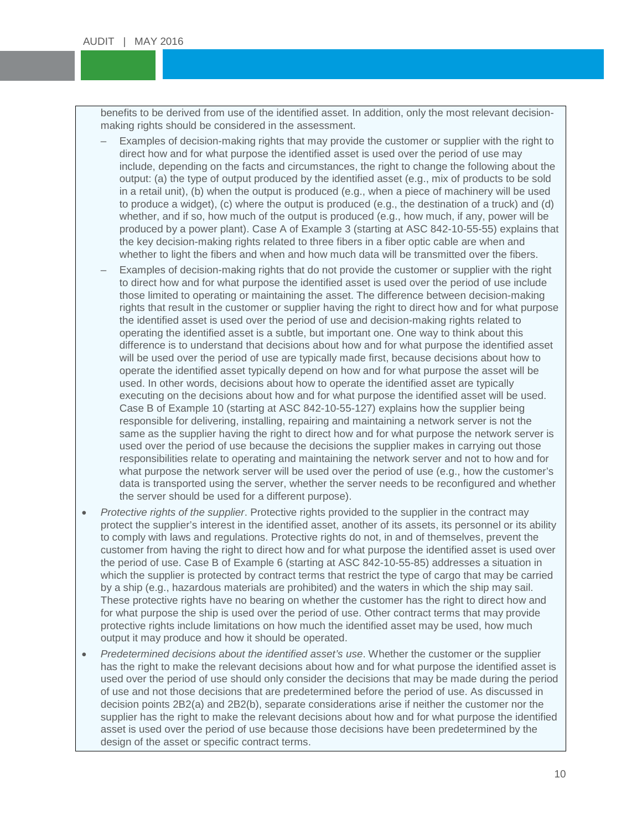benefits to be derived from use of the identified asset. In addition, only the most relevant decision-<br>making rights should be considered in the assessment. making rights should be considered in the assessment.

- Examples of decision-making rights that may provide the customer or supplier with the right to direct how and for what purpose the identified asset is used over the period of use may include, depending on the facts and circumstances, the right to change the following about the<br>output: (a) the type of output produced by the identified asset (e.g., mix of products to be sold in a retail unit), (b) when the output is produced (e.g., when a piece of machinery will be used<br>to produce a widget), (c) where the output is produced (e.g., the destination of a truck) and (d direct how and for what purpose the identified asset is used over the period of use may output: (a) the type of output produced by the identified asset (e.g., mix of products to be sold to produce a widget), (c) where the output is produced (e.g., the destination of a truck) and (d) whether, and if so, how much of the output is produced (e.g., how much, if any, power will be produced by a power plant). Case A of Example 3 (starting at ASC 842-10-55-55) explains that the key decision-making rights related to three fibers in a fiber optic cable are when and whether to light the fibers and when and how much data will be transmitted over the fibers.
- Examples of decision-making rights that do not provide the customer or supplier with the right to direct how and for what purpose the identified asset is used over the period of use include those limited to operating or maintaining the asset. The difference between decision-making rights that result in the customer or supplier having the right to direct how and for what purpose the identified asset is used over the period of use and decision-making rights related to operating the identified asset is a subtle, but important one. One way to think about this difference is to understand that decisions about how and for what purpose the identified asset will be used over the period of use are typically made first, because decisions about how to operate the identified asset typically depend on how and for what purpose the asset will be used. In other words, decisions about how to operate the identified asset are typically executing on the decisions about how and for what purpose the identified asset will be used. Case B of Example 10 (starting at ASC 842-10-55-127) explains how the supplier being responsible for delivering, installing, repairing and maintaining a network server is not the same as the supplier having the right to direct how and for what purpose the network server is used over the period of use because the decisions the supplier makes in carrying out those responsibilities relate to operating and maintaining the network server and not to how and for what purpose the network server will be used over the period of use (e.g., how the customer's data is transported using the server, whether the server needs to be reconfigured and whether the server should be used for a different purpose).
- *Protective rights of the supplier*. Protective rights provided to the supplier in the contract may protect the supplier's interest in the identified asset, another of its assets, its personnel or its ability to comply with laws and regulations. Protective rights do not, in and of themselves, prevent the customer from having the right to direct how and for what purpose the identified asset is used over the period of use. Case B of Example 6 (starting at ASC 842-10-55-85) addresses a situation in which the supplier is protected by contract terms that restrict the type of cargo that may be carried by a ship (e.g., hazardous materials are prohibited) and the waters in which the ship may sail. These protective rights have no bearing on whether the customer has the right to direct how and for what purpose the ship is used over the period of use. Other contract terms that may provide protective rights include limitations on how much the identified asset may be used, how much output it may produce and how it should be operated.
- *Predetermined decisions about the identified asset's use*. Whether the customer or the supplier has the right to make the relevant decisions about how and for what purpose the identified asset is used over the period of use should only consider the decisions that may be made during the period of use and not those decisions that are predetermined before the period of use. As discussed in decision points 2B2(a) and 2B2(b), separate considerations arise if neither the customer nor the supplier has the right to make the relevant decisions about how and for what purpose the identified asset is used over the period of use because those decisions have been predetermined by the design of the asset or specific contract terms.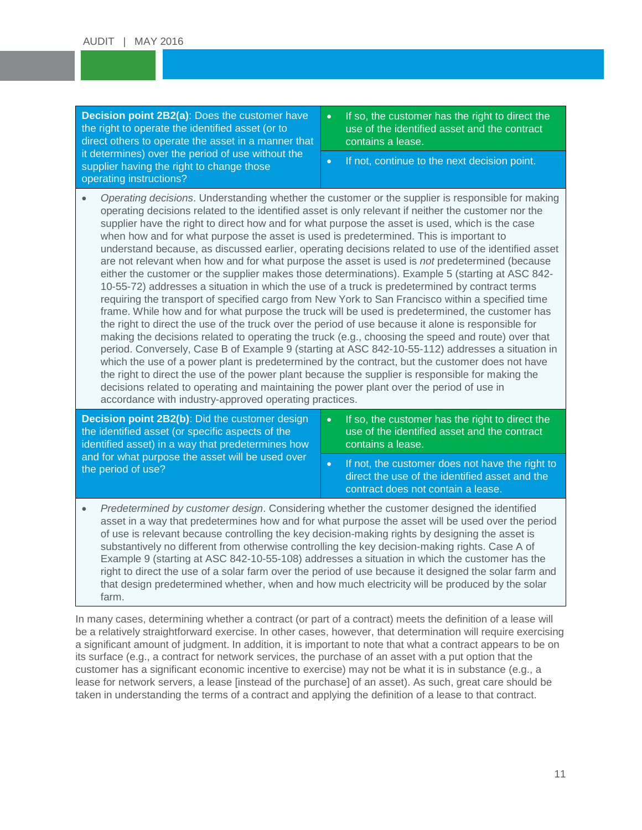**Decision point 2B2(a)**: Does the customer have direct others to operate the asset in a manner that<br>it determines) over the period of use without the supplier having the right to change those  $\begin{array}{|c|} \hline \text{\textend{array}}$   $\begin{array}{|c|} \hline \text{\textend{array}}$ the right to operate the identified asset (or to it determines) over the period of use without the operating instructions?

If so, the customer has the right to direct the use of the identified asset and the contract contains a lease.

• If not, continue to the next decision point.

• Operating decisions. Understanding whether the customer or the supplier is responsible for making operating decisions related to the identified asset is only relevant if neither the customer nor the supplier have the right to direct how and for what purpose the asset is used, which is the case when how and for what purpose the asset is used is predetermined. This is important to understand because, as discussed earlier, operating decisions related to use of the identified asset are not relevant when how and for what purpose the asset is used is *not* predetermined (because either the customer or the supplier makes those determinations). Example 5 (starting at ASC 842- 10-55-72) addresses a situation in which the use of a truck is predetermined by contract terms requiring the transport of specified cargo from New York to San Francisco within a specified time frame. While how and for what purpose the truck will be used is predetermined, the customer has the right to direct the use of the truck over the period of use because it alone is responsible for making the decisions related to operating the truck (e.g., choosing the speed and route) over that period. Conversely, Case B of Example 9 (starting at ASC 842-10-55-112) addresses a situation in which the use of a power plant is predetermined by the contract, but the customer does not have the right to direct the use of the power plant because the supplier is responsible for making the decisions related to operating and maintaining the power plant over the period of use in accordance with industry-approved operating practices.

| <b>Decision point 2B2(b): Did the customer design</b><br>the identified asset (or specific aspects of the<br>identified asset) in a way that predetermines how | If so, the customer has the right to direct the<br>$\bullet$<br>use of the identified asset and the contract<br>contains a lease.       |  |  |
|----------------------------------------------------------------------------------------------------------------------------------------------------------------|-----------------------------------------------------------------------------------------------------------------------------------------|--|--|
| and for what purpose the asset will be used over<br>the period of use?                                                                                         | If not, the customer does not have the right to<br>direct the use of the identified asset and the<br>contract does not contain a lease. |  |  |

• *Predetermined by customer design*. Considering whether the customer designed the identified asset in a way that predetermines how and for what purpose the asset will be used over the period of use is relevant because controlling the key decision-making rights by designing the asset is substantively no different from otherwise controlling the key decision-making rights. Case A of Example 9 (starting at ASC 842-10-55-108) addresses a situation in which the customer has the right to direct the use of a solar farm over the period of use because it designed the solar farm and that design predetermined whether, when and how much electricity will be produced by the solar farm.

In many cases, determining whether a contract (or part of a contract) meets the definition of a lease will be a relatively straightforward exercise. In other cases, however, that determination will require exercising a significant amount of judgment. In addition, it is important to note that what a contract appears to be on its surface (e.g., a contract for network services, the purchase of an asset with a put option that the customer has a significant economic incentive to exercise) may not be what it is in substance (e.g., a lease for network servers, a lease [instead of the purchase] of an asset). As such, great care should be taken in understanding the terms of a contract and applying the definition of a lease to that contract.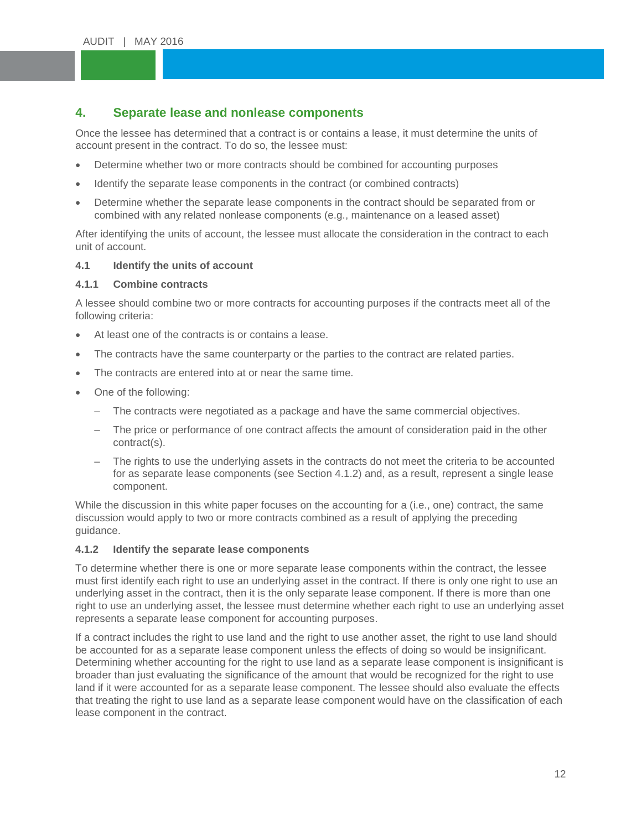# <span id="page-11-0"></span>**4.** Separate lease and nonlease components

Once the lessee has determined that a contract is or conta<br>account present in the contract. To do so, the lessee must: Once the lessee has determined that a contract is or contains a lease, it must determine the units of

- Determine whether two or more contracts should be combined for accounting purposes
- Identify the separate lease components in the contract (or combined contracts)
- Determine whether the separate lease components in the contract should be separated from or combined with any related nonlease components (e.g., maintenance on a leased asset)

After identifying the units of account, the lessee must allocate the consideration in the contract to each unit of account.

## <span id="page-11-1"></span>**4.1 Identify the units of account**

## <span id="page-11-2"></span>**4.1.1 Combine contracts**

A lessee should combine two or more contracts for accounting purposes if the contracts meet all of the following criteria:

- At least one of the contracts is or contains a lease.
- The contracts have the same counterparty or the parties to the contract are related parties.
- The contracts are entered into at or near the same time.
- One of the following:
	- The contracts were negotiated as a package and have the same commercial objectives.
	- The price or performance of one contract affects the amount of consideration paid in the other contract(s).
	- The rights to use the underlying assets in the contracts do not meet the criteria to be accounted for as separate lease components (see Section 4.1.2) and, as a result, represent a single lease component.

While the discussion in this white paper focuses on the accounting for a (i.e., one) contract, the same discussion would apply to two or more contracts combined as a result of applying the preceding guidance.

## <span id="page-11-3"></span>**4.1.2 Identify the separate lease components**

To determine whether there is one or more separate lease components within the contract, the lessee must first identify each right to use an underlying asset in the contract. If there is only one right to use an underlying asset in the contract, then it is the only separate lease component. If there is more than one right to use an underlying asset, the lessee must determine whether each right to use an underlying asset represents a separate lease component for accounting purposes.

If a contract includes the right to use land and the right to use another asset, the right to use land should be accounted for as a separate lease component unless the effects of doing so would be insignificant. Determining whether accounting for the right to use land as a separate lease component is insignificant is broader than just evaluating the significance of the amount that would be recognized for the right to use land if it were accounted for as a separate lease component. The lessee should also evaluate the effects that treating the right to use land as a separate lease component would have on the classification of each lease component in the contract.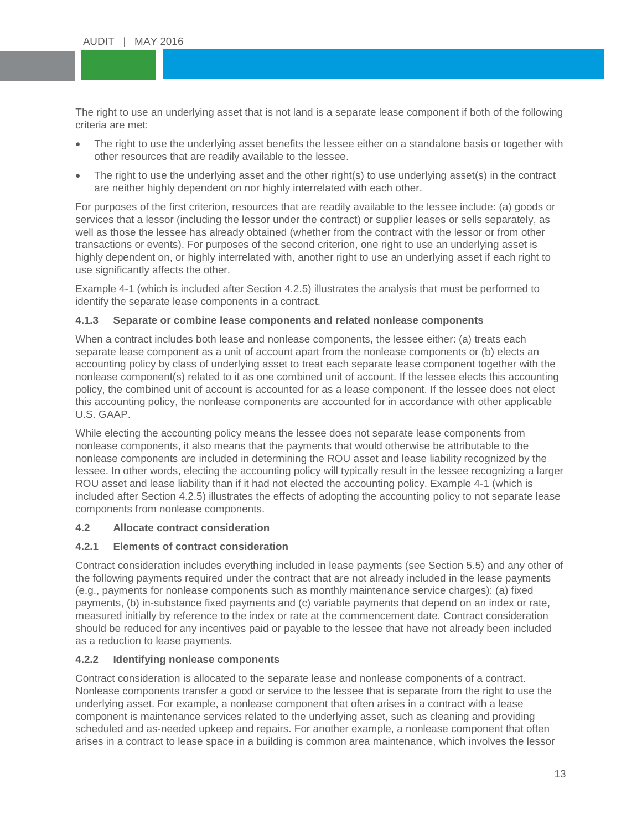The right to use an underlying asset that is not land is a separate lease component if both of the following<br>criteria are met: criteria are met:

- The right to use the underlying asset benefits the lessee either on a standalone basis or together with other resources that are readily available to the lessee.
- The right to use the underlying asset and the other right(s) to use underlying asset(s) in the contract are neither highly dependent on nor highly interrelated with each other.

are neither highly dependent on nor highly interrelated with each other.<br>For purposes of the first criterion, resources that are readily available to the lessee include: (a) goods or services that a lessor (including the lessor under the contract) or supplier leases or sells separately, as well as those the lessee has already obtained (whether from the contract with the lessor or from other transactions or events). For purposes of the second criterion, one right to use an underlying asset is highly dependent on, or highly interrelated with, another right to use an underlying asset if each right to use significantly affects the other.

Example 4-1 (which is included after Section 4.2.5) illustrates the analysis that must be performed to identify the separate lease components in a contract.

## <span id="page-12-0"></span>**4.1.3 Separate or combine lease components and related nonlease components**

When a contract includes both lease and nonlease components, the lessee either: (a) treats each separate lease component as a unit of account apart from the nonlease components or (b) elects an accounting policy by class of underlying asset to treat each separate lease component together with the nonlease component(s) related to it as one combined unit of account. If the lessee elects this accounting policy, the combined unit of account is accounted for as a lease component. If the lessee does not elect this accounting policy, the nonlease components are accounted for in accordance with other applicable U.S. GAAP.

While electing the accounting policy means the lessee does not separate lease components from nonlease components, it also means that the payments that would otherwise be attributable to the nonlease components are included in determining the ROU asset and lease liability recognized by the lessee. In other words, electing the accounting policy will typically result in the lessee recognizing a larger ROU asset and lease liability than if it had not elected the accounting policy. Example 4-1 (which is included after Section 4.2.5) illustrates the effects of adopting the accounting policy to not separate lease components from nonlease components.

## <span id="page-12-1"></span>**4.2 Allocate contract consideration**

## <span id="page-12-2"></span>**4.2.1 Elements of contract consideration**

Contract consideration includes everything included in lease payments (see Section 5.5) and any other of the following payments required under the contract that are not already included in the lease payments (e.g., payments for nonlease components such as monthly maintenance service charges): (a) fixed payments, (b) in-substance fixed payments and (c) variable payments that depend on an index or rate, measured initially by reference to the index or rate at the commencement date. Contract consideration should be reduced for any incentives paid or payable to the lessee that have not already been included as a reduction to lease payments.

## <span id="page-12-3"></span>**4.2.2 Identifying nonlease components**

Contract consideration is allocated to the separate lease and nonlease components of a contract. Nonlease components transfer a good or service to the lessee that is separate from the right to use the underlying asset. For example, a nonlease component that often arises in a contract with a lease component is maintenance services related to the underlying asset, such as cleaning and providing scheduled and as-needed upkeep and repairs. For another example, a nonlease component that often arises in a contract to lease space in a building is common area maintenance, which involves the lessor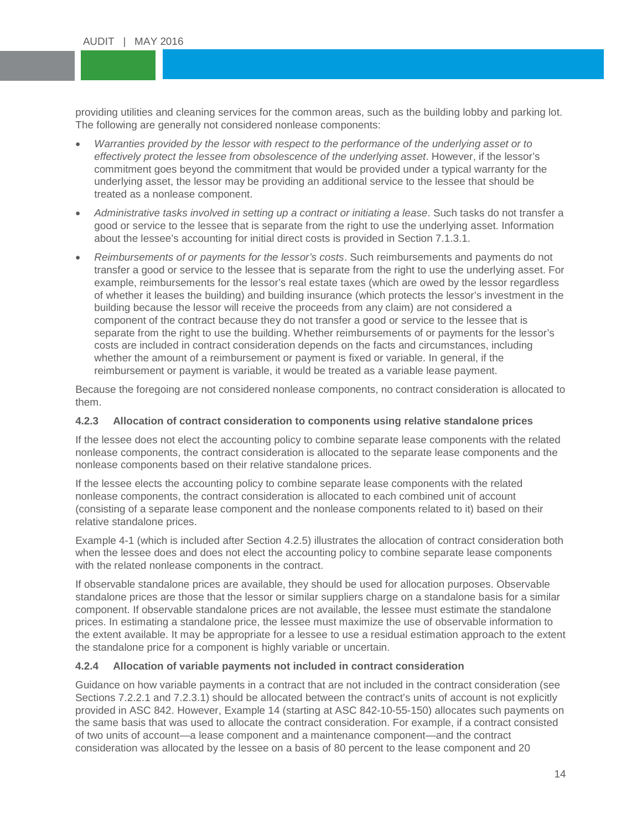providing utilities and cleaning services for the common areas, sud<br>The following are generally not considered nonlease components: providing utilities and cleaning services for the common areas, such as the building lobby and parking lot.

- *Warranties provided by the lessor with respect to the performance of the underlying asset or to because to the underlying asset or to performance of the underlying asset or to* commitment goes beyond the commitment that would be provided under a typical warranty for the underlying asset the lessor may be providing an additional service to the lesson that should be treated as a nonlease component. *effectively protect the lessee from obsolescence of the underlying asset*. However, if the lessor's underlying asset, the lessor may be providing an additional service to the lessee that should be
- *Administrative tasks involved in setting up a contract or initiating a lease*. Such tasks do not transfer a good or service to the lessee that is separate from the right to use the underlying asset. Information about the lessee's accounting for initial direct costs is provided in Section 7.1.3.1.
- *Reimbursements of or payments for the lessor's costs*. Such reimbursements and payments do not transfer a good or service to the lessee that is separate from the right to use the underlying asset. For example, reimbursements for the lessor's real estate taxes (which are owed by the lessor regardless of whether it leases the building) and building insurance (which protects the lessor's investment in the building because the lessor will receive the proceeds from any claim) are not considered a component of the contract because they do not transfer a good or service to the lessee that is separate from the right to use the building. Whether reimbursements of or payments for the lessor's costs are included in contract consideration depends on the facts and circumstances, including whether the amount of a reimbursement or payment is fixed or variable. In general, if the reimbursement or payment is variable, it would be treated as a variable lease payment.

Because the foregoing are not considered nonlease components, no contract consideration is allocated to them.

## <span id="page-13-0"></span>**4.2.3 Allocation of contract consideration to components using relative standalone prices**

If the lessee does not elect the accounting policy to combine separate lease components with the related nonlease components, the contract consideration is allocated to the separate lease components and the nonlease components based on their relative standalone prices.

If the lessee elects the accounting policy to combine separate lease components with the related nonlease components, the contract consideration is allocated to each combined unit of account (consisting of a separate lease component and the nonlease components related to it) based on their relative standalone prices.

Example 4-1 (which is included after Section 4.2.5) illustrates the allocation of contract consideration both when the lessee does and does not elect the accounting policy to combine separate lease components with the related nonlease components in the contract.

If observable standalone prices are available, they should be used for allocation purposes. Observable standalone prices are those that the lessor or similar suppliers charge on a standalone basis for a similar component. If observable standalone prices are not available, the lessee must estimate the standalone prices. In estimating a standalone price, the lessee must maximize the use of observable information to the extent available. It may be appropriate for a lessee to use a residual estimation approach to the extent the standalone price for a component is highly variable or uncertain.

## <span id="page-13-1"></span>**4.2.4 Allocation of variable payments not included in contract consideration**

Guidance on how variable payments in a contract that are not included in the contract consideration (see Sections 7.2.2.1 and 7.2.3.1) should be allocated between the contract's units of account is not explicitly provided in ASC 842. However, Example 14 (starting at ASC 842-10-55-150) allocates such payments on the same basis that was used to allocate the contract consideration. For example, if a contract consisted of two units of account—a lease component and a maintenance component—and the contract consideration was allocated by the lessee on a basis of 80 percent to the lease component and 20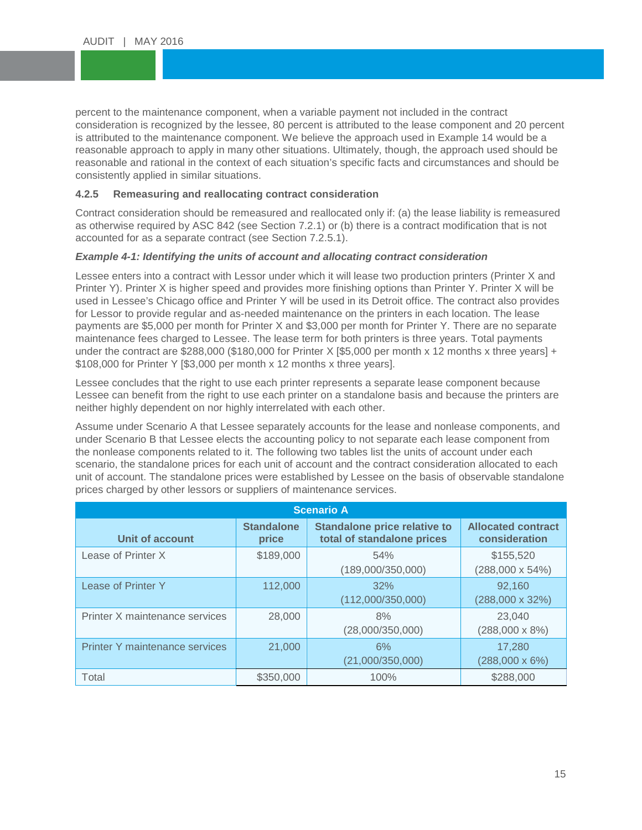percent to the maintenance component, when a variable payment not included in the contract<br>consideration is recognized by the lessee, 80 percent is attributed to the lease component and is attributed to the maintenance component. We believe the approach used in Example 14 would be a<br>reasonable approach to apply in many other situations. Ultimately, though, the approach used should be reasonable and rational in the context of each situation's specific facts and circumstances and should be<br>consistently applied in similar situations. consideration is recognized by the lessee, 80 percent is attributed to the lease component and 20 percent is attributed to the maintenance component. We believe the approach used in Example 14 would be a consistently applied in similar situations.

# <span id="page-14-0"></span>**4.2.5 Remeasuring and reallocating contract consideration**

Contract consideration should be remeasured and reallocated only if: (a) the lease liability is remeasured as otherwise required by ASC 842 (see Section 7.2.1) or (b) there is a contract modification that is not accounted for as a separate contract (see Section 7.2.5.1).

## *Example 4-1: Identifying the units of account and allocating contract consideration*

Lessee enters into a contract with Lessor under which it will lease two production printers (Printer X and Printer Y). Printer X is higher speed and provides more finishing options than Printer Y. Printer X will be used in Lessee's Chicago office and Printer Y will be used in its Detroit office. The contract also provides for Lessor to provide regular and as-needed maintenance on the printers in each location. The lease payments are \$5,000 per month for Printer X and \$3,000 per month for Printer Y. There are no separate maintenance fees charged to Lessee. The lease term for both printers is three years. Total payments under the contract are \$288,000 (\$180,000 for Printer X [\$5,000 per month x 12 months x three years] + \$108,000 for Printer Y [\$3,000 per month x 12 months x three years].

Lessee concludes that the right to use each printer represents a separate lease component because Lessee can benefit from the right to use each printer on a standalone basis and because the printers are neither highly dependent on nor highly interrelated with each other.

Assume under Scenario A that Lessee separately accounts for the lease and nonlease components, and under Scenario B that Lessee elects the accounting policy to not separate each lease component from the nonlease components related to it. The following two tables list the units of account under each scenario, the standalone prices for each unit of account and the contract consideration allocated to each unit of account. The standalone prices were established by Lessee on the basis of observable standalone prices charged by other lessors or suppliers of maintenance services.

| <b>Scenario A</b>                     |                            |                                                                   |                                            |  |  |
|---------------------------------------|----------------------------|-------------------------------------------------------------------|--------------------------------------------|--|--|
| Unit of account                       | <b>Standalone</b><br>price | <b>Standalone price relative to</b><br>total of standalone prices | <b>Allocated contract</b><br>consideration |  |  |
| Lease of Printer X                    | \$189,000                  | 54%<br>(189,000/350,000)                                          | \$155,520<br>$(288,000 \times 54\%)$       |  |  |
| Lease of Printer Y                    | 112,000                    | 32%<br>(112,000/350,000)                                          | 92.160<br>$(288,000 \times 32\%)$          |  |  |
| Printer X maintenance services        | 28,000                     | 8%<br>(28,000/350,000)                                            | 23,040<br>$(288,000 \times 8\%)$           |  |  |
| <b>Printer Y maintenance services</b> | 21,000                     | 6%<br>(21,000/350,000)                                            | 17.280<br>$(288,000 \times 6\%)$           |  |  |
| Total                                 | \$350,000                  | 100%                                                              | \$288,000                                  |  |  |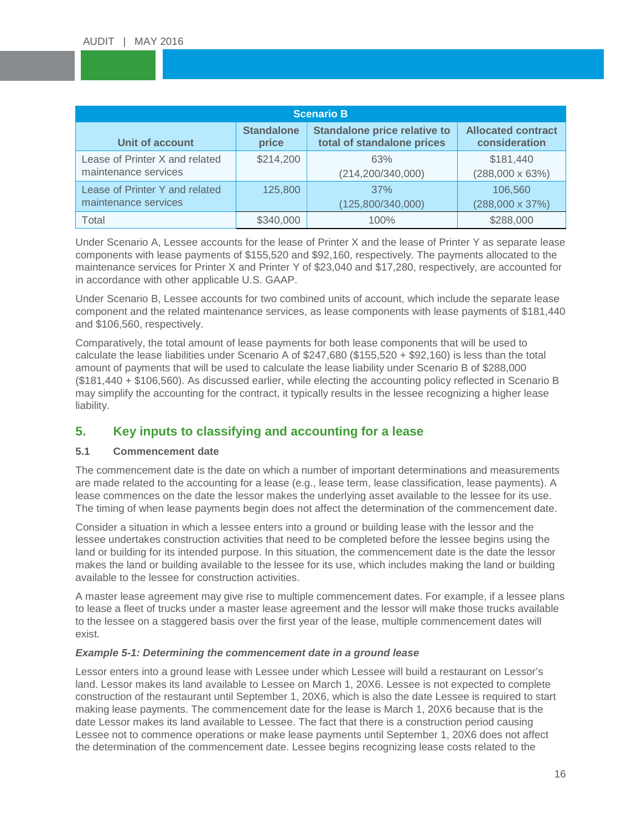| <b>Scenario B</b>              |                   |                                     |                           |  |  |
|--------------------------------|-------------------|-------------------------------------|---------------------------|--|--|
| <b>Unit of account</b>         | <b>Standalone</b> | <b>Standalone price relative to</b> | <b>Allocated contract</b> |  |  |
|                                | price             | total of standalone prices          | consideration             |  |  |
| Lease of Printer X and related | \$214,200         | 63%                                 | \$181,440                 |  |  |
| maintenance services           |                   | (214, 200/340, 000)                 | $(288,000 \times 63%)$    |  |  |
| Lease of Printer Y and related | 125,800           | 37%                                 | 106,560                   |  |  |
| maintenance services           |                   | (125,800/340,000)                   | $(288,000 \times 37\%)$   |  |  |
| Total                          | \$340,000         | 100%                                | \$288,000                 |  |  |

Under Scenario A, Lessee accounts for the lease of Printer X and the lease of Printer Y as separate lease components with lease payments of \$155,520 and \$92,160, respectively. The payments allocated to the maintenance services for Printer X and Printer Y of \$23,040 and \$17,280, respectively, are accounted for in accordance with other applicable U.S. GAAP.

Under Scenario B, Lessee accounts for two combined units of account, which include the separate lease component and the related maintenance services, as lease components with lease payments of \$181,440 and \$106,560, respectively.

Comparatively, the total amount of lease payments for both lease components that will be used to calculate the lease liabilities under Scenario A of \$247,680 (\$155,520 + \$92,160) is less than the total amount of payments that will be used to calculate the lease liability under Scenario B of \$288,000 (\$181,440 + \$106,560). As discussed earlier, while electing the accounting policy reflected in Scenario B may simplify the accounting for the contract, it typically results in the lessee recognizing a higher lease liability.

## <span id="page-15-0"></span>**5. Key inputs to classifying and accounting for a lease**

## <span id="page-15-1"></span>**5.1 Commencement date**

The commencement date is the date on which a number of important determinations and measurements are made related to the accounting for a lease (e.g., lease term, lease classification, lease payments). A lease commences on the date the lessor makes the underlying asset available to the lessee for its use. The timing of when lease payments begin does not affect the determination of the commencement date.

Consider a situation in which a lessee enters into a ground or building lease with the lessor and the lessee undertakes construction activities that need to be completed before the lessee begins using the land or building for its intended purpose. In this situation, the commencement date is the date the lessor makes the land or building available to the lessee for its use, which includes making the land or building available to the lessee for construction activities.

A master lease agreement may give rise to multiple commencement dates. For example, if a lessee plans to lease a fleet of trucks under a master lease agreement and the lessor will make those trucks available to the lessee on a staggered basis over the first year of the lease, multiple commencement dates will exist.

## *Example 5-1: Determining the commencement date in a ground lease*

Lessor enters into a ground lease with Lessee under which Lessee will build a restaurant on Lessor's land. Lessor makes its land available to Lessee on March 1, 20X6. Lessee is not expected to complete construction of the restaurant until September 1, 20X6, which is also the date Lessee is required to start making lease payments. The commencement date for the lease is March 1, 20X6 because that is the date Lessor makes its land available to Lessee. The fact that there is a construction period causing Lessee not to commence operations or make lease payments until September 1, 20X6 does not affect the determination of the commencement date. Lessee begins recognizing lease costs related to the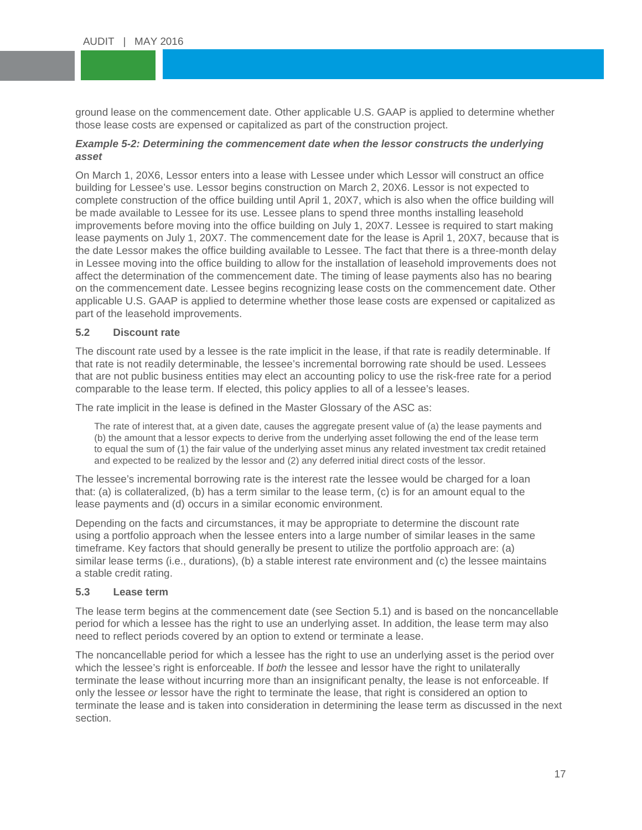ground lease on the commencement date. Other applicable U.S. GAAP is applied to determine whether<br>those lease costs are expensed or capitalized as part of the construction project. those lease costs are expensed or capitalized as part of the construction project.

## **Example 5-2: Determining the commencement date when the lessor constructs the underlying and and the underlying** *asset*

asset<br>On March 1, 20X6, Lessor enters into a lease with Lessee under which Lessor will construct an office building for Lessee´s use. Lessor begins construction on March 2, 20X6. Lessor is not expected to<br>complete construction of the office building until April 1, 20X7, which is also when the office building will building for Lessee's use. Lessor begins construction on March 2, 20X6. Lessor is not expected to be made available to Lessee for its use. Lessee plans to spend three months installing leasehold improvements before moving into the office building on July 1, 20X7. Lessee is required to start making lease payments on July 1, 20X7. The commencement date for the lease is April 1, 20X7, because that is the date Lessor makes the office building available to Lessee. The fact that there is a three-month delay in Lessee moving into the office building to allow for the installation of leasehold improvements does not affect the determination of the commencement date. The timing of lease payments also has no bearing on the commencement date. Lessee begins recognizing lease costs on the commencement date. Other applicable U.S. GAAP is applied to determine whether those lease costs are expensed or capitalized as part of the leasehold improvements.

## <span id="page-16-0"></span>**5.2 Discount rate**

The discount rate used by a lessee is the rate implicit in the lease, if that rate is readily determinable. If that rate is not readily determinable, the lessee's incremental borrowing rate should be used. Lessees that are not public business entities may elect an accounting policy to use the risk-free rate for a period comparable to the lease term. If elected, this policy applies to all of a lessee's leases.

The rate implicit in the lease is defined in the Master Glossary of the ASC as:

The rate of interest that, at a given date, causes the aggregate present value of (a) the lease payments and (b) the amount that a lessor expects to derive from the underlying asset following the end of the lease term to equal the sum of (1) the fair value of the underlying asset minus any related investment tax credit retained and expected to be realized by the lessor and (2) any deferred initial direct costs of the lessor.

The lessee's incremental borrowing rate is the interest rate the lessee would be charged for a loan that: (a) is collateralized, (b) has a term similar to the lease term, (c) is for an amount equal to the lease payments and (d) occurs in a similar economic environment.

Depending on the facts and circumstances, it may be appropriate to determine the discount rate using a portfolio approach when the lessee enters into a large number of similar leases in the same timeframe. Key factors that should generally be present to utilize the portfolio approach are: (a) similar lease terms (i.e., durations), (b) a stable interest rate environment and (c) the lessee maintains a stable credit rating.

## <span id="page-16-1"></span>**5.3 Lease term**

The lease term begins at the commencement date (see Section 5.1) and is based on the noncancellable period for which a lessee has the right to use an underlying asset. In addition, the lease term may also need to reflect periods covered by an option to extend or terminate a lease.

The noncancellable period for which a lessee has the right to use an underlying asset is the period over which the lessee's right is enforceable. If *both* the lessee and lessor have the right to unilaterally terminate the lease without incurring more than an insignificant penalty, the lease is not enforceable. If only the lessee *or* lessor have the right to terminate the lease, that right is considered an option to terminate the lease and is taken into consideration in determining the lease term as discussed in the next section.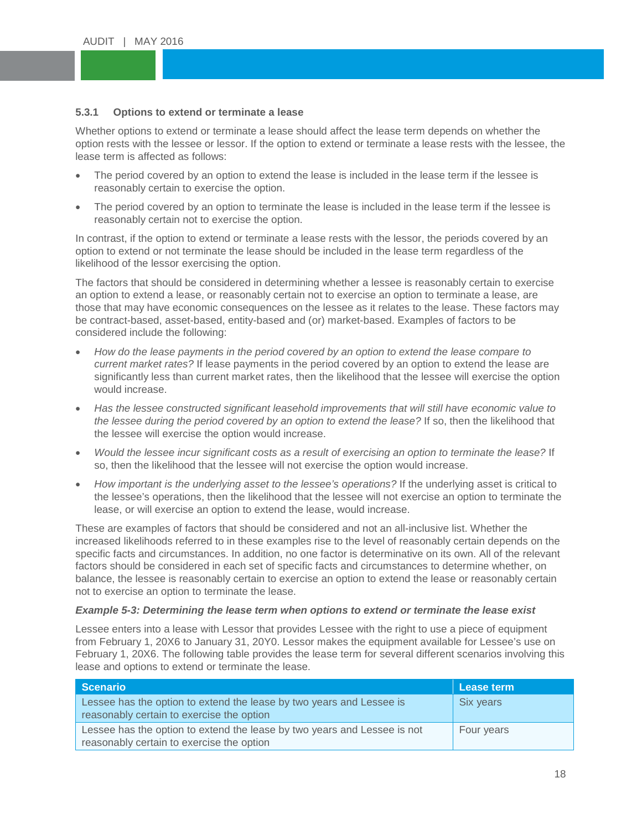# <span id="page-17-0"></span>5.3.1 **Options to extend or terminate a lease**

whence options to extend or terminate a lease should ancet the lease term depends on whether the<br>option rests with the lessee or lessor. If the option to extend or terminate a lease rests with the lessee, the Whether options to extend or terminate a lease should affect the lease term depends on whether the lease term is affected as follows:

- The period covered by an option to extend the lease is included in the lease term if the lessee is reasonably certain to exercise the option.
- reasonably certain to exercise the option.<br>• The period covered by an option to terminate the lease is included in the lease term if the lessee is reasonably certain not to exercise the option.

In contrast, if the option to extend or terminate a lease rests with the lessor, the periods covered by an option to extend or not terminate the lease should be included in the lease term regardless of the likelihood of the lessor exercising the option.

The factors that should be considered in determining whether a lessee is reasonably certain to exercise an option to extend a lease, or reasonably certain not to exercise an option to terminate a lease, are those that may have economic consequences on the lessee as it relates to the lease. These factors may be contract-based, asset-based, entity-based and (or) market-based. Examples of factors to be considered include the following:

- *How do the lease payments in the period covered by an option to extend the lease compare to current market rates?* If lease payments in the period covered by an option to extend the lease are significantly less than current market rates, then the likelihood that the lessee will exercise the option would increase.
- *Has the lessee constructed significant leasehold improvements that will still have economic value to the lessee during the period covered by an option to extend the lease?* If so, then the likelihood that the lessee will exercise the option would increase.
- *Would the lessee incur significant costs as a result of exercising an option to terminate the lease?* If so, then the likelihood that the lessee will not exercise the option would increase.
- *How important is the underlying asset to the lessee's operations?* If the underlying asset is critical to the lessee's operations, then the likelihood that the lessee will not exercise an option to terminate the lease, or will exercise an option to extend the lease, would increase.

These are examples of factors that should be considered and not an all-inclusive list. Whether the increased likelihoods referred to in these examples rise to the level of reasonably certain depends on the specific facts and circumstances. In addition, no one factor is determinative on its own. All of the relevant factors should be considered in each set of specific facts and circumstances to determine whether, on balance, the lessee is reasonably certain to exercise an option to extend the lease or reasonably certain not to exercise an option to terminate the lease.

## *Example 5-3: Determining the lease term when options to extend or terminate the lease exist*

Lessee enters into a lease with Lessor that provides Lessee with the right to use a piece of equipment from February 1, 20X6 to January 31, 20Y0. Lessor makes the equipment available for Lessee's use on February 1, 20X6. The following table provides the lease term for several different scenarios involving this lease and options to extend or terminate the lease.

| Scenario                                                                                                              | Lease term |
|-----------------------------------------------------------------------------------------------------------------------|------------|
| Lessee has the option to extend the lease by two years and Lessee is<br>reasonably certain to exercise the option     | Six years  |
| Lessee has the option to extend the lease by two years and Lessee is not<br>reasonably certain to exercise the option | Four years |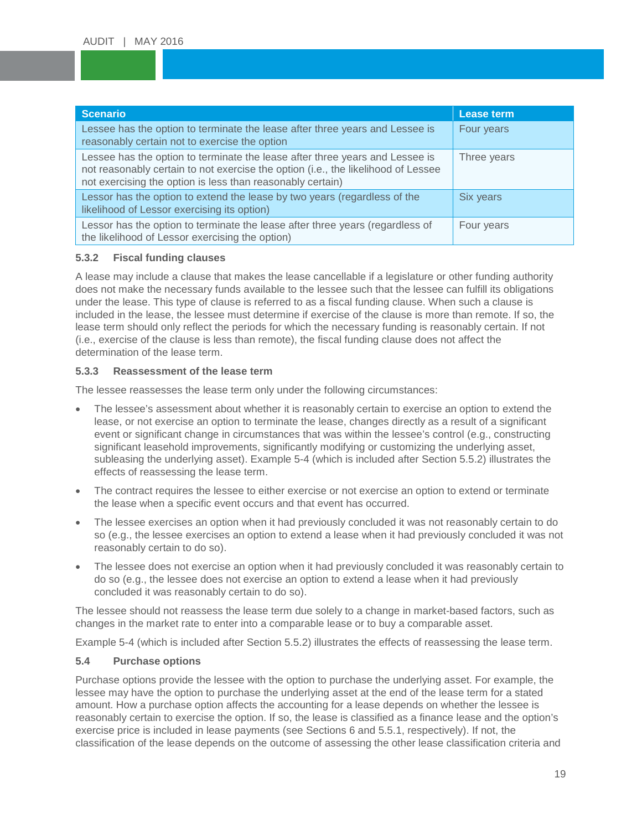| <b>Scenario</b>                                                                                                                                                                                                                 | Lease term  |
|---------------------------------------------------------------------------------------------------------------------------------------------------------------------------------------------------------------------------------|-------------|
| Lessee has the option to terminate the lease after three years and Lessee is<br>reasonably certain not to exercise the option                                                                                                   | Four years  |
| Lessee has the option to terminate the lease after three years and Lessee is<br>not reasonably certain to not exercise the option (i.e., the likelihood of Lessee<br>not exercising the option is less than reasonably certain) | Three years |
| Lessor has the option to extend the lease by two years (regardless of the<br>likelihood of Lessor exercising its option)                                                                                                        | Six years   |
| Lessor has the option to terminate the lease after three years (regardless of<br>the likelihood of Lessor exercising the option)                                                                                                | Four years  |

#### <span id="page-18-0"></span>**5.3.2 Fiscal funding clauses**

A lease may include a clause that makes the lease cancellable if a legislature or other funding authority does not make the necessary funds available to the lessee such that the lessee can fulfill its obligations under the lease. This type of clause is referred to as a fiscal funding clause. When such a clause is included in the lease, the lessee must determine if exercise of the clause is more than remote. If so, the lease term should only reflect the periods for which the necessary funding is reasonably certain. If not (i.e., exercise of the clause is less than remote), the fiscal funding clause does not affect the determination of the lease term.

#### <span id="page-18-1"></span>**5.3.3 Reassessment of the lease term**

The lessee reassesses the lease term only under the following circumstances:

- The lessee's assessment about whether it is reasonably certain to exercise an option to extend the lease, or not exercise an option to terminate the lease, changes directly as a result of a significant event or significant change in circumstances that was within the lessee's control (e.g., constructing significant leasehold improvements, significantly modifying or customizing the underlying asset, subleasing the underlying asset). Example 5-4 (which is included after Section 5.5.2) illustrates the effects of reassessing the lease term.
- The contract requires the lessee to either exercise or not exercise an option to extend or terminate the lease when a specific event occurs and that event has occurred.
- The lessee exercises an option when it had previously concluded it was not reasonably certain to do so (e.g., the lessee exercises an option to extend a lease when it had previously concluded it was not reasonably certain to do so).
- The lessee does not exercise an option when it had previously concluded it was reasonably certain to do so (e.g., the lessee does not exercise an option to extend a lease when it had previously concluded it was reasonably certain to do so).

The lessee should not reassess the lease term due solely to a change in market-based factors, such as changes in the market rate to enter into a comparable lease or to buy a comparable asset.

Example 5-4 (which is included after Section 5.5.2) illustrates the effects of reassessing the lease term.

## <span id="page-18-2"></span>**5.4 Purchase options**

Purchase options provide the lessee with the option to purchase the underlying asset. For example, the lessee may have the option to purchase the underlying asset at the end of the lease term for a stated amount. How a purchase option affects the accounting for a lease depends on whether the lessee is reasonably certain to exercise the option. If so, the lease is classified as a finance lease and the option's exercise price is included in lease payments (see Sections 6 and 5.5.1, respectively). If not, the classification of the lease depends on the outcome of assessing the other lease classification criteria and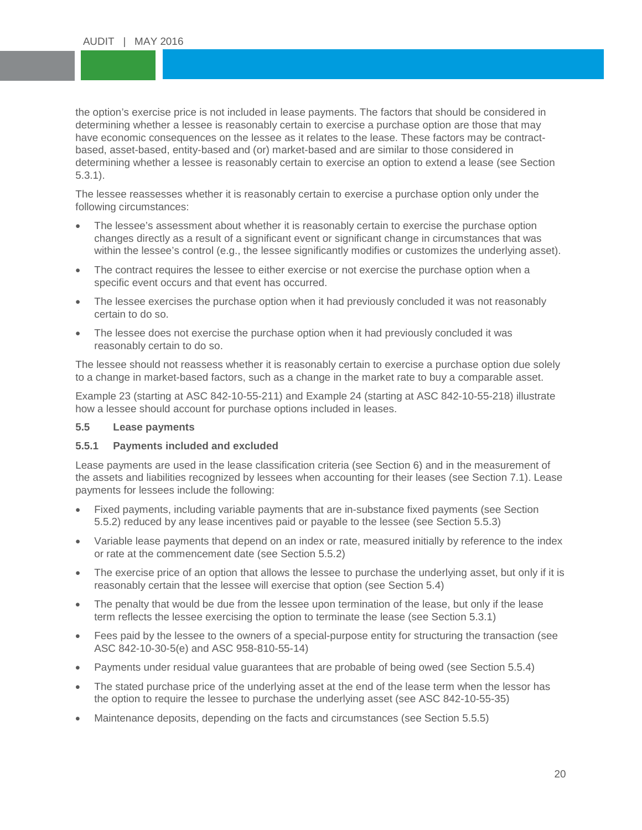the option's exercise price is not included in lease payments. The factors that should be considered ir<br>determining whether a lessee is reasonably certain to exercise a purchase option are those that may have economic consequences on the lessee as it relates to the lease. These factors may be co<br>based, asset-based, entity-based and (or) market-based and are similar to those considered in determining whether a lessee is reasonably certain to exercise an option to extend a lease (see Section<br>5.3.1). the option's exercise price is not included in lease payments. The factors that should be considered in have economic consequences on the lessee as it relates to the lease. These factors may be contract-5.3.1).

The lessee reassesses whether it is reasonably certain to exercise a purchase option only under the<br>following circumstances: following circumstances:

- The lessee's assessment about whether it is reasonably certain to exercise the purchase option changes directly as a result of a significant event or significant change in circumstances that was within the lessee's control (e.g., the lessee significantly modifies or customizes the underlying asset).
- The contract requires the lessee to either exercise or not exercise the purchase option when a specific event occurs and that event has occurred.
- The lessee exercises the purchase option when it had previously concluded it was not reasonably certain to do so.
- The lessee does not exercise the purchase option when it had previously concluded it was reasonably certain to do so.

The lessee should not reassess whether it is reasonably certain to exercise a purchase option due solely to a change in market-based factors, such as a change in the market rate to buy a comparable asset.

Example 23 (starting at ASC 842-10-55-211) and Example 24 (starting at ASC 842-10-55-218) illustrate how a lessee should account for purchase options included in leases.

## <span id="page-19-0"></span>**5.5 Lease payments**

## <span id="page-19-1"></span>**5.5.1 Payments included and excluded**

Lease payments are used in the lease classification criteria (see Section 6) and in the measurement of the assets and liabilities recognized by lessees when accounting for their leases (see Section 7.1). Lease payments for lessees include the following:

- Fixed payments, including variable payments that are in-substance fixed payments (see Section 5.5.2) reduced by any lease incentives paid or payable to the lessee (see Section 5.5.3)
- Variable lease payments that depend on an index or rate, measured initially by reference to the index or rate at the commencement date (see Section 5.5.2)
- The exercise price of an option that allows the lessee to purchase the underlying asset, but only if it is reasonably certain that the lessee will exercise that option (see Section 5.4)
- The penalty that would be due from the lessee upon termination of the lease, but only if the lease term reflects the lessee exercising the option to terminate the lease (see Section 5.3.1)
- Fees paid by the lessee to the owners of a special-purpose entity for structuring the transaction (see ASC 842-10-30-5(e) and ASC 958-810-55-14)
- Payments under residual value guarantees that are probable of being owed (see Section 5.5.4)
- The stated purchase price of the underlying asset at the end of the lease term when the lessor has the option to require the lessee to purchase the underlying asset (see ASC 842-10-55-35)
- Maintenance deposits, depending on the facts and circumstances (see Section 5.5.5)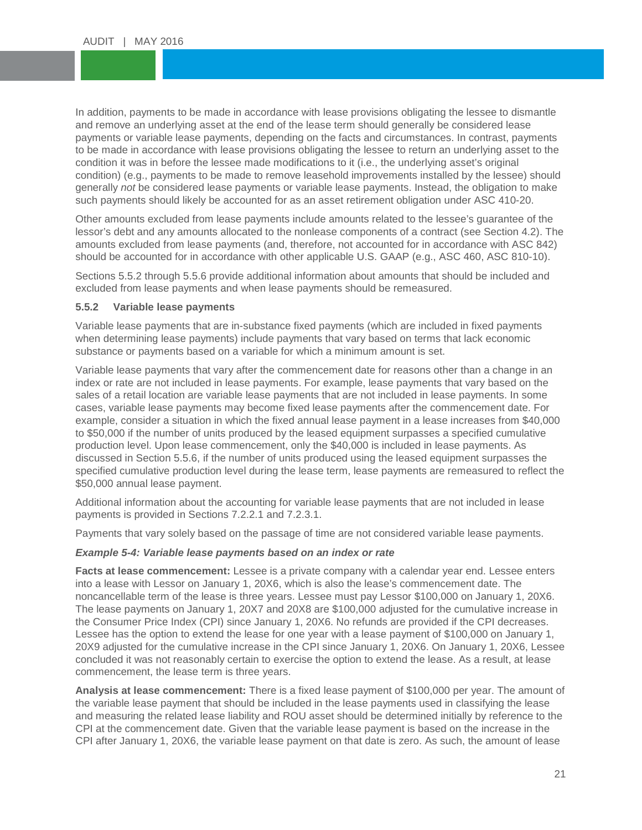In addition, payments to be made in accordance with lease provisions obligating the lessee to dismantle<br>and remove an underlying asset at the end of the lease term should generally be considered lease payments or variable lease payments, depending on the facts and circumstances. In contrast, payments<br>to be made in accordance with lease provisions obligating the lessee to return an underlying asset to the condition it was in before the lessee made modifications to it (i.e., the underlying asset's original<br>condition) (e.g., payments to be made to remove leasehold improvements installed by the lessee) should generally *not* be considered lease payments or variable lease payments. Instead, the obligation to n<br>such payments should likely be accounted for as an asset retirement obligation under ASC 410-20. and remove an underlying asset at the end of the lease term should generally be considered lease payments or variable lease payments, depending on the facts and circumstances. In contrast, payments condition it was in before the lessee made modifications to it (i.e., the underlying asset's original generally *not* be considered lease payments or variable lease payments. Instead, the obligation to make

Other amounts excluded from lease payments include amounts related to the lessee's guarantee of the lessor's debt and any amounts allocated to the nonlease components of a contract (see Section 4.2). The amounts excluded from lease payments (and, therefore, not accounted for in accordance with ASC 842) should be accounted for in accordance with other applicable U.S. GAAP (e.g., ASC 460, ASC 810-10).

Sections 5.5.2 through 5.5.6 provide additional information about amounts that should be included and excluded from lease payments and when lease payments should be remeasured.

#### <span id="page-20-0"></span>**5.5.2 Variable lease payments**

Variable lease payments that are in-substance fixed payments (which are included in fixed payments when determining lease payments) include payments that vary based on terms that lack economic substance or payments based on a variable for which a minimum amount is set.

Variable lease payments that vary after the commencement date for reasons other than a change in an index or rate are not included in lease payments. For example, lease payments that vary based on the sales of a retail location are variable lease payments that are not included in lease payments. In some cases, variable lease payments may become fixed lease payments after the commencement date. For example, consider a situation in which the fixed annual lease payment in a lease increases from \$40,000 to \$50,000 if the number of units produced by the leased equipment surpasses a specified cumulative production level. Upon lease commencement, only the \$40,000 is included in lease payments. As discussed in Section 5.5.6, if the number of units produced using the leased equipment surpasses the specified cumulative production level during the lease term, lease payments are remeasured to reflect the \$50,000 annual lease payment.

Additional information about the accounting for variable lease payments that are not included in lease payments is provided in Sections 7.2.2.1 and 7.2.3.1.

Payments that vary solely based on the passage of time are not considered variable lease payments.

#### *Example 5-4: Variable lease payments based on an index or rate*

**Facts at lease commencement:** Lessee is a private company with a calendar year end. Lessee enters into a lease with Lessor on January 1, 20X6, which is also the lease's commencement date. The noncancellable term of the lease is three years. Lessee must pay Lessor \$100,000 on January 1, 20X6. The lease payments on January 1, 20X7 and 20X8 are \$100,000 adjusted for the cumulative increase in the Consumer Price Index (CPI) since January 1, 20X6. No refunds are provided if the CPI decreases. Lessee has the option to extend the lease for one year with a lease payment of \$100,000 on January 1, 20X9 adjusted for the cumulative increase in the CPI since January 1, 20X6. On January 1, 20X6, Lessee concluded it was not reasonably certain to exercise the option to extend the lease. As a result, at lease commencement, the lease term is three years.

**Analysis at lease commencement:** There is a fixed lease payment of \$100,000 per year. The amount of the variable lease payment that should be included in the lease payments used in classifying the lease and measuring the related lease liability and ROU asset should be determined initially by reference to the CPI at the commencement date. Given that the variable lease payment is based on the increase in the CPI after January 1, 20X6, the variable lease payment on that date is zero. As such, the amount of lease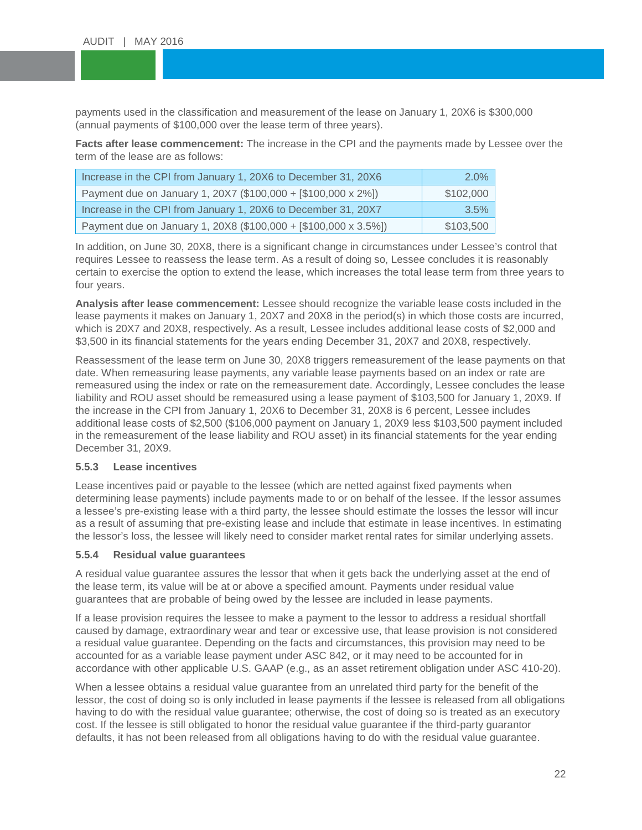payments used in the classification and measurement of the lease on January 1, 20X6 is \$300,000<br>(annual payments of \$100,000 over the lease term of three years). (annual payments of \$100,000 over the lease term of three years).

**Facts after lease commencement:** The increase in the CPI and the payments made by Lessee over the term of the lease are as follows:

| Increase in the CPI from January 1, 20X6 to December 31, 20X6   | $2.0\%$   |
|-----------------------------------------------------------------|-----------|
| Payment due on January 1, 20X7 (\$100,000 + [\$100,000 x 2%])   | \$102,000 |
| Increase in the CPI from January 1, 20X6 to December 31, 20X7   | $3.5\%$   |
| Payment due on January 1, 20X8 (\$100,000 + [\$100,000 x 3.5%]) | \$103,500 |

In addition, on June 30, 20X8, there is a significant change in circumstances under Lessee's control that requires Lessee to reassess the lease term. As a result of doing so, Lessee concludes it is reasonably certain to exercise the option to extend the lease, which increases the total lease term from three years to four years.

**Analysis after lease commencement:** Lessee should recognize the variable lease costs included in the lease payments it makes on January 1, 20X7 and 20X8 in the period(s) in which those costs are incurred, which is 20X7 and 20X8, respectively. As a result, Lessee includes additional lease costs of \$2,000 and \$3,500 in its financial statements for the years ending December 31, 20X7 and 20X8, respectively.

Reassessment of the lease term on June 30, 20X8 triggers remeasurement of the lease payments on that date. When remeasuring lease payments, any variable lease payments based on an index or rate are remeasured using the index or rate on the remeasurement date. Accordingly, Lessee concludes the lease liability and ROU asset should be remeasured using a lease payment of \$103,500 for January 1, 20X9. If the increase in the CPI from January 1, 20X6 to December 31, 20X8 is 6 percent, Lessee includes additional lease costs of \$2,500 (\$106,000 payment on January 1, 20X9 less \$103,500 payment included in the remeasurement of the lease liability and ROU asset) in its financial statements for the year ending December 31, 20X9.

## <span id="page-21-0"></span>**5.5.3 Lease incentives**

Lease incentives paid or payable to the lessee (which are netted against fixed payments when determining lease payments) include payments made to or on behalf of the lessee. If the lessor assumes a lessee's pre-existing lease with a third party, the lessee should estimate the losses the lessor will incur as a result of assuming that pre-existing lease and include that estimate in lease incentives. In estimating the lessor's loss, the lessee will likely need to consider market rental rates for similar underlying assets.

## <span id="page-21-1"></span>**5.5.4 Residual value guarantees**

A residual value guarantee assures the lessor that when it gets back the underlying asset at the end of the lease term, its value will be at or above a specified amount. Payments under residual value guarantees that are probable of being owed by the lessee are included in lease payments.

If a lease provision requires the lessee to make a payment to the lessor to address a residual shortfall caused by damage, extraordinary wear and tear or excessive use, that lease provision is not considered a residual value guarantee. Depending on the facts and circumstances, this provision may need to be accounted for as a variable lease payment under ASC 842, or it may need to be accounted for in accordance with other applicable U.S. GAAP (e.g., as an asset retirement obligation under ASC 410-20).

When a lessee obtains a residual value guarantee from an unrelated third party for the benefit of the lessor, the cost of doing so is only included in lease payments if the lessee is released from all obligations having to do with the residual value guarantee; otherwise, the cost of doing so is treated as an executory cost. If the lessee is still obligated to honor the residual value guarantee if the third-party guarantor defaults, it has not been released from all obligations having to do with the residual value guarantee.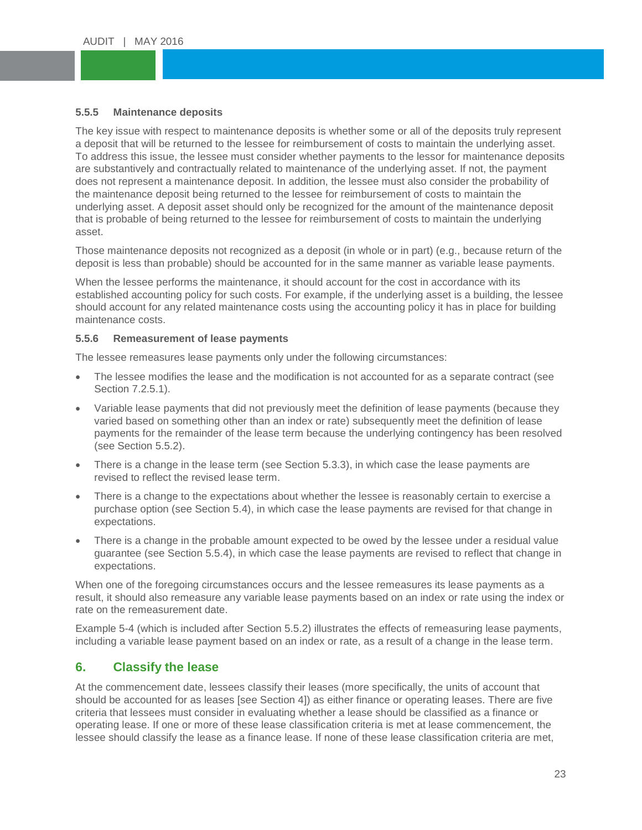# <span id="page-22-0"></span>**5.5.5** Maintenance deposits<br>The contribution of the contribution of the contribution

The Rey issue with respect to maintenance deposits is whench some of air of the deposits trary represent a deposit that will be returned to the lessee for reimbursement of costs to maintain the underlying asset. To database this issue, the issues must consider this holid payments to the losses for maintenance depote.<br>The underlying asset. If not, the payment<br>does not represent a maintenance deposit. In addition, the losses must al the maintenance deposit being returned to the lessee for reimbursement of costs to maintain the<br>underlying asset. A deposit asset should only be recognized for the amount of the maintenance d The key issue with respect to maintenance deposits is whether some or all of the deposits truly represent To address this issue, the lessee must consider whether payments to the lessor for maintenance deposits does not represent a maintenance deposit. In addition, the lessee must also consider the probability of underlying asset. A deposit asset should only be recognized for the amount of the maintenance deposit that is probable of being returned to the lessee for reimbursement of costs to maintain the underlying asset.

Those maintenance deposits not recognized as a deposit (in whole or in part) (e.g., because return of the deposit is less than probable) should be accounted for in the same manner as variable lease payments.

When the lessee performs the maintenance, it should account for the cost in accordance with its established accounting policy for such costs. For example, if the underlying asset is a building, the lessee should account for any related maintenance costs using the accounting policy it has in place for building maintenance costs.

## <span id="page-22-1"></span>**5.5.6 Remeasurement of lease payments**

The lessee remeasures lease payments only under the following circumstances:

- The lessee modifies the lease and the modification is not accounted for as a separate contract (see Section 7.2.5.1).
- Variable lease payments that did not previously meet the definition of lease payments (because they varied based on something other than an index or rate) subsequently meet the definition of lease payments for the remainder of the lease term because the underlying contingency has been resolved (see Section 5.5.2).
- There is a change in the lease term (see Section 5.3.3), in which case the lease payments are revised to reflect the revised lease term.
- There is a change to the expectations about whether the lessee is reasonably certain to exercise a purchase option (see Section 5.4), in which case the lease payments are revised for that change in expectations.
- There is a change in the probable amount expected to be owed by the lessee under a residual value guarantee (see Section 5.5.4), in which case the lease payments are revised to reflect that change in expectations.

When one of the foregoing circumstances occurs and the lessee remeasures its lease payments as a result, it should also remeasure any variable lease payments based on an index or rate using the index or rate on the remeasurement date.

Example 5-4 (which is included after Section 5.5.2) illustrates the effects of remeasuring lease payments, including a variable lease payment based on an index or rate, as a result of a change in the lease term.

## <span id="page-22-2"></span>**6. Classify the lease**

At the commencement date, lessees classify their leases (more specifically, the units of account that should be accounted for as leases [see Section 4]) as either finance or operating leases. There are five criteria that lessees must consider in evaluating whether a lease should be classified as a finance or operating lease. If one or more of these lease classification criteria is met at lease commencement, the lessee should classify the lease as a finance lease. If none of these lease classification criteria are met,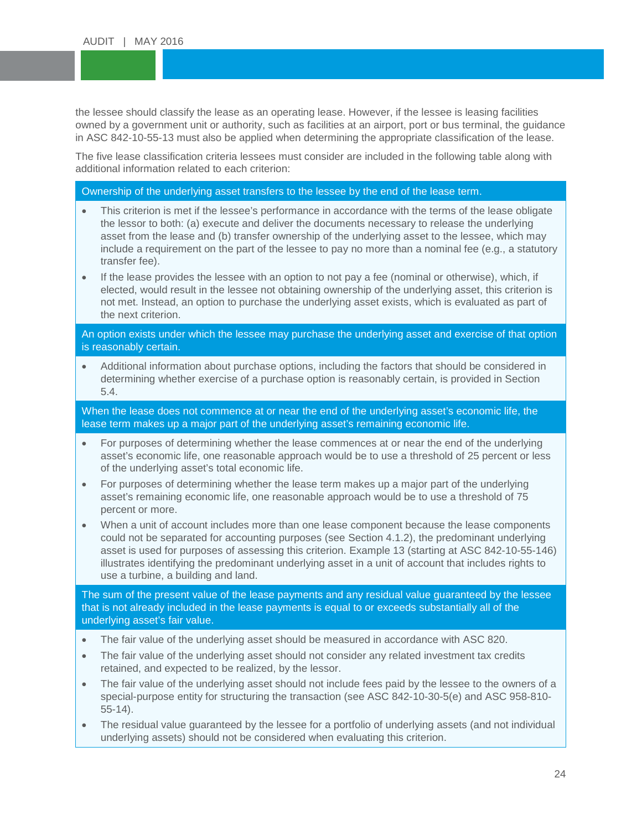the lessee should classify the lease as an operating lease. However, if the lessee is leasing facilities<br>owned by a government unit or authority, such as facilities at an airport, port or bus terminal, the quid in ASC 842-10-55-13 must also be applied when determining the appropriate classification of the lease.<br>The five lease classification exitatio leasees must especially are included in the following table class with owned by a government unit or authority, such as facilities at an airport, port or bus terminal, the guidance

The the lease elasemeation effects include the criterion:<br>additional information related to each criterion: The five lease classification criteria lessees must consider are included in the following table along with

Ownership of the underlying asset transfers to the lessee by the end of the lease term.

- This criterion is met if the lessee's performance in accordance with the terms of the lease obligate the lessor to both: (a) execute and deliver the documents necessary to release the underlying asset from the lease and (b) transfer ownership of the underlying asset to the lessee, which may include a requirement on the part of the lessee to pay no more than a nominal fee (e.g., a statutory transfer fee).
- If the lease provides the lessee with an option to not pay a fee (nominal or otherwise), which, if elected, would result in the lessee not obtaining ownership of the underlying asset, this criterion is not met. Instead, an option to purchase the underlying asset exists, which is evaluated as part of the next criterion.

An option exists under which the lessee may purchase the underlying asset and exercise of that option is reasonably certain.

• Additional information about purchase options, including the factors that should be considered in determining whether exercise of a purchase option is reasonably certain, is provided in Section 5.4.

When the lease does not commence at or near the end of the underlying asset's economic life, the lease term makes up a major part of the underlying asset's remaining economic life.

- For purposes of determining whether the lease commences at or near the end of the underlying asset's economic life, one reasonable approach would be to use a threshold of 25 percent or less of the underlying asset's total economic life.
- For purposes of determining whether the lease term makes up a major part of the underlying asset's remaining economic life, one reasonable approach would be to use a threshold of 75 percent or more.
- When a unit of account includes more than one lease component because the lease components could not be separated for accounting purposes (see Section 4.1.2), the predominant underlying asset is used for purposes of assessing this criterion. Example 13 (starting at ASC 842-10-55-146) illustrates identifying the predominant underlying asset in a unit of account that includes rights to use a turbine, a building and land.

The sum of the present value of the lease payments and any residual value guaranteed by the lessee that is not already included in the lease payments is equal to or exceeds substantially all of the underlying asset's fair value.

- The fair value of the underlying asset should be measured in accordance with ASC 820.
- The fair value of the underlying asset should not consider any related investment tax credits retained, and expected to be realized, by the lessor.
- The fair value of the underlying asset should not include fees paid by the lessee to the owners of a special-purpose entity for structuring the transaction (see ASC 842-10-30-5(e) and ASC 958-810- 55-14).
- The residual value guaranteed by the lessee for a portfolio of underlying assets (and not individual underlying assets) should not be considered when evaluating this criterion.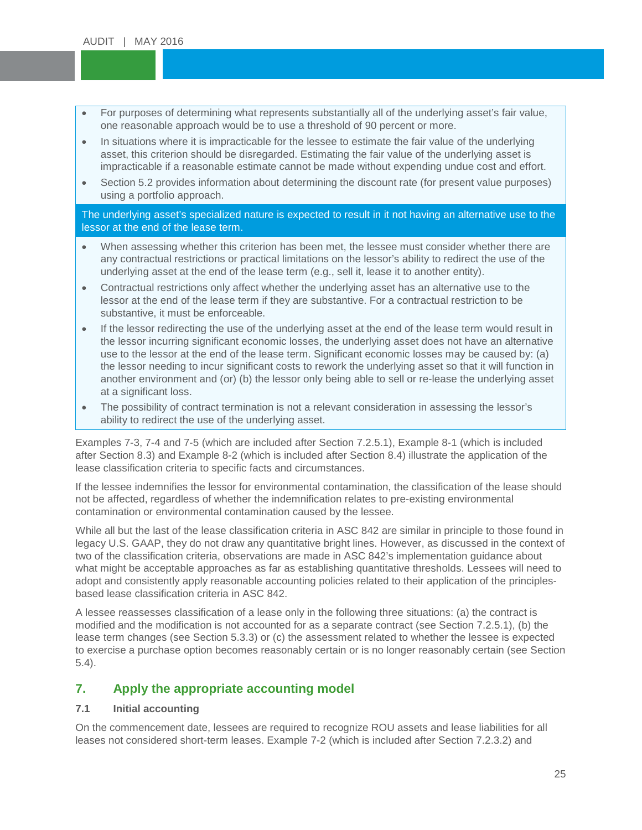- For purposes of determining what represents substantially all of the underlying asset's fair value, one reasonable approach would be to use a threshold of 90 percent or more. one reasonable approach would be to use a threshold of 90 percent or more.
- In situations where it is impracticable for the lessee to estimate the fair value of the underlying<br>asset this criterion should be disregarded. Estimating the fair value of the underlying asset is impracticable if a reasonable estimate cannot be made without expending undue cost and effort. asset, this criterion should be disregarded. Estimating the fair value of the underlying asset is
- **Example 20** increase increase the case of a second using a portfolio approach. • Section 5.2 provides information about determining the discount rate (for present value purposes)

The underlying asset's specialized nature is expected to result in it not having an alternative use to the lessor at the end of the lease term.

- When assessing whether this criterion has been met, the lessee must consider whether there are any contractual restrictions or practical limitations on the lessor's ability to redirect the use of the underlying asset at the end of the lease term (e.g., sell it, lease it to another entity).
- Contractual restrictions only affect whether the underlying asset has an alternative use to the lessor at the end of the lease term if they are substantive. For a contractual restriction to be substantive, it must be enforceable.
- If the lessor redirecting the use of the underlying asset at the end of the lease term would result in the lessor incurring significant economic losses, the underlying asset does not have an alternative use to the lessor at the end of the lease term. Significant economic losses may be caused by: (a) the lessor needing to incur significant costs to rework the underlying asset so that it will function in another environment and (or) (b) the lessor only being able to sell or re-lease the underlying asset at a significant loss.
- The possibility of contract termination is not a relevant consideration in assessing the lessor's ability to redirect the use of the underlying asset.

Examples 7-3, 7-4 and 7-5 (which are included after Section 7.2.5.1), Example 8-1 (which is included after Section 8.3) and Example 8-2 (which is included after Section 8.4) illustrate the application of the lease classification criteria to specific facts and circumstances.

If the lessee indemnifies the lessor for environmental contamination, the classification of the lease should not be affected, regardless of whether the indemnification relates to pre-existing environmental contamination or environmental contamination caused by the lessee.

While all but the last of the lease classification criteria in ASC 842 are similar in principle to those found in legacy U.S. GAAP, they do not draw any quantitative bright lines. However, as discussed in the context of two of the classification criteria, observations are made in ASC 842's implementation guidance about what might be acceptable approaches as far as establishing quantitative thresholds. Lessees will need to adopt and consistently apply reasonable accounting policies related to their application of the principlesbased lease classification criteria in ASC 842.

A lessee reassesses classification of a lease only in the following three situations: (a) the contract is modified and the modification is not accounted for as a separate contract (see Section 7.2.5.1), (b) the lease term changes (see Section 5.3.3) or (c) the assessment related to whether the lessee is expected to exercise a purchase option becomes reasonably certain or is no longer reasonably certain (see Section 5.4).

## <span id="page-24-0"></span>**7. Apply the appropriate accounting model**

## <span id="page-24-1"></span>**7.1 Initial accounting**

On the commencement date, lessees are required to recognize ROU assets and lease liabilities for all leases not considered short-term leases. Example 7-2 (which is included after Section 7.2.3.2) and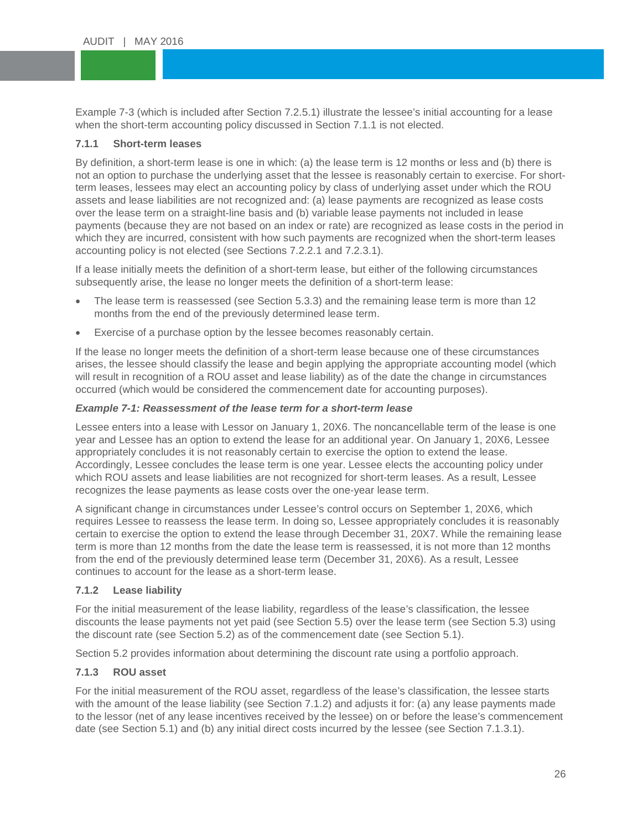Example 7-3 (which is included after Section 7.2.5.1) illustrate the lessee's initia<br>when the short-term accounting policy discussed in Section 7.1.1 is not elected. Example 7-3 (which is included after Section 7.2.5.1) illustrate the lessee's initial accounting for a lease

# <span id="page-25-0"></span>**7.1.1** Short-term leases

By definition, a short-term lease is one in which: (a) the lease term is 12 months or less and (b) there is<br>not an option to purchase the underlying asset that the lessee is reasonably certain to exercise. For shortterm leases, lessees may elect an accounting policy by class of underlying asset under which the ROI<br>assets and lease liabilities are not recognized and: (a) lease payments are recognized as lease costs By definition, a short-term lease is one in which: (a) the lease term is 12 months or less and (b) there is term leases, lessees may elect an accounting policy by class of underlying asset under which the ROU over the lease term on a straight-line basis and (b) variable lease payments not included in lease payments (because they are not based on an index or rate) are recognized as lease costs in the period in which they are incurred, consistent with how such payments are recognized when the short-term leases accounting policy is not elected (see Sections 7.2.2.1 and 7.2.3.1).

If a lease initially meets the definition of a short-term lease, but either of the following circumstances subsequently arise, the lease no longer meets the definition of a short-term lease:

- The lease term is reassessed (see Section 5.3.3) and the remaining lease term is more than 12 months from the end of the previously determined lease term.
- Exercise of a purchase option by the lessee becomes reasonably certain.

If the lease no longer meets the definition of a short-term lease because one of these circumstances arises, the lessee should classify the lease and begin applying the appropriate accounting model (which will result in recognition of a ROU asset and lease liability) as of the date the change in circumstances occurred (which would be considered the commencement date for accounting purposes).

## *Example 7-1: Reassessment of the lease term for a short-term lease*

Lessee enters into a lease with Lessor on January 1, 20X6. The noncancellable term of the lease is one year and Lessee has an option to extend the lease for an additional year. On January 1, 20X6, Lessee appropriately concludes it is not reasonably certain to exercise the option to extend the lease. Accordingly, Lessee concludes the lease term is one year. Lessee elects the accounting policy under which ROU assets and lease liabilities are not recognized for short-term leases. As a result, Lessee recognizes the lease payments as lease costs over the one-year lease term.

A significant change in circumstances under Lessee's control occurs on September 1, 20X6, which requires Lessee to reassess the lease term. In doing so, Lessee appropriately concludes it is reasonably certain to exercise the option to extend the lease through December 31, 20X7. While the remaining lease term is more than 12 months from the date the lease term is reassessed, it is not more than 12 months from the end of the previously determined lease term (December 31, 20X6). As a result, Lessee continues to account for the lease as a short-term lease.

## <span id="page-25-1"></span>**7.1.2 Lease liability**

For the initial measurement of the lease liability, regardless of the lease's classification, the lessee discounts the lease payments not yet paid (see Section 5.5) over the lease term (see Section 5.3) using the discount rate (see Section 5.2) as of the commencement date (see Section 5.1).

Section 5.2 provides information about determining the discount rate using a portfolio approach.

## <span id="page-25-2"></span>**7.1.3 ROU asset**

For the initial measurement of the ROU asset, regardless of the lease's classification, the lessee starts with the amount of the lease liability (see Section 7.1.2) and adjusts it for: (a) any lease payments made to the lessor (net of any lease incentives received by the lessee) on or before the lease's commencement date (see Section 5.1) and (b) any initial direct costs incurred by the lessee (see Section 7.1.3.1).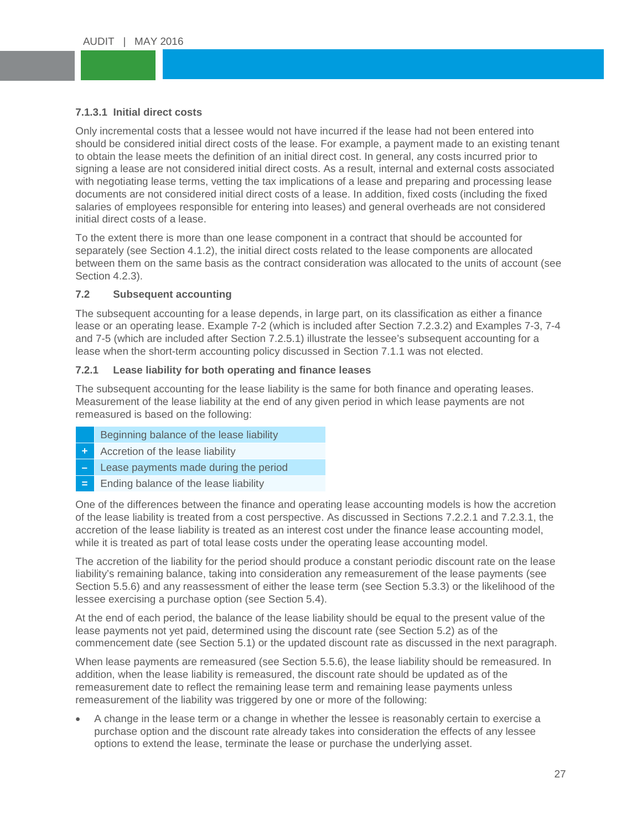## <span id="page-26-0"></span>**7.1.3.1 Initial direct costs**

7.1.3.1 Initial direct costs<br>Only incremental costs that a lessee would not have incurred if the lease had not been entered into Should be considered initial direct costs of the lease. For example, a payment made to an existing tenant the characteristic state of the lease. For example, a payment made to an existing tenant signing a lease are not considered initial direct costs. As a result, internal and external costs associated<br>with peoptiating lease terms, vetting the tax implications of a lease and preparing and processing lease. documents are not considered initial direct costs of a lease. In addition, fixed costs (including the fixed<br>salaries of employees responsible for entering into leases) and general overheads are not considered to obtain the lease meets the definition of an initial direct cost. In general, any costs incurred prior to with negotiating lease terms, vetting the tax implications of a lease and preparing and processing lease salaries of employees responsible for entering into leases) and general overheads are not considered initial direct costs of a lease.

To the extent there is more than one lease component in a contract that should be accounted for separately (see Section 4.1.2), the initial direct costs related to the lease components are allocated between them on the same basis as the contract consideration was allocated to the units of account (see Section 4.2.3).

## <span id="page-26-1"></span>**7.2 Subsequent accounting**

The subsequent accounting for a lease depends, in large part, on its classification as either a finance lease or an operating lease. Example 7-2 (which is included after Section 7.2.3.2) and Examples 7-3, 7-4 and 7-5 (which are included after Section 7.2.5.1) illustrate the lessee's subsequent accounting for a lease when the short-term accounting policy discussed in Section 7.1.1 was not elected.

#### <span id="page-26-2"></span>**7.2.1 Lease liability for both operating and finance leases**

The subsequent accounting for the lease liability is the same for both finance and operating leases. Measurement of the lease liability at the end of any given period in which lease payments are not remeasured is based on the following:

- Beginning balance of the lease liability
- **+** Accretion of the lease liability
- **–** Lease payments made during the period
- **=** Ending balance of the lease liability

One of the differences between the finance and operating lease accounting models is how the accretion of the lease liability is treated from a cost perspective. As discussed in Sections 7.2.2.1 and 7.2.3.1, the accretion of the lease liability is treated as an interest cost under the finance lease accounting model, while it is treated as part of total lease costs under the operating lease accounting model.

The accretion of the liability for the period should produce a constant periodic discount rate on the lease liability's remaining balance, taking into consideration any remeasurement of the lease payments (see Section 5.5.6) and any reassessment of either the lease term (see Section 5.3.3) or the likelihood of the lessee exercising a purchase option (see Section 5.4).

At the end of each period, the balance of the lease liability should be equal to the present value of the lease payments not yet paid, determined using the discount rate (see Section 5.2) as of the commencement date (see Section 5.1) or the updated discount rate as discussed in the next paragraph.

When lease payments are remeasured (see Section 5.5.6), the lease liability should be remeasured. In addition, when the lease liability is remeasured, the discount rate should be updated as of the remeasurement date to reflect the remaining lease term and remaining lease payments unless remeasurement of the liability was triggered by one or more of the following:

• A change in the lease term or a change in whether the lessee is reasonably certain to exercise a purchase option and the discount rate already takes into consideration the effects of any lessee options to extend the lease, terminate the lease or purchase the underlying asset.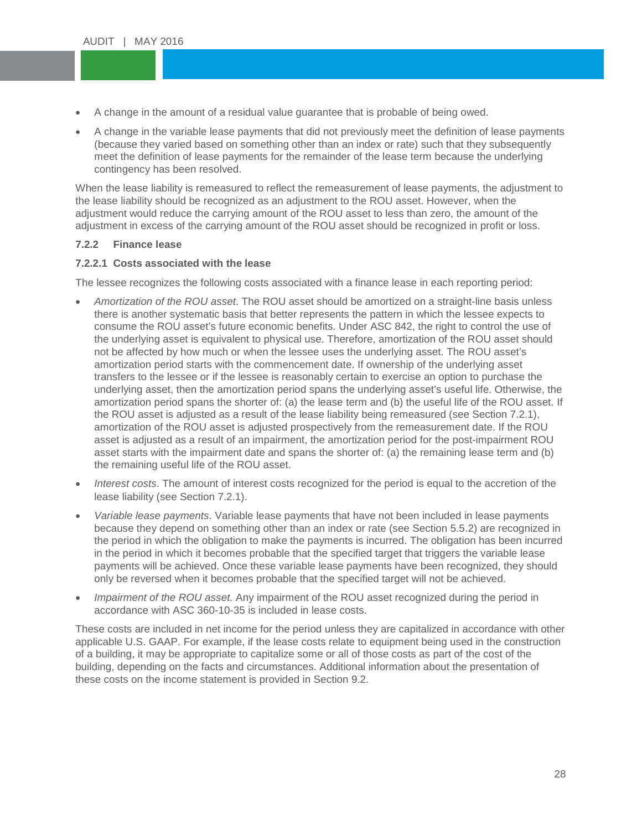- A change in the amount of a residual value guarantee that is probable of being owed.
- A change in the variable lease payments that did not previously meet the definition of lease payment (because they varied based on something other than an index or rate) such that they subsequently contingency has been resolved. • A change in the variable lease payments that did not previously meet the definition of lease payments meet the definition of lease payments for the remainder of the lease term because the underlying

When the lease liability is remeasured to reflect the remeasurement of lease payments, the adju<br>the lease liability should be recognized as an adjustment to the ROU asset. However, when the When the lease liability is remeasured to reflect the remeasurement of lease payments, the adjustment to adjustment would reduce the carrying amount of the ROU asset to less than zero, the amount of the adjustment in excess of the carrying amount of the ROU asset should be recognized in profit or loss.

## <span id="page-27-0"></span>**7.2.2 Finance lease**

## <span id="page-27-1"></span>**7.2.2.1 Costs associated with the lease**

The lessee recognizes the following costs associated with a finance lease in each reporting period:

- *Amortization of the ROU asset*. The ROU asset should be amortized on a straight-line basis unless there is another systematic basis that better represents the pattern in which the lessee expects to consume the ROU asset's future economic benefits. Under ASC 842, the right to control the use of the underlying asset is equivalent to physical use. Therefore, amortization of the ROU asset should not be affected by how much or when the lessee uses the underlying asset. The ROU asset's amortization period starts with the commencement date. If ownership of the underlying asset transfers to the lessee or if the lessee is reasonably certain to exercise an option to purchase the underlying asset, then the amortization period spans the underlying asset's useful life. Otherwise, the amortization period spans the shorter of: (a) the lease term and (b) the useful life of the ROU asset. If the ROU asset is adjusted as a result of the lease liability being remeasured (see Section 7.2.1), amortization of the ROU asset is adjusted prospectively from the remeasurement date. If the ROU asset is adjusted as a result of an impairment, the amortization period for the post-impairment ROU asset starts with the impairment date and spans the shorter of: (a) the remaining lease term and (b) the remaining useful life of the ROU asset.
- *Interest costs*. The amount of interest costs recognized for the period is equal to the accretion of the lease liability (see Section 7.2.1).
- *Variable lease payments*. Variable lease payments that have not been included in lease payments because they depend on something other than an index or rate (see Section 5.5.2) are recognized in the period in which the obligation to make the payments is incurred. The obligation has been incurred in the period in which it becomes probable that the specified target that triggers the variable lease payments will be achieved. Once these variable lease payments have been recognized, they should only be reversed when it becomes probable that the specified target will not be achieved.
- *Impairment of the ROU asset.* Any impairment of the ROU asset recognized during the period in accordance with ASC 360-10-35 is included in lease costs.

These costs are included in net income for the period unless they are capitalized in accordance with other applicable U.S. GAAP. For example, if the lease costs relate to equipment being used in the construction of a building, it may be appropriate to capitalize some or all of those costs as part of the cost of the building, depending on the facts and circumstances. Additional information about the presentation of these costs on the income statement is provided in Section 9.2.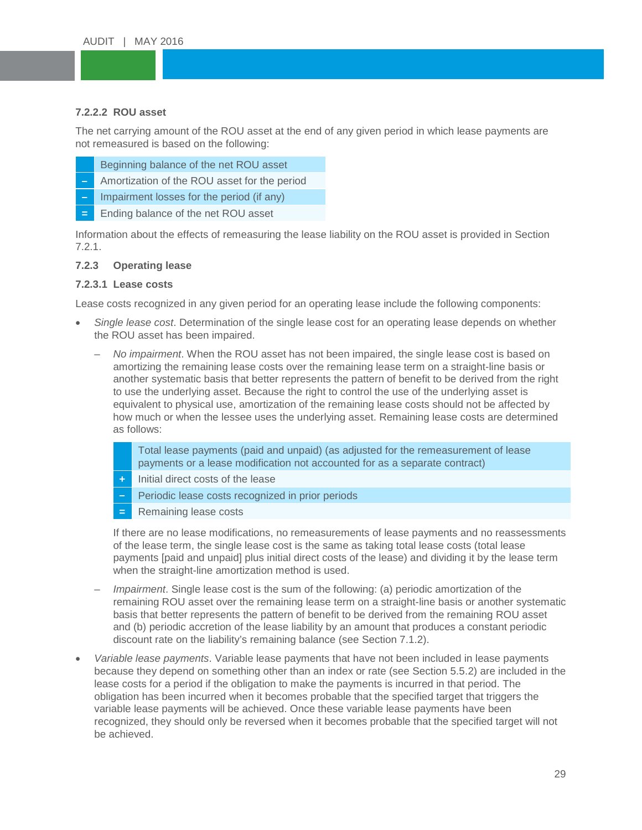## <span id="page-28-0"></span>**7.2.2.2 ROU asset**

**7.2.2.2 ROU asset**<br>The net carrying amount of the ROU asset at the end of any given period in which lease payments are The net carrying amount of the NOO asset at the end<br>not remeasured is based on the following:

- Beginning balance of the net ROU asset<br>Amortization of the ROU asset for the period
- **–** Amortization of the ROU asset for the period
- **For Impairment losses for the period (if any)**
- **=** Ending balance of the net ROU asset

Information about the effects of remeasuring the lease liability on the ROU asset is provided in Section 7.2.1.

## <span id="page-28-1"></span>**7.2.3 Operating lease**

#### <span id="page-28-2"></span>**7.2.3.1 Lease costs**

Lease costs recognized in any given period for an operating lease include the following components:

- *Single lease cost*. Determination of the single lease cost for an operating lease depends on whether the ROU asset has been impaired.
	- *No impairment*. When the ROU asset has not been impaired, the single lease cost is based on amortizing the remaining lease costs over the remaining lease term on a straight-line basis or another systematic basis that better represents the pattern of benefit to be derived from the right to use the underlying asset. Because the right to control the use of the underlying asset is equivalent to physical use, amortization of the remaining lease costs should not be affected by how much or when the lessee uses the underlying asset. Remaining lease costs are determined as follows:
		- Total lease payments (paid and unpaid) (as adjusted for the remeasurement of lease payments or a lease modification not accounted for as a separate contract)
		- **+** Initial direct costs of the lease
		- **–** Periodic lease costs recognized in prior periods
		- **=** Remaining lease costs

If there are no lease modifications, no remeasurements of lease payments and no reassessments of the lease term, the single lease cost is the same as taking total lease costs (total lease payments [paid and unpaid] plus initial direct costs of the lease) and dividing it by the lease term when the straight-line amortization method is used.

- *Impairment*. Single lease cost is the sum of the following: (a) periodic amortization of the remaining ROU asset over the remaining lease term on a straight-line basis or another systematic basis that better represents the pattern of benefit to be derived from the remaining ROU asset and (b) periodic accretion of the lease liability by an amount that produces a constant periodic discount rate on the liability's remaining balance (see Section 7.1.2).
- *Variable lease payments*. Variable lease payments that have not been included in lease payments because they depend on something other than an index or rate (see Section 5.5.2) are included in the lease costs for a period if the obligation to make the payments is incurred in that period. The obligation has been incurred when it becomes probable that the specified target that triggers the variable lease payments will be achieved. Once these variable lease payments have been recognized, they should only be reversed when it becomes probable that the specified target will not be achieved.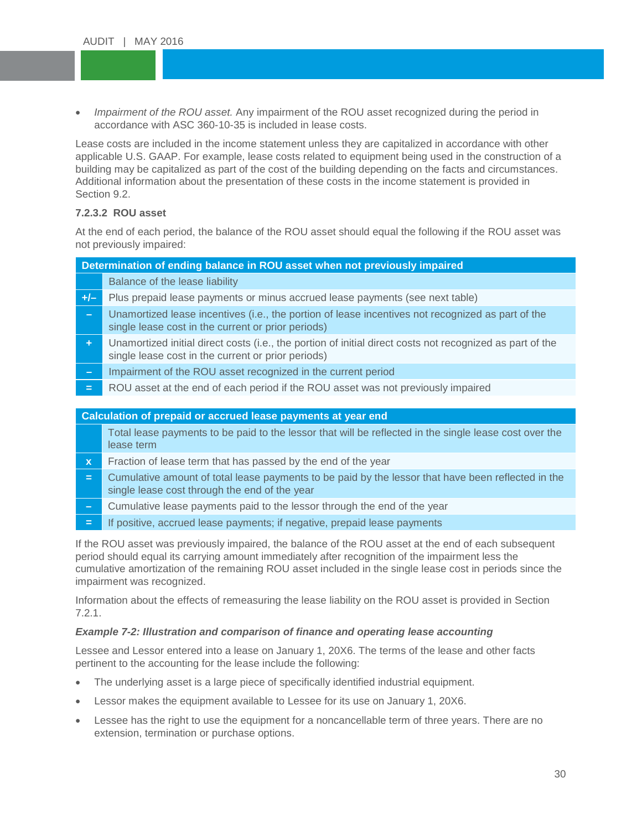• *Impairment of the ROU asset.* Any impairment of the ROU asset recognized during the period in accordance with ASC 360-10-35 is included in lease costs. accordance with ASC 360-10-35 is included in lease costs.

Lease costs are included in the income statement unless they are capitalized in accordance with other<br>capitalized by LLS, CAAD, For example, lasse seets related to exviring at heing used in the construction of spheasile effect of the cost of the cost of the building depending on the facts and circumstances.<br>Additional information about the presentation of these costs in the income statement is provided in FOR LESSEES applicable U.S. GAAP. For example, lease costs related to equipment being used in the construction of a Additional information about the presentation of these costs in the income statement is provided in Section 9.2.

## <span id="page-29-0"></span>**7.2.3.2 ROU asset**

At the end of each period, the balance of the ROU asset should equal the following if the ROU asset was not previously impaired:

|              | Determination of ending balance in ROU asset when not previously impaired                                                                                       |
|--------------|-----------------------------------------------------------------------------------------------------------------------------------------------------------------|
|              | Balance of the lease liability                                                                                                                                  |
| $+/-$        | Plus prepaid lease payments or minus accrued lease payments (see next table)                                                                                    |
| $\sim$       | Unamortized lease incentives (i.e., the portion of lease incentives not recognized as part of the<br>single lease cost in the current or prior periods)         |
| ÷.           | Unamortized initial direct costs (i.e., the portion of initial direct costs not recognized as part of the<br>single lease cost in the current or prior periods) |
| $\equiv$     | Impairment of the ROU asset recognized in the current period                                                                                                    |
| $=$          | ROU asset at the end of each period if the ROU asset was not previously impaired                                                                                |
|              |                                                                                                                                                                 |
|              | Calculation of prepaid or accrued lease payments at year end                                                                                                    |
|              | Total lease payments to be paid to the lessor that will be reflected in the single lease cost over the<br>lease term                                            |
| $\mathbf{x}$ | Fraction of lease term that has passed by the end of the year                                                                                                   |
| $=$          | Cumulative amount of total lease payments to be paid by the lessor that have been reflected in the<br>single lease cost through the end of the year             |
|              |                                                                                                                                                                 |

- **–** Cumulative lease payments paid to the lessor through the end of the year
- **=** If positive, accrued lease payments; if negative, prepaid lease payments

If the ROU asset was previously impaired, the balance of the ROU asset at the end of each subsequent period should equal its carrying amount immediately after recognition of the impairment less the cumulative amortization of the remaining ROU asset included in the single lease cost in periods since the impairment was recognized.

Information about the effects of remeasuring the lease liability on the ROU asset is provided in Section 7.2.1.

## *Example 7-2: Illustration and comparison of finance and operating lease accounting*

Lessee and Lessor entered into a lease on January 1, 20X6. The terms of the lease and other facts pertinent to the accounting for the lease include the following:

- The underlying asset is a large piece of specifically identified industrial equipment.
- Lessor makes the equipment available to Lessee for its use on January 1, 20X6.
- Lessee has the right to use the equipment for a noncancellable term of three years. There are no extension, termination or purchase options.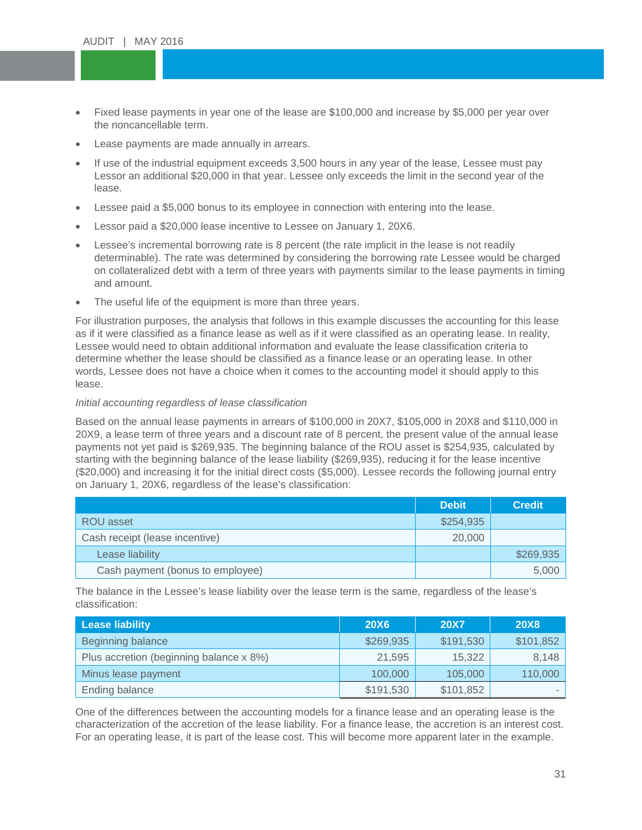- Fixed lease payments in year one of the lease are \$100,000 and increase by \$5,000 per year over the noncancellable term. the noncancellable term.
- Lease payments are made annually in arrears.
- If use of the industrial equipment exceeds 3,500 hours in any year of the lease, Lessee must pay<br>Lessor an additional \$20,000 in that year. Lessee only exceeds the limit in the second year of the If use of the industrial equipment exceeds 3,500 hours in any year of the lease, Lessee must pay lease.
- ease.<br>● Lessee paid a \$5,000 bonus to its employee in connection with entering into the lease.
- Lessor paid a \$20,000 lease incentive to Lessee on January 1, 20X6.
- Lessee's incremental borrowing rate is 8 percent (the rate implicit in the lease is not readily determinable). The rate was determined by considering the borrowing rate Lessee would be charged on collateralized debt with a term of three years with payments similar to the lease payments in timing and amount.
- The useful life of the equipment is more than three years.

For illustration purposes, the analysis that follows in this example discusses the accounting for this lease as if it were classified as a finance lease as well as if it were classified as an operating lease. In reality, Lessee would need to obtain additional information and evaluate the lease classification criteria to determine whether the lease should be classified as a finance lease or an operating lease. In other words, Lessee does not have a choice when it comes to the accounting model it should apply to this lease.

#### *Initial accounting regardless of lease classification*

Based on the annual lease payments in arrears of \$100,000 in 20X7, \$105,000 in 20X8 and \$110,000 in 20X9, a lease term of three years and a discount rate of 8 percent, the present value of the annual lease payments not yet paid is \$269,935. The beginning balance of the ROU asset is \$254,935, calculated by starting with the beginning balance of the lease liability (\$269,935), reducing it for the lease incentive (\$20,000) and increasing it for the initial direct costs (\$5,000). Lessee records the following journal entry on January 1, 20X6, regardless of the lease's classification:

|                                  | <b>Debit</b> | <b>Credit</b> |
|----------------------------------|--------------|---------------|
| ROU asset                        | \$254,935    |               |
| Cash receipt (lease incentive)   | 20,000       |               |
| Lease liability                  |              | \$269,935     |
| Cash payment (bonus to employee) |              | 5,000         |

The balance in the Lessee's lease liability over the lease term is the same, regardless of the lease's classification:

| <b>Lease liability</b>                  | <b>20X6</b> | <b>20X7</b> | <b>20X8</b> |
|-----------------------------------------|-------------|-------------|-------------|
| Beginning balance                       | \$269,935   | \$191,530   | \$101,852   |
| Plus accretion (beginning balance x 8%) | 21,595      | 15,322      | 8,148       |
| Minus lease payment                     | 100,000     | 105,000     | 110,000     |
| Ending balance                          | \$191,530   | \$101,852   |             |

One of the differences between the accounting models for a finance lease and an operating lease is the characterization of the accretion of the lease liability. For a finance lease, the accretion is an interest cost. For an operating lease, it is part of the lease cost. This will become more apparent later in the example.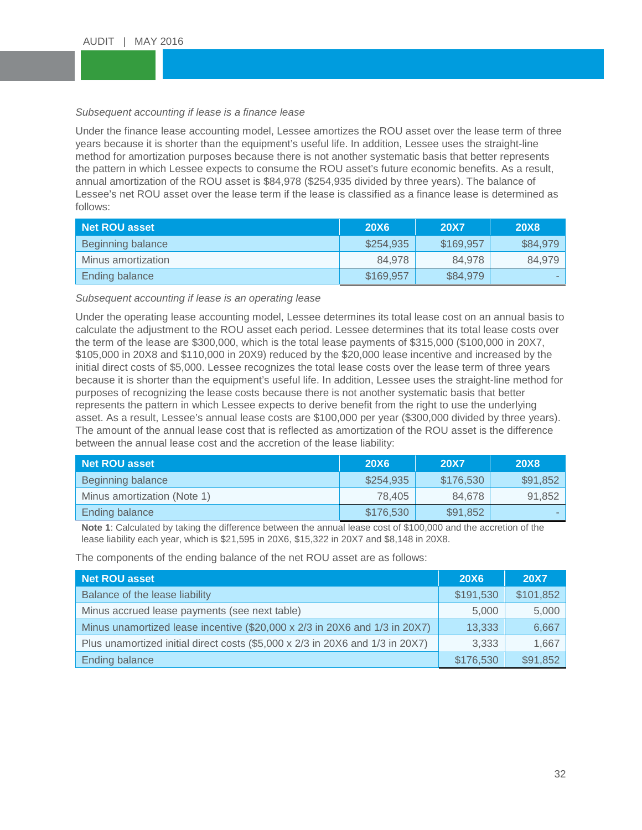# Subsequent accounting if lease is a finance lease<br> **We have a finance of the contract of the contract of the contract of the contract of the contract of the contract of the contract of the contract of the contract of the c**

years because it is shorter than the equipment's useful life. In addition, Lessee uses the straight-line weeks the straight-line the pattern in which Lessee expects to consume the ROU asset's future economic benefits. As a result,<br>appual amortization of the POU asset is \$84.978 (\$254.935 divided by three years). The balance of Lessee's net ROU asset over the lease term if the lease is classified as a finance lease is determined as<br>follows: Under the finance lease accounting model, Lessee amortizes the ROU asset over the lease term of three method for amortization purposes because there is not another systematic basis that better represents annual amortization of the ROU asset is \$84,978 (\$254,935 divided by three years). The balance of follows:

| Net ROU asset      | <b>20X6</b> | <b>20X7</b> | <b>20X8</b> |
|--------------------|-------------|-------------|-------------|
| Beginning balance  | \$254,935   | \$169,957   | \$84,979    |
| Minus amortization | 84.978      | 84.978      | 84,979      |
| Ending balance     | \$169,957   | \$84,979    |             |

#### *Subsequent accounting if lease is an operating lease*

Under the operating lease accounting model, Lessee determines its total lease cost on an annual basis to calculate the adjustment to the ROU asset each period. Lessee determines that its total lease costs over the term of the lease are \$300,000, which is the total lease payments of \$315,000 (\$100,000 in 20X7, \$105,000 in 20X8 and \$110,000 in 20X9) reduced by the \$20,000 lease incentive and increased by the initial direct costs of \$5,000. Lessee recognizes the total lease costs over the lease term of three years because it is shorter than the equipment's useful life. In addition, Lessee uses the straight-line method for purposes of recognizing the lease costs because there is not another systematic basis that better represents the pattern in which Lessee expects to derive benefit from the right to use the underlying asset. As a result, Lessee's annual lease costs are \$100,000 per year (\$300,000 divided by three years). The amount of the annual lease cost that is reflected as amortization of the ROU asset is the difference between the annual lease cost and the accretion of the lease liability:

| <b>Net ROU asset</b>        | <b>20X6</b> | <b>20X7</b> | <b>20X8</b> |
|-----------------------------|-------------|-------------|-------------|
| Beginning balance           | \$254,935   | \$176,530   | \$91,852    |
| Minus amortization (Note 1) | 78.405      | 84.678      | 91,852      |
| Ending balance              | \$176,530   | \$91,852    |             |

**Note 1**: Calculated by taking the difference between the annual lease cost of \$100,000 and the accretion of the lease liability each year, which is \$21,595 in 20X6, \$15,322 in 20X7 and \$8,148 in 20X8.

The components of the ending balance of the net ROU asset are as follows:

| <b>Net ROU asset</b>                                                          | <b>20X6</b> | <b>20X7</b> |
|-------------------------------------------------------------------------------|-------------|-------------|
| Balance of the lease liability                                                | \$191,530   | \$101,852   |
| Minus accrued lease payments (see next table)                                 | 5,000       | 5,000       |
| Minus unamortized lease incentive (\$20,000 x 2/3 in 20X6 and 1/3 in 20X7)    | 13,333      | 6,667       |
| Plus unamortized initial direct costs (\$5,000 x 2/3 in 20X6 and 1/3 in 20X7) | 3,333       | 1,667       |
| <b>Ending balance</b>                                                         | \$176,530   | \$91,852    |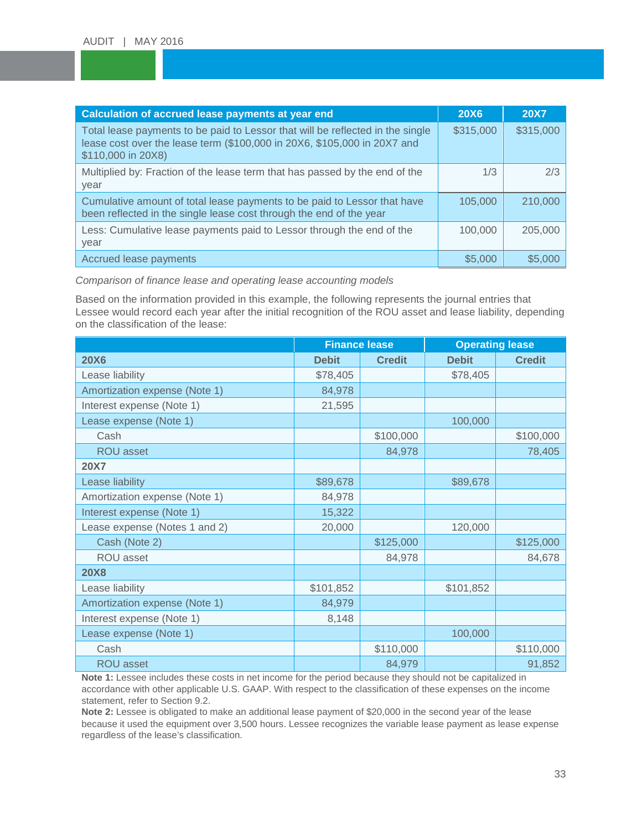| Calculation of accrued lease payments at year end                                                                                                                                | <b>20X6</b> | <b>20X7</b> |
|----------------------------------------------------------------------------------------------------------------------------------------------------------------------------------|-------------|-------------|
| Total lease payments to be paid to Lessor that will be reflected in the single<br>lease cost over the lease term (\$100,000 in 20X6, \$105,000 in 20X7 and<br>\$110,000 in 20X8) | \$315,000   | \$315,000   |
| Multiplied by: Fraction of the lease term that has passed by the end of the<br>year                                                                                              | 1/3         | 2/3         |
| Cumulative amount of total lease payments to be paid to Lessor that have<br>been reflected in the single lease cost through the end of the year                                  | 105,000     | 210,000     |
| Less: Cumulative lease payments paid to Lessor through the end of the<br>year                                                                                                    | 100,000     | 205,000     |
| Accrued lease payments                                                                                                                                                           | \$5,000     | \$5,000     |

### *Comparison of finance lease and operating lease accounting models*

Based on the information provided in this example, the following represents the journal entries that Lessee would record each year after the initial recognition of the ROU asset and lease liability, depending on the classification of the lease:

| <b>Finance lease</b>          |              | <b>Operating lease</b> |              |               |
|-------------------------------|--------------|------------------------|--------------|---------------|
| <b>20X6</b>                   | <b>Debit</b> | <b>Credit</b>          | <b>Debit</b> | <b>Credit</b> |
| Lease liability               | \$78,405     |                        | \$78,405     |               |
| Amortization expense (Note 1) | 84,978       |                        |              |               |
| Interest expense (Note 1)     | 21,595       |                        |              |               |
| Lease expense (Note 1)        |              |                        | 100,000      |               |
| Cash                          |              | \$100,000              |              | \$100,000     |
| ROU asset                     |              | 84,978                 |              | 78,405        |
| <b>20X7</b>                   |              |                        |              |               |
| Lease liability               | \$89,678     |                        | \$89,678     |               |
| Amortization expense (Note 1) | 84,978       |                        |              |               |
| Interest expense (Note 1)     | 15,322       |                        |              |               |
| Lease expense (Notes 1 and 2) | 20,000       |                        | 120,000      |               |
| Cash (Note 2)                 |              | \$125,000              |              | \$125,000     |
| ROU asset                     |              | 84,978                 |              | 84,678        |
| <b>20X8</b>                   |              |                        |              |               |
| Lease liability               | \$101,852    |                        | \$101,852    |               |
| Amortization expense (Note 1) | 84,979       |                        |              |               |
| Interest expense (Note 1)     | 8,148        |                        |              |               |
| Lease expense (Note 1)        |              |                        | 100,000      |               |
| Cash                          |              | \$110,000              |              | \$110,000     |
| ROU asset                     |              | 84,979                 |              | 91,852        |

**Note 1:** Lessee includes these costs in net income for the period because they should not be capitalized in accordance with other applicable U.S. GAAP. With respect to the classification of these expenses on the income statement, refer to Section 9.2.

**Note 2:** Lessee is obligated to make an additional lease payment of \$20,000 in the second year of the lease because it used the equipment over 3,500 hours. Lessee recognizes the variable lease payment as lease expense regardless of the lease's classification.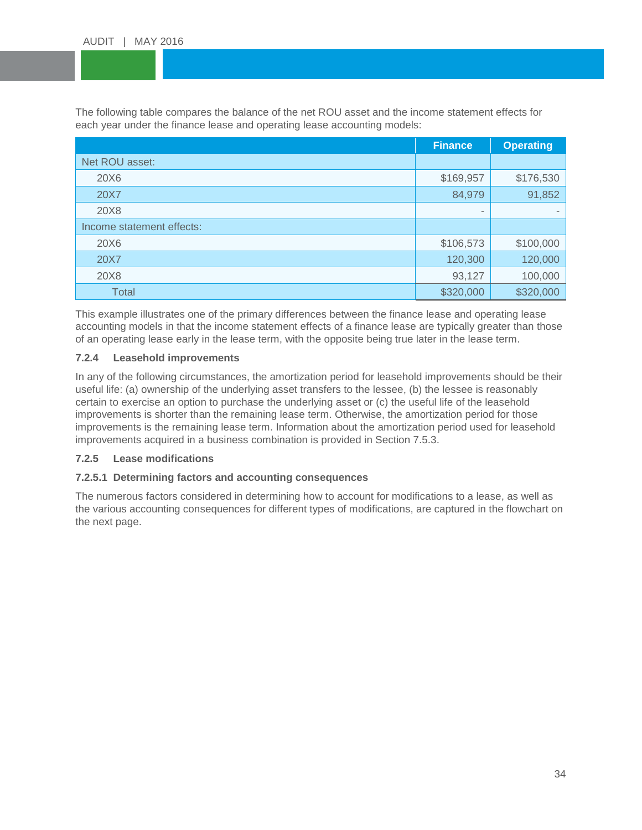The following table compares the balance of the net ROU asset and the income statement effects for<br>each year under the finance lease and operating lease accounting models: each year under the finance lease and operating lease accounting models:

|                           | <b>Finance</b>           | <b>Operating</b>         |
|---------------------------|--------------------------|--------------------------|
| Net ROU asset:            |                          |                          |
| 20X6                      | \$169,957                | \$176,530                |
| 20X7                      | 84,979                   | 91,852                   |
| 20X8                      | $\overline{\phantom{a}}$ | $\overline{\phantom{a}}$ |
| Income statement effects: |                          |                          |
| 20X6                      | \$106,573                | \$100,000                |
| 20X7                      | 120,300                  | 120,000                  |
| 20X8                      | 93,127                   | 100,000                  |
| Total                     | \$320,000                | \$320,000                |

This example illustrates one of the primary differences between the finance lease and operating lease accounting models in that the income statement effects of a finance lease are typically greater than those of an operating lease early in the lease term, with the opposite being true later in the lease term.

## <span id="page-33-0"></span>**7.2.4 Leasehold improvements**

In any of the following circumstances, the amortization period for leasehold improvements should be their useful life: (a) ownership of the underlying asset transfers to the lessee, (b) the lessee is reasonably certain to exercise an option to purchase the underlying asset or (c) the useful life of the leasehold improvements is shorter than the remaining lease term. Otherwise, the amortization period for those improvements is the remaining lease term. Information about the amortization period used for leasehold improvements acquired in a business combination is provided in Section 7.5.3.

## <span id="page-33-1"></span>**7.2.5 Lease modifications**

## <span id="page-33-2"></span>**7.2.5.1 Determining factors and accounting consequences**

The numerous factors considered in determining how to account for modifications to a lease, as well as the various accounting consequences for different types of modifications, are captured in the flowchart on the next page.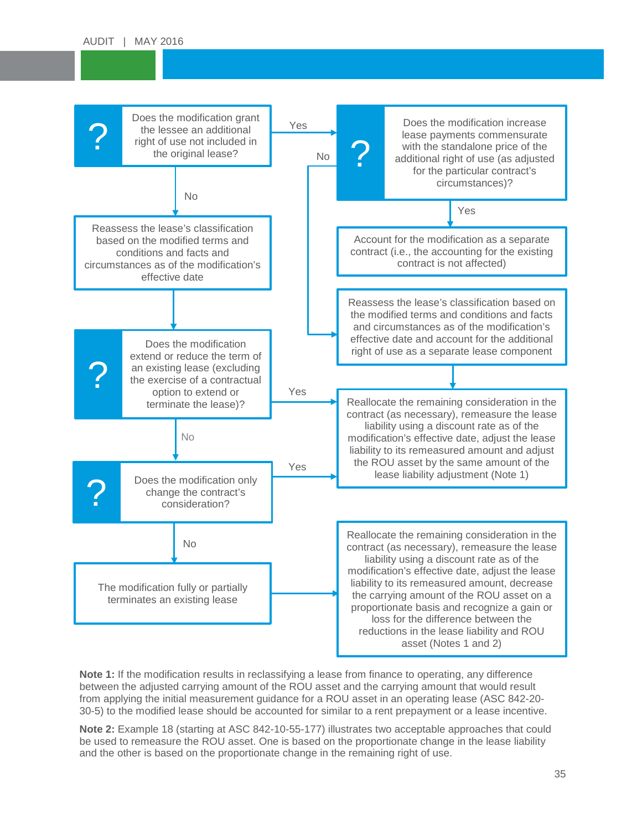

**Note 1:** If the modification results in reclassifying a lease from finance to operating, any difference between the adjusted carrying amount of the ROU asset and the carrying amount that would result from applying the initial measurement guidance for a ROU asset in an operating lease (ASC 842-20- 30-5) to the modified lease should be accounted for similar to a rent prepayment or a lease incentive.

**Note 2:** Example 18 (starting at ASC 842-10-55-177) illustrates two acceptable approaches that could be used to remeasure the ROU asset. One is based on the proportionate change in the lease liability and the other is based on the proportionate change in the remaining right of use.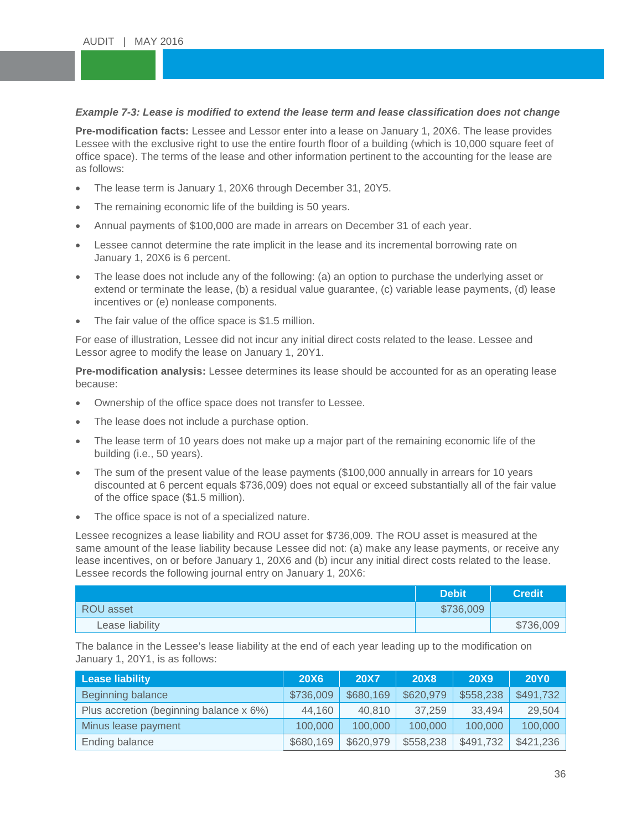# *Example 7-3: Lease is modified to extend the lease term and lease classification does not change*

The modification racts. Ecssec and Ecsson enter this a lease on sandary 1, 2000. The lease provides<br>Lessee with the exclusive right to use the entire fourth floor of a building (which is 10,000 square feet of REPORT OF THE PERSON WHO IS NOT THE PERSON P **Pre-modification facts:** Lessee and Lessor enter into a lease on January 1, 20X6. The lease provides office space). The terms of the lease and other information pertinent to the accounting for the lease are as follows:

- The lease term is January 1, 20X6 through December 31, 20Y5.<br>• The remaining economic life of the building is 50 years
- The remaining economic life of the building is 50 years.
- Annual payments of \$100,000 are made in arrears on December 31 of each year.
- Lessee cannot determine the rate implicit in the lease and its incremental borrowing rate on January 1, 20X6 is 6 percent.
- The lease does not include any of the following: (a) an option to purchase the underlying asset or extend or terminate the lease, (b) a residual value guarantee, (c) variable lease payments, (d) lease incentives or (e) nonlease components.
- The fair value of the office space is \$1.5 million.

For ease of illustration, Lessee did not incur any initial direct costs related to the lease. Lessee and Lessor agree to modify the lease on January 1, 20Y1.

**Pre-modification analysis:** Lessee determines its lease should be accounted for as an operating lease because:

- Ownership of the office space does not transfer to Lessee.
- The lease does not include a purchase option.
- The lease term of 10 years does not make up a major part of the remaining economic life of the building (i.e., 50 years).
- The sum of the present value of the lease payments (\$100,000 annually in arrears for 10 years discounted at 6 percent equals \$736,009) does not equal or exceed substantially all of the fair value of the office space (\$1.5 million).
- The office space is not of a specialized nature.

Lessee recognizes a lease liability and ROU asset for \$736,009. The ROU asset is measured at the same amount of the lease liability because Lessee did not: (a) make any lease payments, or receive any lease incentives, on or before January 1, 20X6 and (b) incur any initial direct costs related to the lease. Lessee records the following journal entry on January 1, 20X6:

|                 | <b>Debit</b> | <b>Credit</b> |
|-----------------|--------------|---------------|
| ROU asset       | \$736,009    |               |
| Lease liability |              | \$736,009     |

The balance in the Lessee's lease liability at the end of each year leading up to the modification on January 1, 20Y1, is as follows:

| <b>Lease liability</b>                  | <b>20X6</b> | <b>20X7</b> | <b>20X8</b> | <b>20X9</b> | <b>20Y0</b> |
|-----------------------------------------|-------------|-------------|-------------|-------------|-------------|
| Beginning balance                       | \$736,009   | \$680,169   | \$620,979   | \$558,238   | \$491,732   |
| Plus accretion (beginning balance x 6%) | 44,160      | 40.810      | 37.259      | 33,494      | 29,504      |
| Minus lease payment                     | 100,000     | 100,000     | 100,000     | 100,000     | 100,000     |
| Ending balance                          | \$680,169   | \$620,979   | \$558,238   | \$491,732   | \$421,236   |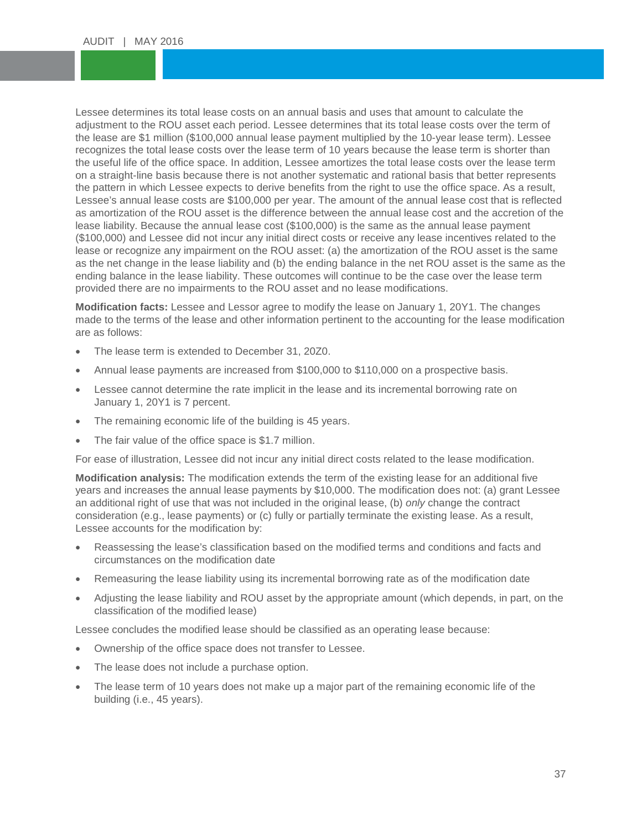Lessee determines its total lease costs on an annual basis and uses that amount to calculate the<br>adjustment to the ROU asset each period. Lessee determines that its total lease costs over the te the lease are \$1 million (\$100,000 annual lease payment multiplied by the 10-year lease term). Lessee<br>recognizes the total lease costs over the lease term of 10 years because the lease term is shorter than the useful life of the office space. In addition, Lessee amortizes the total lease costs over the lease term<br>on a straight-line basis because there is not another systematic and rational basis that better represents the pattern in which Lessee expects to derive benefits from the right to use the office space. As a result,<br>Lessee's annual lease costs are \$100,000 per year. The amount of the annual lease cost that is reflected adjustment to the ROU asset each period. Lessee determines that its total lease costs over the term of the lease are \$1 million (\$100,000 annual lease payment multiplied by the 10-year lease term). Lessee the useful life of the office space. In addition, Lessee amortizes the total lease costs over the lease term the pattern in which Lessee expects to derive benefits from the right to use the office space. As a result, as amortization of the ROU asset is the difference between the annual lease cost and the accretion of the lease liability. Because the annual lease cost (\$100,000) is the same as the annual lease payment (\$100,000) and Lessee did not incur any initial direct costs or receive any lease incentives related to the lease or recognize any impairment on the ROU asset: (a) the amortization of the ROU asset is the same as the net change in the lease liability and (b) the ending balance in the net ROU asset is the same as the ending balance in the lease liability. These outcomes will continue to be the case over the lease term provided there are no impairments to the ROU asset and no lease modifications.

**Modification facts:** Lessee and Lessor agree to modify the lease on January 1, 20Y1. The changes made to the terms of the lease and other information pertinent to the accounting for the lease modification are as follows:

- The lease term is extended to December 31, 20Z0.
- Annual lease payments are increased from \$100,000 to \$110,000 on a prospective basis.
- Lessee cannot determine the rate implicit in the lease and its incremental borrowing rate on January 1, 20Y1 is 7 percent.
- The remaining economic life of the building is 45 years.
- The fair value of the office space is \$1.7 million.

For ease of illustration, Lessee did not incur any initial direct costs related to the lease modification.

**Modification analysis:** The modification extends the term of the existing lease for an additional five years and increases the annual lease payments by \$10,000. The modification does not: (a) grant Lessee an additional right of use that was not included in the original lease, (b) *only* change the contract consideration (e.g., lease payments) or (c) fully or partially terminate the existing lease. As a result, Lessee accounts for the modification by:

- Reassessing the lease's classification based on the modified terms and conditions and facts and circumstances on the modification date
- Remeasuring the lease liability using its incremental borrowing rate as of the modification date
- Adjusting the lease liability and ROU asset by the appropriate amount (which depends, in part, on the classification of the modified lease)

Lessee concludes the modified lease should be classified as an operating lease because:

- Ownership of the office space does not transfer to Lessee.
- The lease does not include a purchase option.
- The lease term of 10 years does not make up a major part of the remaining economic life of the building (i.e., 45 years).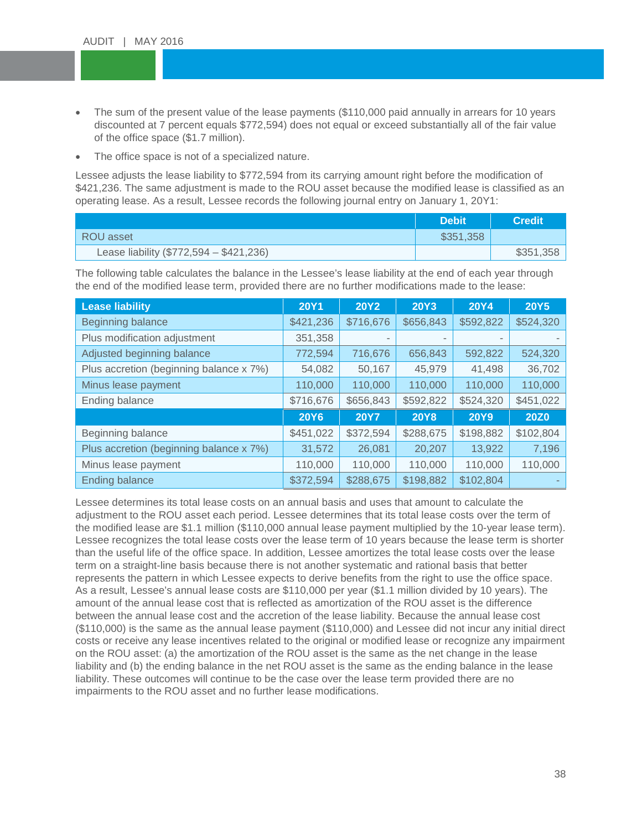- The sum of the present value of the lease payments (\$110,000 paid annually in arrears for 10 years discounted at 7 percent equals \$772,594) does not equal or exceed substantially all of the fair value of the office space (\$1.7 million).<br>The office space is not of a spacialized pattern. discounted at 7 percent equals \$772,594) does not equal or exceed substantially all of the fair value
- The office space is not of a specialized nature.

First since space is not or a operalized nature.<br>Lessee adjusts the lease liability to \$772,594 from its carrying amount right before the modification of \$421,236. The same adjustment is made to the ROU asset because the modified lease is cli<br>operating lease. As a result, Lessee records the following journal entry on January 1, 20Y1: \$421,236. The same adjustment is made to the ROU asset because the modified lease is classified as an

|                                           | <b>Debit</b> | <b>Credit</b> |
|-------------------------------------------|--------------|---------------|
| ROU asset                                 | \$351,358    |               |
| Lease liability $(\$772,594 - \$421,236)$ |              | \$351,358     |

The following table calculates the balance in the Lessee's lease liability at the end of each year through the end of the modified lease term, provided there are no further modifications made to the lease:

| <b>Lease liability</b>                  | <b>20Y1</b> | <b>20Y2</b> | <b>20Y3</b>              | <b>20Y4</b> | <b>20Y5</b> |
|-----------------------------------------|-------------|-------------|--------------------------|-------------|-------------|
| Beginning balance                       | \$421,236   | \$716,676   | \$656,843                | \$592,822   | \$524,320   |
| Plus modification adjustment            | 351,358     |             | $\overline{\phantom{a}}$ |             |             |
| Adjusted beginning balance              | 772,594     | 716,676     | 656,843                  | 592,822     | 524,320     |
| Plus accretion (beginning balance x 7%) | 54,082      | 50,167      | 45,979                   | 41,498      | 36,702      |
| Minus lease payment                     | 110,000     | 110,000     | 110,000                  | 110,000     | 110,000     |
| Ending balance                          | \$716,676   | \$656,843   | \$592,822                | \$524,320   | \$451,022   |
|                                         | <b>20Y6</b> | <b>20Y7</b> | <b>20Y8</b>              | <b>20Y9</b> | <b>20Z0</b> |
| Beginning balance                       | \$451,022   | \$372,594   | \$288,675                | \$198,882   | \$102,804   |
| Plus accretion (beginning balance x 7%) | 31,572      | 26,081      | 20,207                   | 13,922      | 7,196       |
| Minus lease payment                     | 110,000     | 110,000     | 110,000                  | 110,000     | 110,000     |
| <b>Ending balance</b>                   | \$372,594   | \$288,675   | \$198,882                | \$102,804   |             |

Lessee determines its total lease costs on an annual basis and uses that amount to calculate the adjustment to the ROU asset each period. Lessee determines that its total lease costs over the term of the modified lease are \$1.1 million (\$110,000 annual lease payment multiplied by the 10-year lease term). Lessee recognizes the total lease costs over the lease term of 10 years because the lease term is shorter than the useful life of the office space. In addition, Lessee amortizes the total lease costs over the lease term on a straight-line basis because there is not another systematic and rational basis that better represents the pattern in which Lessee expects to derive benefits from the right to use the office space. As a result, Lessee's annual lease costs are \$110,000 per year (\$1.1 million divided by 10 years). The amount of the annual lease cost that is reflected as amortization of the ROU asset is the difference between the annual lease cost and the accretion of the lease liability. Because the annual lease cost (\$110,000) is the same as the annual lease payment (\$110,000) and Lessee did not incur any initial direct costs or receive any lease incentives related to the original or modified lease or recognize any impairment on the ROU asset: (a) the amortization of the ROU asset is the same as the net change in the lease liability and (b) the ending balance in the net ROU asset is the same as the ending balance in the lease liability. These outcomes will continue to be the case over the lease term provided there are no impairments to the ROU asset and no further lease modifications.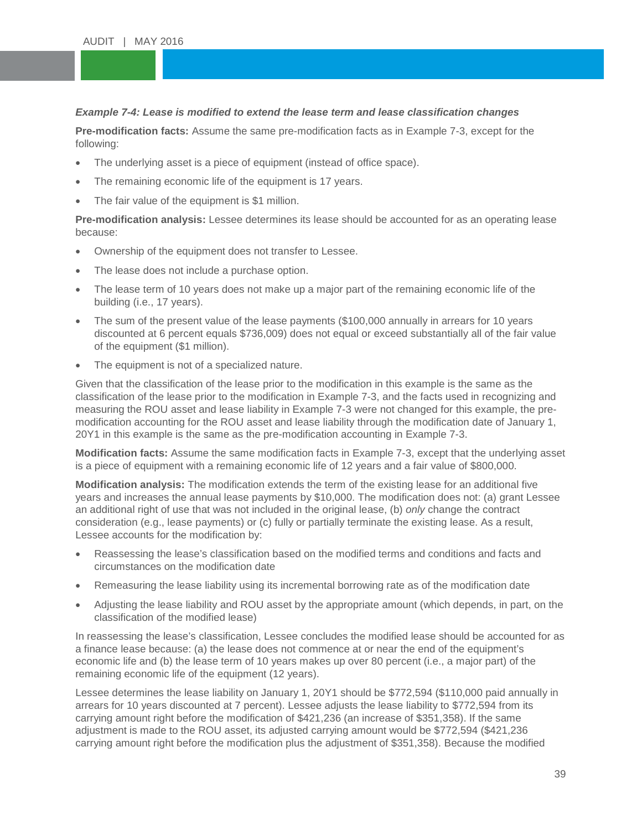# *Example 7-4: Lease is modified to extend the lease term and lease classification changes*

**Pre-modification facts:** Assume the same pre-modification facts as in Example 7-3, except for the<br>following: following:

- The underlying asset is a piece of equipment (instead of office space).<br>• The remaining economic life of the equipment is 17 years
- The remaining economic life of the equipment is 17 years.
- The fair value of the equipment is \$1 million.

**Pre-modification analysis:** Lessee determines its lease should be accounted for as an operating lease because:

- Ownership of the equipment does not transfer to Lessee.
- The lease does not include a purchase option.
- The lease term of 10 years does not make up a major part of the remaining economic life of the building (i.e., 17 years).
- The sum of the present value of the lease payments (\$100,000 annually in arrears for 10 years discounted at 6 percent equals \$736,009) does not equal or exceed substantially all of the fair value of the equipment (\$1 million).
- The equipment is not of a specialized nature.

Given that the classification of the lease prior to the modification in this example is the same as the classification of the lease prior to the modification in Example 7-3, and the facts used in recognizing and measuring the ROU asset and lease liability in Example 7-3 were not changed for this example, the premodification accounting for the ROU asset and lease liability through the modification date of January 1, 20Y1 in this example is the same as the pre-modification accounting in Example 7-3.

**Modification facts:** Assume the same modification facts in Example 7-3, except that the underlying asset is a piece of equipment with a remaining economic life of 12 years and a fair value of \$800,000.

**Modification analysis:** The modification extends the term of the existing lease for an additional five years and increases the annual lease payments by \$10,000. The modification does not: (a) grant Lessee an additional right of use that was not included in the original lease, (b) *only* change the contract consideration (e.g., lease payments) or (c) fully or partially terminate the existing lease. As a result, Lessee accounts for the modification by:

- Reassessing the lease's classification based on the modified terms and conditions and facts and circumstances on the modification date
- Remeasuring the lease liability using its incremental borrowing rate as of the modification date
- Adjusting the lease liability and ROU asset by the appropriate amount (which depends, in part, on the classification of the modified lease)

In reassessing the lease's classification, Lessee concludes the modified lease should be accounted for as a finance lease because: (a) the lease does not commence at or near the end of the equipment's economic life and (b) the lease term of 10 years makes up over 80 percent (i.e., a major part) of the remaining economic life of the equipment (12 years).

Lessee determines the lease liability on January 1, 20Y1 should be \$772,594 (\$110,000 paid annually in arrears for 10 years discounted at 7 percent). Lessee adjusts the lease liability to \$772,594 from its carrying amount right before the modification of \$421,236 (an increase of \$351,358). If the same adjustment is made to the ROU asset, its adjusted carrying amount would be \$772,594 (\$421,236 carrying amount right before the modification plus the adjustment of \$351,358). Because the modified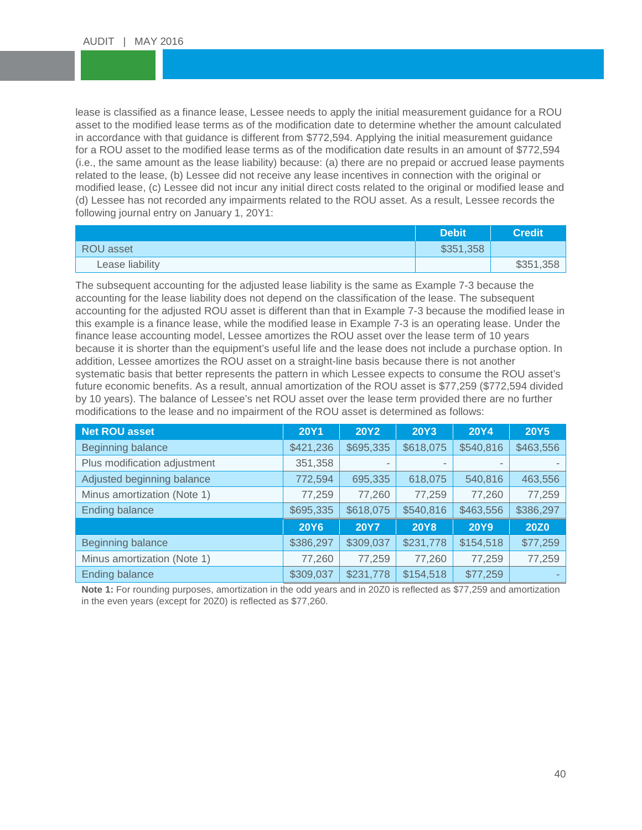lease is classified as a finance lease, Lessee needs to apply the initial measurement guidance for a ROU<br>asset to the modified lease terms as of the modification date to determine whether the amount calculated in accordance with that guidance is different from \$772,594. Applying the initial measurement guidance<br>for a ROU asset to the modified lease terms as of the modification date results in an amount of \$772,594 (i.e., the same amount as the lease liability) because: (a) there are no prepaid or accrued lease paym<br>related to the lease, (b) Lessee did not receive any lease incentives in connection with the original or modified lease, (c) Lessee did not incur any initial direct costs related to the original or modified lease an<br>(d) Lessee has not recorded any impairments related to the ROU asset. As a result, Lessee records the asset to the modified lease terms as of the modification date to determine whether the amount calculated in accordance with that guidance is different from \$772,594. Applying the initial measurement guidance (i.e., the same amount as the lease liability) because: (a) there are no prepaid or accrued lease payments modified lease, (c) Lessee did not incur any initial direct costs related to the original or modified lease and following journal entry on January 1, 20Y1:

|                  | <b>Debit</b> | <b>Credit</b> |
|------------------|--------------|---------------|
| <b>ROU</b> asset | \$351,358    |               |
| Lease liability  |              | \$351,358     |

The subsequent accounting for the adjusted lease liability is the same as Example 7-3 because the accounting for the lease liability does not depend on the classification of the lease. The subsequent accounting for the adjusted ROU asset is different than that in Example 7-3 because the modified lease in this example is a finance lease, while the modified lease in Example 7-3 is an operating lease. Under the finance lease accounting model, Lessee amortizes the ROU asset over the lease term of 10 years because it is shorter than the equipment's useful life and the lease does not include a purchase option. In addition, Lessee amortizes the ROU asset on a straight-line basis because there is not another systematic basis that better represents the pattern in which Lessee expects to consume the ROU asset's future economic benefits. As a result, annual amortization of the ROU asset is \$77,259 (\$772,594 divided by 10 years). The balance of Lessee's net ROU asset over the lease term provided there are no further modifications to the lease and no impairment of the ROU asset is determined as follows:

| <b>Net ROU asset</b>         | <b>20Y1</b> | <b>20Y2</b> | <b>20Y3</b>              | <b>20Y4</b> | <b>20Y5</b> |
|------------------------------|-------------|-------------|--------------------------|-------------|-------------|
| Beginning balance            | \$421,236   | \$695,335   | \$618,075                | \$540,816   | \$463,556   |
| Plus modification adjustment | 351,358     |             | $\overline{\phantom{a}}$ |             |             |
| Adjusted beginning balance   | 772,594     | 695,335     | 618,075                  | 540,816     | 463,556     |
| Minus amortization (Note 1)  | 77,259      | 77,260      | 77,259                   | 77,260      | 77,259      |
| <b>Ending balance</b>        | \$695,335   | \$618,075   | \$540,816                | \$463,556   | \$386,297   |
|                              | <b>20Y6</b> | <b>20Y7</b> | <b>20Y8</b>              | <b>20Y9</b> | <b>20Z0</b> |
| <b>Beginning balance</b>     | \$386,297   | \$309,037   | \$231,778                | \$154,518   | \$77,259    |
| Minus amortization (Note 1)  | 77,260      | 77,259      | 77,260                   | 77,259      | 77,259      |
| <b>Ending balance</b>        | \$309,037   | \$231,778   | \$154,518                | \$77,259    |             |

**Note 1:** For rounding purposes, amortization in the odd years and in 20Z0 is reflected as \$77,259 and amortization in the even years (except for 20Z0) is reflected as \$77,260.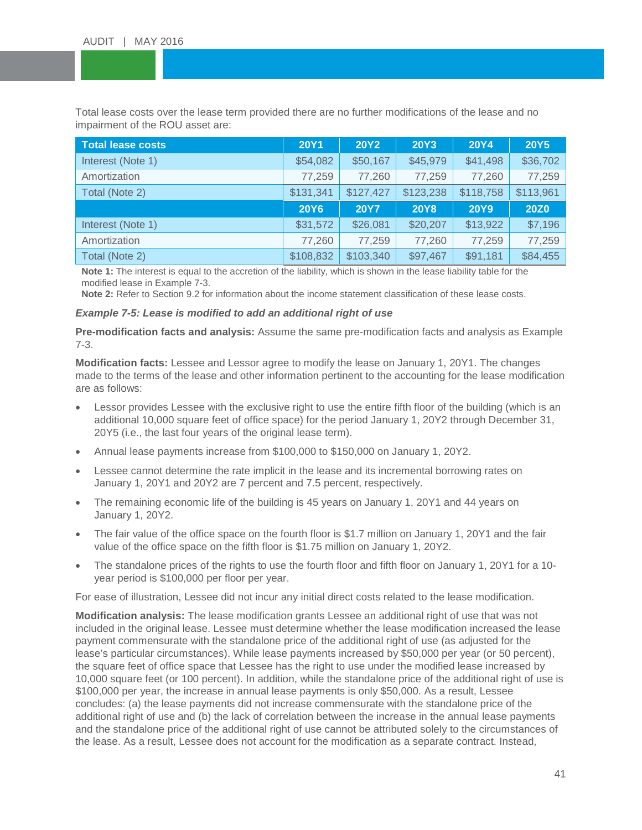Total lease costs over the lease term provided there are no further modifications of the lease and no<br>impairment of the ROU asset are: impairment of the ROU asset are:

| <b>Total lease costs</b> | <b>20Y1</b> | <b>20Y2</b> | <b>20Y3</b> | <b>20Y4</b> | <b>20Y5</b> |
|--------------------------|-------------|-------------|-------------|-------------|-------------|
| Interest (Note 1)        | \$54,082    | \$50,167    | \$45,979    | \$41,498    | \$36,702    |
| Amortization             | 77,259      | 77,260      | 77,259      | 77,260      | 77,259      |
| Total (Note 2)           | \$131,341   | \$127,427   | \$123,238   | \$118,758   | \$113,961   |
|                          | <b>20Y6</b> | <b>20Y7</b> | <b>20Y8</b> | <b>20Y9</b> | <b>20Z0</b> |
| Interest (Note 1)        | \$31,572    | \$26,081    | \$20,207    | \$13,922    | \$7,196     |
| Amortization             | 77,260      | 77,259      | 77,260      | 77,259      | 77,259      |
| Total (Note 2)           | \$108,832   | \$103,340   | \$97,467    | \$91,181    | \$84,455    |

**Note 1:** The interest is equal to the accretion of the liability, which is shown in the lease liability table for the modified lease in Example 7-3.

**Note 2:** Refer to Section 9.2 for information about the income statement classification of these lease costs.

#### *Example 7-5: Lease is modified to add an additional right of use*

**Pre-modification facts and analysis:** Assume the same pre-modification facts and analysis as Example 7-3.

**Modification facts:** Lessee and Lessor agree to modify the lease on January 1, 20Y1. The changes made to the terms of the lease and other information pertinent to the accounting for the lease modification are as follows:

- Lessor provides Lessee with the exclusive right to use the entire fifth floor of the building (which is an additional 10,000 square feet of office space) for the period January 1, 20Y2 through December 31, 20Y5 (i.e., the last four years of the original lease term).
- Annual lease payments increase from \$100,000 to \$150,000 on January 1, 20Y2.
- Lessee cannot determine the rate implicit in the lease and its incremental borrowing rates on January 1, 20Y1 and 20Y2 are 7 percent and 7.5 percent, respectively.
- The remaining economic life of the building is 45 years on January 1, 20Y1 and 44 years on January 1, 20Y2.
- The fair value of the office space on the fourth floor is \$1.7 million on January 1, 20Y1 and the fair value of the office space on the fifth floor is \$1.75 million on January 1, 20Y2.
- The standalone prices of the rights to use the fourth floor and fifth floor on January 1, 20Y1 for a 10year period is \$100,000 per floor per year.

For ease of illustration, Lessee did not incur any initial direct costs related to the lease modification.

**Modification analysis:** The lease modification grants Lessee an additional right of use that was not included in the original lease. Lessee must determine whether the lease modification increased the lease payment commensurate with the standalone price of the additional right of use (as adjusted for the lease's particular circumstances). While lease payments increased by \$50,000 per year (or 50 percent), the square feet of office space that Lessee has the right to use under the modified lease increased by 10,000 square feet (or 100 percent). In addition, while the standalone price of the additional right of use is \$100,000 per year, the increase in annual lease payments is only \$50,000. As a result, Lessee concludes: (a) the lease payments did not increase commensurate with the standalone price of the additional right of use and (b) the lack of correlation between the increase in the annual lease payments and the standalone price of the additional right of use cannot be attributed solely to the circumstances of the lease. As a result, Lessee does not account for the modification as a separate contract. Instead,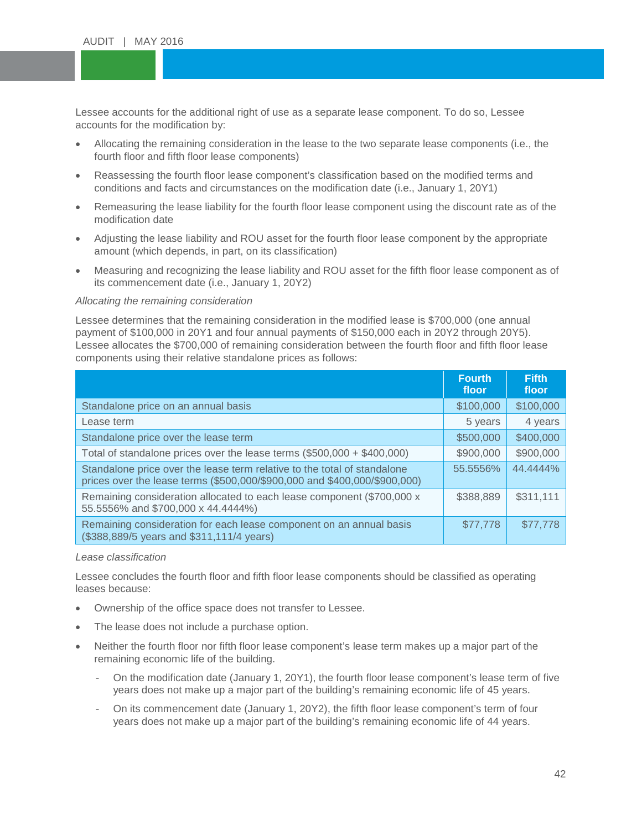Lessee accounts for the additional right of use as a separate lease component. To do so, Lessee<br>accounts for the modification by: accounts for the modification by:

- Allocating the remaining consideration in the lease to the two separate lease components (i.e., the fourth floor and fifth floor lease components)
- examples and married rease components,<br>• Reassessing the fourth floor lease component's classification based on the modified terms and conditions and facts and circumstances on the modification date (i.e., January 1, 20Y1)
- conditions and facts and circumstances on the modification date (i.e., January 1, 20Y1)<br>● Remeasuring the lease liability for the fourth floor lease component using the discount rate as of the modification date
- Adjusting the lease liability and ROU asset for the fourth floor lease component by the appropriate amount (which depends, in part, on its classification)
- Measuring and recognizing the lease liability and ROU asset for the fifth floor lease component as of its commencement date (i.e., January 1, 20Y2)

#### *Allocating the remaining consideration*

Lessee determines that the remaining consideration in the modified lease is \$700,000 (one annual payment of \$100,000 in 20Y1 and four annual payments of \$150,000 each in 20Y2 through 20Y5). Lessee allocates the \$700,000 of remaining consideration between the fourth floor and fifth floor lease components using their relative standalone prices as follows:

|                                                                                                                                                       | <b>Fourth</b><br>floor | <b>Fifth</b><br>floor |
|-------------------------------------------------------------------------------------------------------------------------------------------------------|------------------------|-----------------------|
| Standalone price on an annual basis                                                                                                                   | \$100,000              | \$100,000             |
| Lease term                                                                                                                                            | 5 years                | 4 years               |
| Standalone price over the lease term                                                                                                                  | \$500,000              | \$400,000             |
| Total of standalone prices over the lease terms (\$500,000 + \$400,000)                                                                               | \$900,000              | \$900,000             |
| Standalone price over the lease term relative to the total of standalone<br>prices over the lease terms (\$500,000/\$900,000 and \$400,000/\$900,000) | 55.5556%               | 44.4444%              |
| Remaining consideration allocated to each lease component (\$700,000 x<br>55.5556% and \$700,000 x 44.4444%)                                          | \$388,889              | \$311,111             |
| Remaining consideration for each lease component on an annual basis<br>(\$388,889/5 years and \$311,111/4 years)                                      | \$77,778               | \$77,778              |

#### *Lease classification*

Lessee concludes the fourth floor and fifth floor lease components should be classified as operating leases because:

- Ownership of the office space does not transfer to Lessee.
- The lease does not include a purchase option.
- Neither the fourth floor nor fifth floor lease component's lease term makes up a major part of the remaining economic life of the building.
	- On the modification date (January 1, 20Y1), the fourth floor lease component's lease term of five years does not make up a major part of the building's remaining economic life of 45 years.
	- On its commencement date (January 1, 20Y2), the fifth floor lease component's term of four years does not make up a major part of the building's remaining economic life of 44 years.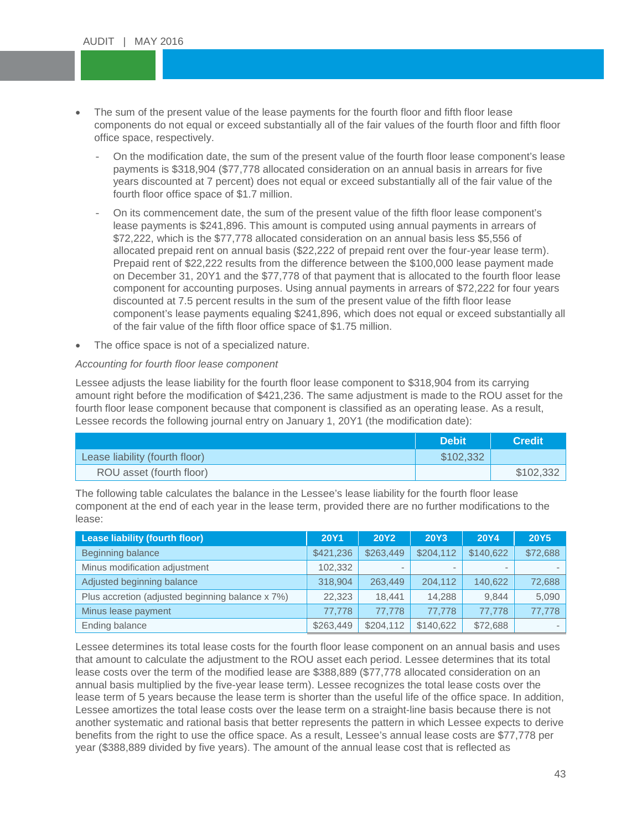- The sum of the present value of the lease payments for the fourth floor and fifth floor lease components do not equal or exceed substantially all of the fair values of the fourth floor and espectively.<br>difference data the sum of the pres components do not equal or exceed substantially all of the fair values of the fourth floor and fifth floor office space, respectively.
	- payments is \$318,904 (\$77,778 allocated consideration on an annual basis in arrears for five<br>vears discounted at 7 percent) does not equal or exceed substantially all of the fair value of the fourth floor office space of  $$1.7$  million. - On the modification date, the sum of the present value of the fourth floor lease component's lease years discounted at 7 percent) does not equal or exceed substantially all of the fair value of the
	- On its commencement date, the sum of the present value of the fifth floor lease component's lease payments is \$241,896. This amount is computed using annual payments in arrears of \$72,222, which is the \$77,778 allocated consideration on an annual basis less \$5,556 of allocated prepaid rent on annual basis (\$22,222 of prepaid rent over the four-year lease term). Prepaid rent of \$22,222 results from the difference between the \$100,000 lease payment made on December 31, 20Y1 and the \$77,778 of that payment that is allocated to the fourth floor lease component for accounting purposes. Using annual payments in arrears of \$72,222 for four years discounted at 7.5 percent results in the sum of the present value of the fifth floor lease component's lease payments equaling \$241,896, which does not equal or exceed substantially all of the fair value of the fifth floor office space of \$1.75 million.
- The office space is not of a specialized nature.

#### *Accounting for fourth floor lease component*

Lessee adjusts the lease liability for the fourth floor lease component to \$318,904 from its carrying amount right before the modification of \$421,236. The same adjustment is made to the ROU asset for the fourth floor lease component because that component is classified as an operating lease. As a result, Lessee records the following journal entry on January 1, 20Y1 (the modification date):

|                                | <b>Debit</b> | <b>Credit</b> |
|--------------------------------|--------------|---------------|
| Lease liability (fourth floor) | \$102,332    |               |
| ROU asset (fourth floor)       |              | \$102,332     |

The following table calculates the balance in the Lessee's lease liability for the fourth floor lease component at the end of each year in the lease term, provided there are no further modifications to the lease:

| Lease liability (fourth floor)                   | <b>20Y1</b> | <b>20Y2</b> | <b>20Y3</b> | <b>20Y4</b> | <b>20Y5</b> |
|--------------------------------------------------|-------------|-------------|-------------|-------------|-------------|
| Beginning balance                                | \$421,236   | \$263,449   | \$204,112   | \$140,622   | \$72,688    |
| Minus modification adjustment                    | 102,332     |             |             |             |             |
| Adjusted beginning balance                       | 318.904     | 263.449     | 204.112     | 140.622     | 72,688      |
| Plus accretion (adjusted beginning balance x 7%) | 22.323      | 18.441      | 14,288      | 9.844       | 5,090       |
| Minus lease payment                              | 77.778      | 77.778      | 77.778      | 77.778      | 77,778      |
| Ending balance                                   | \$263,449   | \$204,112   | \$140.622   | \$72,688    |             |

Lessee determines its total lease costs for the fourth floor lease component on an annual basis and uses that amount to calculate the adjustment to the ROU asset each period. Lessee determines that its total lease costs over the term of the modified lease are \$388,889 (\$77,778 allocated consideration on an annual basis multiplied by the five-year lease term). Lessee recognizes the total lease costs over the lease term of 5 years because the lease term is shorter than the useful life of the office space. In addition, Lessee amortizes the total lease costs over the lease term on a straight-line basis because there is not another systematic and rational basis that better represents the pattern in which Lessee expects to derive benefits from the right to use the office space. As a result, Lessee's annual lease costs are \$77,778 per year (\$388,889 divided by five years). The amount of the annual lease cost that is reflected as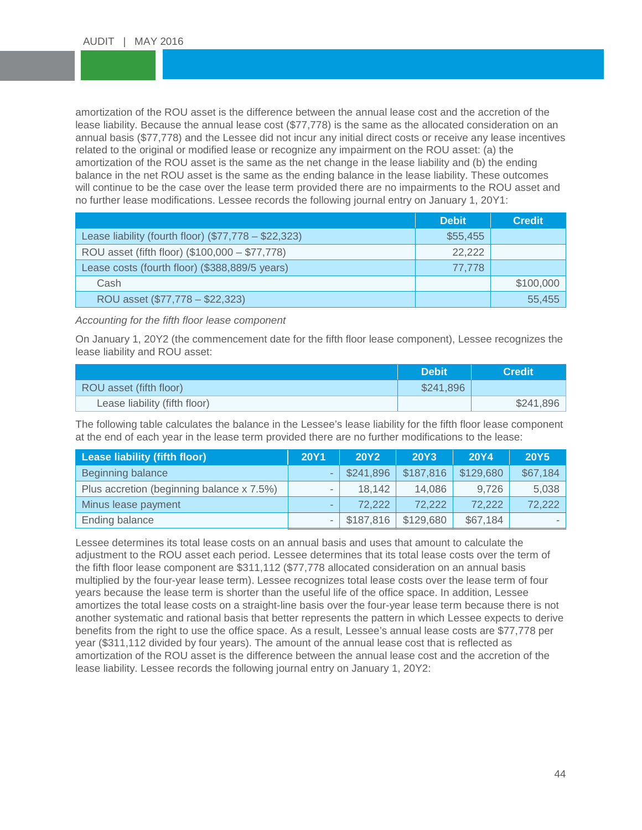amortization of the ROU asset is the difference between the annual lease cost and the accretion of the<br>lease liability. Because the annual lease cost (\$77,778) is the same as the allocated consideration on an annual basis (\$77,778) and the Lessee did not incur any initial direct costs or receive any lease<br>related to the original or modified lease or recognize any impairment on the ROU asset: (a) the amortization of the ROU asset is the same as the net change in the lease liability and (b) the ending<br>balance in the net ROU asset is the same as the ending balance in the lease liability. These outcomes will continue to be the case over the lease term provided there are no impairments to the ROU<br>no further lease modifications. Lessee records the following journal entry on January 1, 20Y1: amortization of the ROU asset is the difference between the annual lease cost and the accretion of the annual basis (\$77,778) and the Lessee did not incur any initial direct costs or receive any lease incentives amortization of the ROU asset is the same as the net change in the lease liability and (b) the ending will continue to be the case over the lease term provided there are no impairments to the ROU asset and

|                                                      | <b>Debit</b> | <b>Credit</b> |
|------------------------------------------------------|--------------|---------------|
| Lease liability (fourth floor) (\$77,778 - \$22,323) | \$55,455     |               |
| ROU asset (fifth floor) (\$100,000 - \$77,778)       | 22,222       |               |
| Lease costs (fourth floor) (\$388,889/5 years)       | 77.778       |               |
| Cash                                                 |              | \$100,000     |
| ROU asset (\$77,778 - \$22,323)                      |              | 55.455        |

*Accounting for the fifth floor lease component*

On January 1, 20Y2 (the commencement date for the fifth floor lease component), Lessee recognizes the lease liability and ROU asset:

|                               | <b>Debit</b> | <b>Credit</b> ' |
|-------------------------------|--------------|-----------------|
| ROU asset (fifth floor)       | \$241,896    |                 |
| Lease liability (fifth floor) |              | \$241,896       |

The following table calculates the balance in the Lessee's lease liability for the fifth floor lease component at the end of each year in the lease term provided there are no further modifications to the lease:

| <b>Lease liability (fifth floor)</b>      | <b>20Y1</b> | <b>20Y2</b> | <b>20Y3</b> | <b>20Y4</b> | <b>20Y5</b> |
|-------------------------------------------|-------------|-------------|-------------|-------------|-------------|
| Beginning balance                         |             | \$241,896   | \$187,816   | \$129,680   | \$67,184    |
| Plus accretion (beginning balance x 7.5%) |             | 18,142      | 14,086      | 9.726       | 5,038       |
| Minus lease payment                       |             | 72.222      | 72,222      | 72,222      | 72,222      |
| Ending balance                            |             | \$187,816   | \$129,680   | \$67,184    |             |

Lessee determines its total lease costs on an annual basis and uses that amount to calculate the adjustment to the ROU asset each period. Lessee determines that its total lease costs over the term of the fifth floor lease component are \$311,112 (\$77,778 allocated consideration on an annual basis multiplied by the four-year lease term). Lessee recognizes total lease costs over the lease term of four years because the lease term is shorter than the useful life of the office space. In addition, Lessee amortizes the total lease costs on a straight-line basis over the four-year lease term because there is not another systematic and rational basis that better represents the pattern in which Lessee expects to derive benefits from the right to use the office space. As a result, Lessee's annual lease costs are \$77,778 per year (\$311,112 divided by four years). The amount of the annual lease cost that is reflected as amortization of the ROU asset is the difference between the annual lease cost and the accretion of the lease liability. Lessee records the following journal entry on January 1, 20Y2: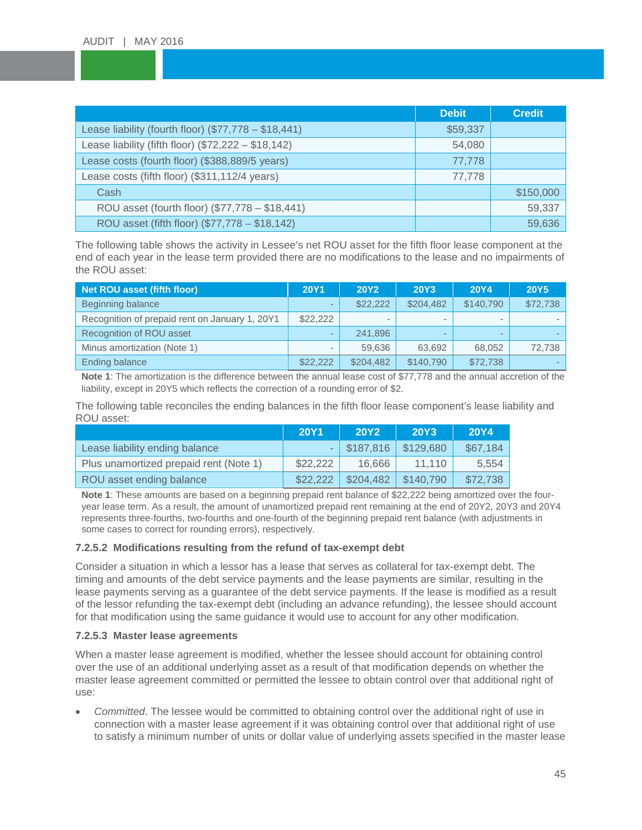|                                                      | <b>Debit</b> | <b>Credit</b> |
|------------------------------------------------------|--------------|---------------|
| Lease liability (fourth floor) (\$77,778 - \$18,441) | \$59,337     |               |
| Lease liability (fifth floor) (\$72,222 - \$18,142)  | 54,080       |               |
| Lease costs (fourth floor) (\$388,889/5 years)       | 77,778       |               |
| Lease costs (fifth floor) (\$311,112/4 years)        | 77,778       |               |
| Cash                                                 |              | \$150,000     |
| ROU asset (fourth floor) (\$77,778 - \$18,441)       |              | 59,337        |
| ROU asset (fifth floor) (\$77,778 - \$18,142)        |              | 59,636        |

The following table shows the activity in Lessee's net ROU asset for the fifth floor lease component at the end of each year in the lease term provided there are no modifications to the lease and no impairments of the ROU asset:

| <b>Net ROU asset (fifth floor)</b>             | <b>20Y1</b> | <b>20Y2</b> | <b>20Y3</b>              | <b>20Y4</b> | <b>20Y5</b> |
|------------------------------------------------|-------------|-------------|--------------------------|-------------|-------------|
| Beginning balance                              |             | \$22,222    | \$204.482                | \$140,790   | \$72,738    |
| Recognition of prepaid rent on January 1, 20Y1 | \$22,222    |             | $\overline{\phantom{a}}$ |             |             |
| Recognition of ROU asset                       |             | 241,896     | -                        |             |             |
| Minus amortization (Note 1)                    |             | 59.636      | 63.692                   | 68.052      | 72,738      |
| Ending balance                                 | \$22,222    | \$204.482   | \$140.790                | \$72,738    |             |

**Note 1**: The amortization is the difference between the annual lease cost of \$77,778 and the annual accretion of the liability, except in 20Y5 which reflects the correction of a rounding error of \$2.

The following table reconciles the ending balances in the fifth floor lease component's lease liability and ROU asset:

|                                        | <b>20Y1</b> | <b>20Y2</b>   | <b>20Y3</b> | <b>20Y4</b> |
|----------------------------------------|-------------|---------------|-------------|-------------|
| Lease liability ending balance         |             | $-$ \$187,816 | \$129,680   | \$67,184    |
| Plus unamortized prepaid rent (Note 1) | \$22,222    | 16.666        | 11.110      | 5,554       |
| ROU asset ending balance               | \$22,222    | \$204,482     | \$140,790   | \$72,738    |

**Note 1**: These amounts are based on a beginning prepaid rent balance of \$22,222 being amortized over the fouryear lease term. As a result, the amount of unamortized prepaid rent remaining at the end of 20Y2, 20Y3 and 20Y4 represents three-fourths, two-fourths and one-fourth of the beginning prepaid rent balance (with adjustments in some cases to correct for rounding errors), respectively.

#### **7.2.5.2 Modifications resulting from the refund of tax-exempt debt**

Consider a situation in which a lessor has a lease that serves as collateral for tax-exempt debt. The timing and amounts of the debt service payments and the lease payments are similar, resulting in the lease payments serving as a guarantee of the debt service payments. If the lease is modified as a result of the lessor refunding the tax-exempt debt (including an advance refunding), the lessee should account for that modification using the same guidance it would use to account for any other modification.

#### **7.2.5.3 Master lease agreements**

When a master lease agreement is modified, whether the lessee should account for obtaining control over the use of an additional underlying asset as a result of that modification depends on whether the master lease agreement committed or permitted the lessee to obtain control over that additional right of use:

• *Committed*. The lessee would be committed to obtaining control over the additional right of use in connection with a master lease agreement if it was obtaining control over that additional right of use to satisfy a minimum number of units or dollar value of underlying assets specified in the master lease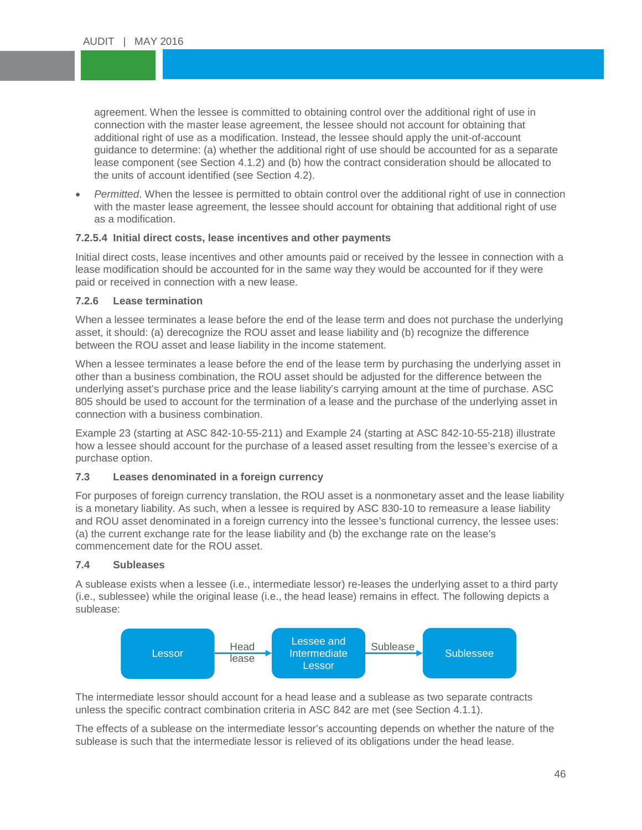agreement. When the lessee is committed to obtaining control over the additional right of use in<br>connection with the master lease agreement, the lessee should not account for obtaining that additional right of use as a modification. Instead, the lessee should apply the unit-of-account<br>guidance to determine: (a) whether the additional right of use should be accounted for as a separate lease component (see Section 4.1.2) and (b) how the co<br>the units of account identified (see Section 4.2). connection with the master lease agreement, the lessee should not account for obtaining that additional right of use as a modification. Instead, the lessee should apply the unit-of-account lease component (see Section 4.1.2) and (b) how the contract consideration should be allocated to

• *Permitted*. When the lessee is permitted to obtain control over the additional right of use in connection<br>with the master lease agreement, the lessee should account for obtaining that additional right of use with the master lease agreement, the lessee should account for obtaining that additional right of use as a modification.

#### **7.2.5.4 Initial direct costs, lease incentives and other payments**

Initial direct costs, lease incentives and other amounts paid or received by the lessee in connection with a lease modification should be accounted for in the same way they would be accounted for if they were paid or received in connection with a new lease.

#### **7.2.6 Lease termination**

When a lessee terminates a lease before the end of the lease term and does not purchase the underlying asset, it should: (a) derecognize the ROU asset and lease liability and (b) recognize the difference between the ROU asset and lease liability in the income statement.

When a lessee terminates a lease before the end of the lease term by purchasing the underlying asset in other than a business combination, the ROU asset should be adjusted for the difference between the underlying asset's purchase price and the lease liability's carrying amount at the time of purchase. ASC 805 should be used to account for the termination of a lease and the purchase of the underlying asset in connection with a business combination.

Example 23 (starting at ASC 842-10-55-211) and Example 24 (starting at ASC 842-10-55-218) illustrate how a lessee should account for the purchase of a leased asset resulting from the lessee's exercise of a purchase option.

#### **7.3 Leases denominated in a foreign currency**

For purposes of foreign currency translation, the ROU asset is a nonmonetary asset and the lease liability is a monetary liability. As such, when a lessee is required by ASC 830-10 to remeasure a lease liability and ROU asset denominated in a foreign currency into the lessee's functional currency, the lessee uses: (a) the current exchange rate for the lease liability and (b) the exchange rate on the lease's commencement date for the ROU asset.

#### **7.4 Subleases**

A sublease exists when a lessee (i.e., intermediate lessor) re-leases the underlying asset to a third party (i.e., sublessee) while the original lease (i.e., the head lease) remains in effect. The following depicts a sublease:



The intermediate lessor should account for a head lease and a sublease as two separate contracts unless the specific contract combination criteria in ASC 842 are met (see Section 4.1.1).

The effects of a sublease on the intermediate lessor's accounting depends on whether the nature of the sublease is such that the intermediate lessor is relieved of its obligations under the head lease.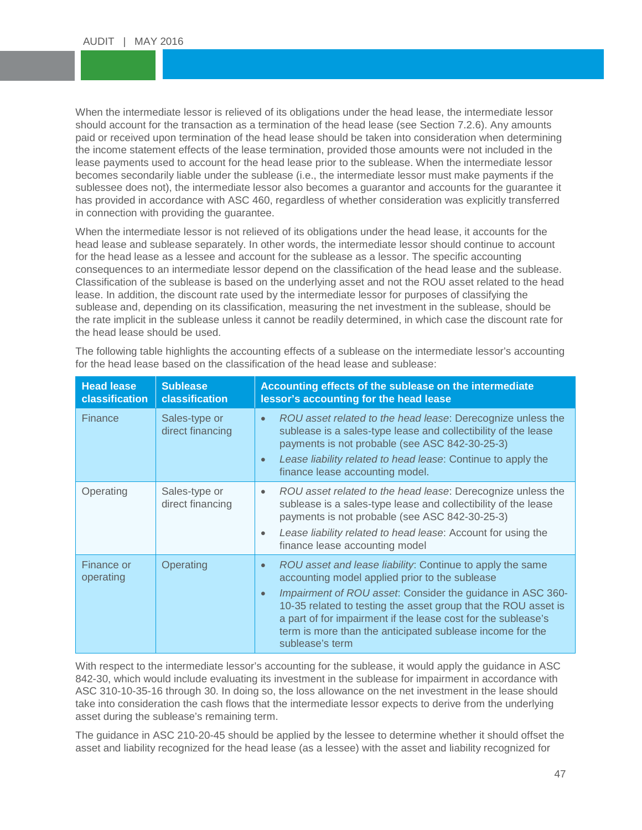When the intermediate lessor is relieved of its obligations under the head lease, the intermediate lessor<br>should account for the transaction as a termination of the head lease (see Section 7.2.6). Any amounts paid or received upon termination of the head lease should be taken into consideration when determinin<br>the income statement effects of the lease termination, provided those amounts were not included in the lease payments used to account for the head lease prior to the sublease. When the intermediate lessor<br>becomes secondarily liable under the sublease (i.e., the intermediate lessor must make payments if the sublessee does not), the intermediate lessor also becomes a guarantor and accounts for the guarantee it<br>has provided in accordance with ASC 460, regardless of whether consideration was explicitly transferred When the intermediate lessor is relieved of its obligations under the head lease, the intermediate lessor paid or received upon termination of the head lease should be taken into consideration when determining lease payments used to account for the head lease prior to the sublease. When the intermediate lessor sublessee does not), the intermediate lessor also becomes a guarantor and accounts for the guarantee it in connection with providing the guarantee.

When the intermediate lessor is not relieved of its obligations under the head lease, it accounts for the head lease and sublease separately. In other words, the intermediate lessor should continue to account for the head lease as a lessee and account for the sublease as a lessor. The specific accounting consequences to an intermediate lessor depend on the classification of the head lease and the sublease. Classification of the sublease is based on the underlying asset and not the ROU asset related to the head lease. In addition, the discount rate used by the intermediate lessor for purposes of classifying the sublease and, depending on its classification, measuring the net investment in the sublease, should be the rate implicit in the sublease unless it cannot be readily determined, in which case the discount rate for the head lease should be used.

| <b>Head lease</b><br>classification | <b>Sublease</b><br>classification | Accounting effects of the sublease on the intermediate<br>lessor's accounting for the head lease                                                                                                                                                                                                                                                                                                                       |
|-------------------------------------|-----------------------------------|------------------------------------------------------------------------------------------------------------------------------------------------------------------------------------------------------------------------------------------------------------------------------------------------------------------------------------------------------------------------------------------------------------------------|
| <b>Finance</b>                      | Sales-type or<br>direct financing | ROU asset related to the head lease: Derecognize unless the<br>$\bullet$<br>sublease is a sales-type lease and collectibility of the lease<br>payments is not probable (see ASC 842-30-25-3)<br>Lease liability related to head lease: Continue to apply the<br>$\bullet$<br>finance lease accounting model.                                                                                                           |
| Operating                           | Sales-type or<br>direct financing | ROU asset related to the head lease: Derecognize unless the<br>$\bullet$<br>sublease is a sales-type lease and collectibility of the lease<br>payments is not probable (see ASC 842-30-25-3)<br>Lease liability related to head lease: Account for using the<br>$\bullet$<br>finance lease accounting model                                                                                                            |
| <b>Finance or</b><br>operating      | Operating                         | ROU asset and lease liability: Continue to apply the same<br>$\bullet$<br>accounting model applied prior to the sublease<br>Impairment of ROU asset: Consider the guidance in ASC 360-<br>$\bullet$<br>10-35 related to testing the asset group that the ROU asset is<br>a part of for impairment if the lease cost for the sublease's<br>term is more than the anticipated sublease income for the<br>sublease's term |

The following table highlights the accounting effects of a sublease on the intermediate lessor's accounting for the head lease based on the classification of the head lease and sublease:

With respect to the intermediate lessor's accounting for the sublease, it would apply the guidance in ASC 842-30, which would include evaluating its investment in the sublease for impairment in accordance with ASC 310-10-35-16 through 30. In doing so, the loss allowance on the net investment in the lease should take into consideration the cash flows that the intermediate lessor expects to derive from the underlying asset during the sublease's remaining term.

The guidance in ASC 210-20-45 should be applied by the lessee to determine whether it should offset the asset and liability recognized for the head lease (as a lessee) with the asset and liability recognized for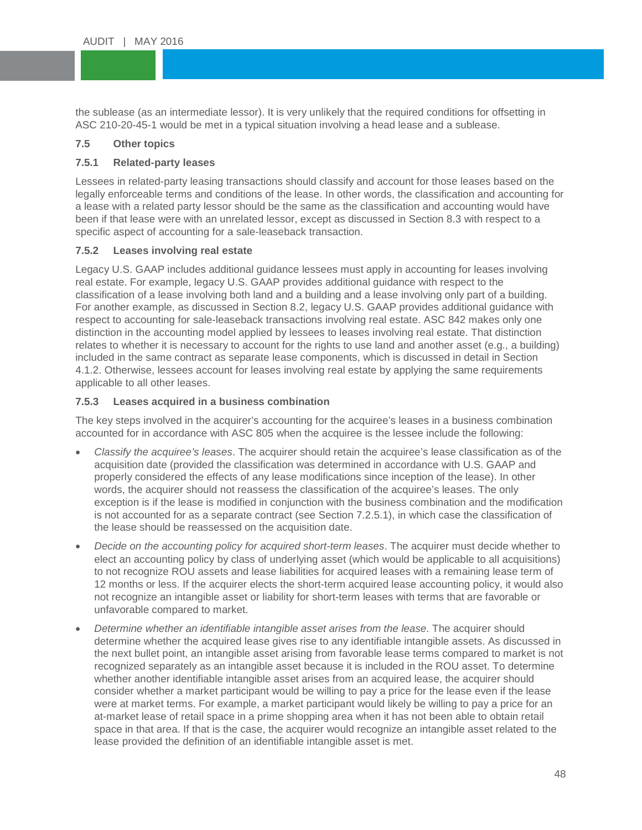the sublease (as an intermediate lessor). It is very unlikely that the required conditions for off<br>ASC 210-20-45-1 would be met in a typical situation involving a head lease and a sublease. the sublease (as an intermediate lessor). It is very unlikely that the required conditions for offsetting in

#### $\overline{\phantom{a}}$ **7.5 Other topics**

#### **7.5.1 Related-party leases**

7**.5.1 Related-party leases**<br>Lessees in related-party leasing transactions should classify and account for those leases based on the legally enforceable terms and conditions of the lease. In other words, the classification and accounting for<br>a lease with a related party lessor should be the same as the classification and accounting would have a lease with a related party lessor should be the same as the classification and accounting would have been if that lease were with an unrelated lessor, except as discussed in Section 8.3 with respect to a specific aspect of accounting for a sale-leaseback transaction.

#### **7.5.2 Leases involving real estate**

Legacy U.S. GAAP includes additional guidance lessees must apply in accounting for leases involving real estate. For example, legacy U.S. GAAP provides additional guidance with respect to the classification of a lease involving both land and a building and a lease involving only part of a building. For another example, as discussed in Section 8.2, legacy U.S. GAAP provides additional guidance with respect to accounting for sale-leaseback transactions involving real estate. ASC 842 makes only one distinction in the accounting model applied by lessees to leases involving real estate. That distinction relates to whether it is necessary to account for the rights to use land and another asset (e.g., a building) included in the same contract as separate lease components, which is discussed in detail in Section 4.1.2. Otherwise, lessees account for leases involving real estate by applying the same requirements applicable to all other leases.

#### **7.5.3 Leases acquired in a business combination**

The key steps involved in the acquirer's accounting for the acquiree's leases in a business combination accounted for in accordance with ASC 805 when the acquiree is the lessee include the following:

- *Classify the acquiree's leases*. The acquirer should retain the acquiree's lease classification as of the acquisition date (provided the classification was determined in accordance with U.S. GAAP and properly considered the effects of any lease modifications since inception of the lease). In other words, the acquirer should not reassess the classification of the acquiree's leases. The only exception is if the lease is modified in conjunction with the business combination and the modification is not accounted for as a separate contract (see Section 7.2.5.1), in which case the classification of the lease should be reassessed on the acquisition date.
- *Decide on the accounting policy for acquired short-term leases*. The acquirer must decide whether to elect an accounting policy by class of underlying asset (which would be applicable to all acquisitions) to not recognize ROU assets and lease liabilities for acquired leases with a remaining lease term of 12 months or less. If the acquirer elects the short-term acquired lease accounting policy, it would also not recognize an intangible asset or liability for short-term leases with terms that are favorable or unfavorable compared to market.
- *Determine whether an identifiable intangible asset arises from the lease*. The acquirer should determine whether the acquired lease gives rise to any identifiable intangible assets. As discussed in the next bullet point, an intangible asset arising from favorable lease terms compared to market is not recognized separately as an intangible asset because it is included in the ROU asset. To determine whether another identifiable intangible asset arises from an acquired lease, the acquirer should consider whether a market participant would be willing to pay a price for the lease even if the lease were at market terms. For example, a market participant would likely be willing to pay a price for an at-market lease of retail space in a prime shopping area when it has not been able to obtain retail space in that area. If that is the case, the acquirer would recognize an intangible asset related to the lease provided the definition of an identifiable intangible asset is met.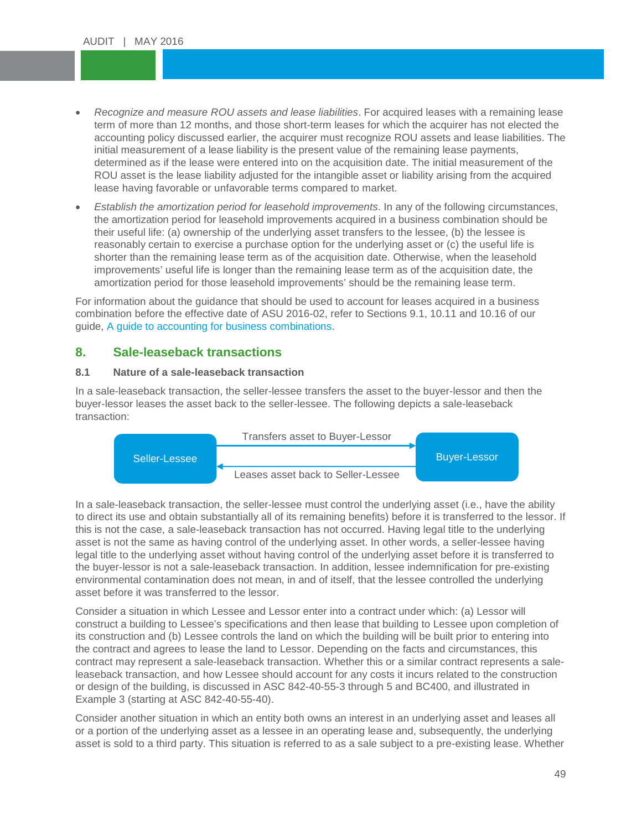- *Recognize and measure ROU assets and lease liabilities*. For acquired leases with a remaining lease term of more than 12 months, and those short-term leases for which the acquirer has not elected the accounting policy discussed earlier, the acquirer must recognize ROU assets and lease liabil<br>initial measurement of a lease liability is the present value of the remaining lease payments, determined as if the lease were entered into on the acquisition date. The initial measurement of the<br>ROU asset is the lease liability adjusted for the intangible asset or liability arising from the acquired term of more than 12 months, and those short-term leases for which the acquirer has not elected the accounting policy discussed earlier, the acquirer must recognize ROU assets and lease liabilities. The determined as if the lease were entered into on the acquisition date. The initial measurement of the lease having favorable or unfavorable terms compared to market.
- ease having favorable or unfavorable terms compared to market.<br>● *Establish the amortization period for leasehold improvements*. In any of the following circumstances, the amortization period for leasehold improvements acquired in a business combination should be their useful life: (a) ownership of the underlying asset transfers to the lessee, (b) the lessee is reasonably certain to exercise a purchase option for the underlying asset or (c) the useful life is shorter than the remaining lease term as of the acquisition date. Otherwise, when the leasehold improvements' useful life is longer than the remaining lease term as of the acquisition date, the amortization period for those leasehold improvements' should be the remaining lease term.

For information about the guidance that should be used to account for leases acquired in a business combination before the effective date of ASU 2016-02, refer to Sections 9.1, 10.11 and 10.16 of our guide, [A guide to accounting for business combinations.](http://rsmus.com/what-we-do/services/assurance/financial-reporting-resource-center/a-guide-to-accounting-for-business-combinations-second-edition.html)

### **8. Sale-leaseback transactions**

#### **8.1 Nature of a sale-leaseback transaction**

In a sale-leaseback transaction, the seller-lessee transfers the asset to the buyer-lessor and then the buyer-lessor leases the asset back to the seller-lessee. The following depicts a sale-leaseback transaction:



In a sale-leaseback transaction, the seller-lessee must control the underlying asset (i.e., have the ability to direct its use and obtain substantially all of its remaining benefits) before it is transferred to the lessor. If this is not the case, a sale-leaseback transaction has not occurred. Having legal title to the underlying asset is not the same as having control of the underlying asset. In other words, a seller-lessee having legal title to the underlying asset without having control of the underlying asset before it is transferred to the buyer-lessor is not a sale-leaseback transaction. In addition, lessee indemnification for pre-existing environmental contamination does not mean, in and of itself, that the lessee controlled the underlying asset before it was transferred to the lessor.

Consider a situation in which Lessee and Lessor enter into a contract under which: (a) Lessor will construct a building to Lessee's specifications and then lease that building to Lessee upon completion of its construction and (b) Lessee controls the land on which the building will be built prior to entering into the contract and agrees to lease the land to Lessor. Depending on the facts and circumstances, this contract may represent a sale-leaseback transaction. Whether this or a similar contract represents a saleleaseback transaction, and how Lessee should account for any costs it incurs related to the construction or design of the building, is discussed in ASC 842-40-55-3 through 5 and BC400, and illustrated in Example 3 (starting at ASC 842-40-55-40).

Consider another situation in which an entity both owns an interest in an underlying asset and leases all or a portion of the underlying asset as a lessee in an operating lease and, subsequently, the underlying asset is sold to a third party. This situation is referred to as a sale subject to a pre-existing lease. Whether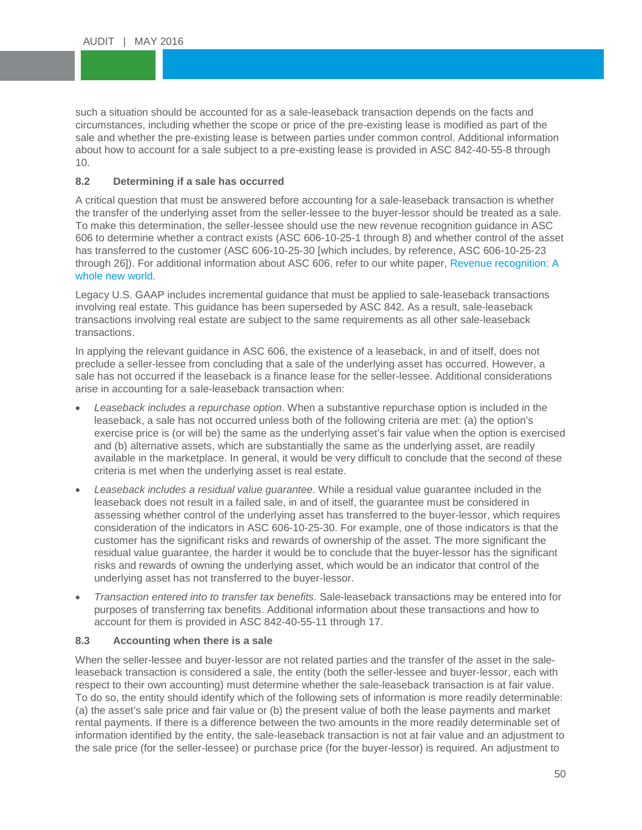such a situation should be accounted for as a sale-leaseback transaction depends on the facts and<br>circumstances, including whether the scope or price of the pre-existing lease is modified as part of t sale and whether the pre-existing lease is between parties under common control. Additional informatio<br>about how to account for a sale subject to a pre-existing lease is provided in ASC 842-40-55-8 through 10.<br>8.2 Determining if a sale has occurred circumstances, including whether the scope or price of the pre-existing lease is modified as part of the sale and whether the pre-existing lease is between parties under common control. Additional information 10.

A critical question that must be answered before accounting for a sale-leaseback transaction is whether the transfer of the underlying asset from the seller-lessee to the buyer-lessor should be treated as a sale. To make this determination, the seller-lessee should use the new revenue recognition guidance in ASC 606 to determine whether a contract exists (ASC 606-10-25-1 through 8) and whether control of the asset has transferred to the customer (ASC 606-10-25-30 [which includes, by reference, ASC 606-10-25-23 through 26]). For additional information about ASC 606, refer to our white paper, [Revenue recognition: A](http://rsmus.com/what-we-do/services/assurance/revenue-recognition-a-whole-new-world.html)  [whole new world.](http://rsmus.com/what-we-do/services/assurance/revenue-recognition-a-whole-new-world.html)

Legacy U.S. GAAP includes incremental guidance that must be applied to sale-leaseback transactions involving real estate. This guidance has been superseded by ASC 842. As a result, sale-leaseback transactions involving real estate are subject to the same requirements as all other sale-leaseback transactions.

In applying the relevant guidance in ASC 606, the existence of a leaseback, in and of itself, does not preclude a seller-lessee from concluding that a sale of the underlying asset has occurred. However, a sale has not occurred if the leaseback is a finance lease for the seller-lessee. Additional considerations arise in accounting for a sale-leaseback transaction when:

- *Leaseback includes a repurchase option*. When a substantive repurchase option is included in the leaseback, a sale has not occurred unless both of the following criteria are met: (a) the option's exercise price is (or will be) the same as the underlying asset's fair value when the option is exercised and (b) alternative assets, which are substantially the same as the underlying asset, are readily available in the marketplace. In general, it would be very difficult to conclude that the second of these criteria is met when the underlying asset is real estate.
- *Leaseback includes a residual value guarantee*. While a residual value guarantee included in the leaseback does not result in a failed sale, in and of itself, the guarantee must be considered in assessing whether control of the underlying asset has transferred to the buyer-lessor, which requires consideration of the indicators in ASC 606-10-25-30. For example, one of those indicators is that the customer has the significant risks and rewards of ownership of the asset. The more significant the residual value guarantee, the harder it would be to conclude that the buyer-lessor has the significant risks and rewards of owning the underlying asset, which would be an indicator that control of the underlying asset has not transferred to the buyer-lessor.
- *Transaction entered into to transfer tax benefits*. Sale-leaseback transactions may be entered into for purposes of transferring tax benefits. Additional information about these transactions and how to account for them is provided in ASC 842-40-55-11 through 17.

#### **8.3 Accounting when there is a sale**

When the seller-lessee and buyer-lessor are not related parties and the transfer of the asset in the saleleaseback transaction is considered a sale, the entity (both the seller-lessee and buyer-lessor, each with respect to their own accounting) must determine whether the sale-leaseback transaction is at fair value. To do so, the entity should identify which of the following sets of information is more readily determinable: (a) the asset's sale price and fair value or (b) the present value of both the lease payments and market rental payments. If there is a difference between the two amounts in the more readily determinable set of information identified by the entity, the sale-leaseback transaction is not at fair value and an adjustment to the sale price (for the seller-lessee) or purchase price (for the buyer-lessor) is required. An adjustment to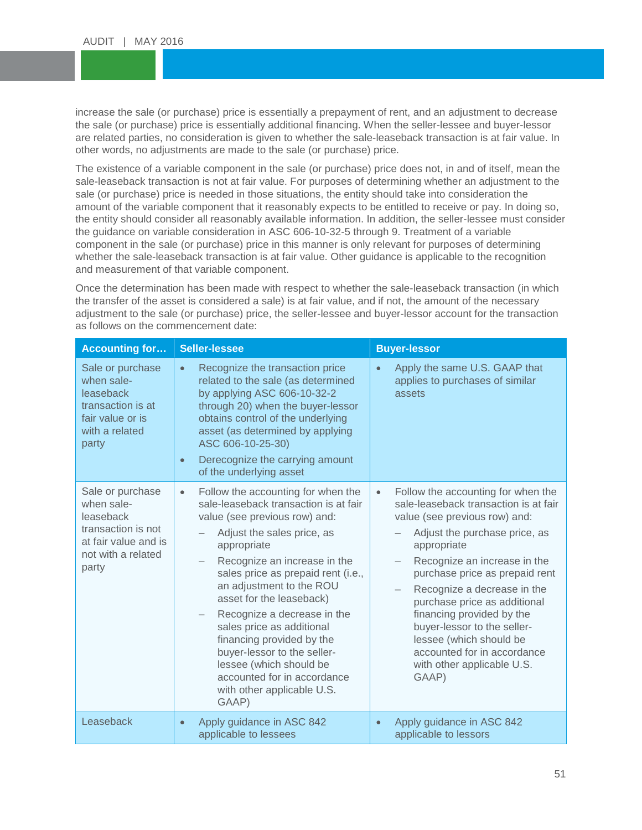increase the sale (or purchase) price is essentially a prepayment of rent, and an adjustment to decrease<br>the sale (or purchase) price is essentially additional financing. When the seller-lessee and buyer-lessor are related parties, no consideration is given to whether the sale-lease<br>other words, no adjustments are made to the sale (or purchase) price. increase the sale (or purchase) price is essentially a prepayment of rent, and an adjustment to decrease are related parties, no consideration is given to whether the sale-leaseback transaction is at fair value. In

The existence of a variable component in the sale (or purchase) price does not, in and of itself, mean the sale leaseback transaction is not at fair value. For purposes of determining whether an adjustment to the sale (or purchase) price is needed in those situations, the entity should take into consideration the<br>amount of the variable component that it reasonably expects to be entitled to receive or pay. In doi sale-leaseback transaction is not at fair value. For purposes of determining whether an adjustment to the amount of the variable component that it reasonably expects to be entitled to receive or pay. In doing so, the entity should consider all reasonably available information. In addition, the seller-lessee must consider the guidance on variable consideration in ASC 606-10-32-5 through 9. Treatment of a variable component in the sale (or purchase) price in this manner is only relevant for purposes of determining whether the sale-leaseback transaction is at fair value. Other guidance is applicable to the recognition and measurement of that variable component.

Once the determination has been made with respect to whether the sale-leaseback transaction (in which the transfer of the asset is considered a sale) is at fair value, and if not, the amount of the necessary adjustment to the sale (or purchase) price, the seller-lessee and buyer-lessor account for the transaction as follows on the commencement date:

| <b>Accounting for</b>                                                                                                    | <b>Seller-lessee</b>                                                                                                                                                                                                                                                                                                                                                                                                                                                                                                          | <b>Buyer-lessor</b>                                                                                                                                                                                                                                                                                                                                                                                                                                                     |
|--------------------------------------------------------------------------------------------------------------------------|-------------------------------------------------------------------------------------------------------------------------------------------------------------------------------------------------------------------------------------------------------------------------------------------------------------------------------------------------------------------------------------------------------------------------------------------------------------------------------------------------------------------------------|-------------------------------------------------------------------------------------------------------------------------------------------------------------------------------------------------------------------------------------------------------------------------------------------------------------------------------------------------------------------------------------------------------------------------------------------------------------------------|
| Sale or purchase<br>when sale-<br>leaseback<br>transaction is at<br>fair value or is<br>with a related<br>party          | Recognize the transaction price<br>$\bullet$<br>related to the sale (as determined<br>by applying ASC 606-10-32-2<br>through 20) when the buyer-lessor<br>obtains control of the underlying<br>asset (as determined by applying<br>ASC 606-10-25-30)<br>Derecognize the carrying amount<br>$\bullet$<br>of the underlying asset                                                                                                                                                                                               | Apply the same U.S. GAAP that<br>$\bullet$<br>applies to purchases of similar<br>assets                                                                                                                                                                                                                                                                                                                                                                                 |
| Sale or purchase<br>when sale-<br>leaseback<br>transaction is not<br>at fair value and is<br>not with a related<br>party | Follow the accounting for when the<br>$\bullet$<br>sale-leaseback transaction is at fair<br>value (see previous row) and:<br>Adjust the sales price, as<br>appropriate<br>Recognize an increase in the<br>sales price as prepaid rent (i.e.,<br>an adjustment to the ROU<br>asset for the leaseback)<br>Recognize a decrease in the<br>sales price as additional<br>financing provided by the<br>buyer-lessor to the seller-<br>lessee (which should be<br>accounted for in accordance<br>with other applicable U.S.<br>GAAP) | Follow the accounting for when the<br>$\bullet$<br>sale-leaseback transaction is at fair<br>value (see previous row) and:<br>Adjust the purchase price, as<br>appropriate<br>Recognize an increase in the<br>purchase price as prepaid rent<br>Recognize a decrease in the<br>purchase price as additional<br>financing provided by the<br>buyer-lessor to the seller-<br>lessee (which should be<br>accounted for in accordance<br>with other applicable U.S.<br>GAAP) |
| Leaseback                                                                                                                | Apply guidance in ASC 842<br>$\bullet$<br>applicable to lessees                                                                                                                                                                                                                                                                                                                                                                                                                                                               | Apply guidance in ASC 842<br>$\bullet$<br>applicable to lessors                                                                                                                                                                                                                                                                                                                                                                                                         |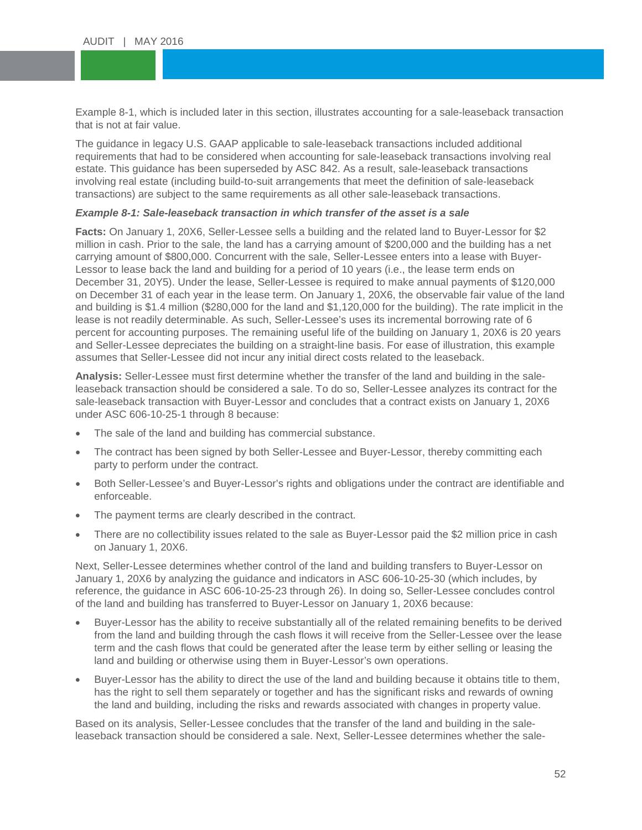Example 8-1, which is included later in this section, illustrates accounting for a sale-leaseback transaction<br>that is not at fair value. that is not at fair value.

The guidance in legacy U.S. GAAP applicable to sale-leaseback transactions included additional<br>requirements that had to be considered when accounting for sale leaseback transactions involving requirements that had to be concluded throm accounting for calc reaccedant transactions involving<br>estate. This guidance has been superseded by ASC 842. As a result, sale-leaseback transactions<br>involving real estate (includ transactions) are subject to the same requirements as all other sale-leaseback transactions. requirements that had to be considered when accounting for sale-leaseback transactions involving real involving real estate (including build-to-suit arrangements that meet the definition of sale-leaseback

#### *Example 8-1: Sale-leaseback transaction in which transfer of the asset is a sale*

**Facts:** On January 1, 20X6, Seller-Lessee sells a building and the related land to Buyer-Lessor for \$2 million in cash. Prior to the sale, the land has a carrying amount of \$200,000 and the building has a net carrying amount of \$800,000. Concurrent with the sale, Seller-Lessee enters into a lease with Buyer-Lessor to lease back the land and building for a period of 10 years (i.e., the lease term ends on December 31, 20Y5). Under the lease, Seller-Lessee is required to make annual payments of \$120,000 on December 31 of each year in the lease term. On January 1, 20X6, the observable fair value of the land and building is \$1.4 million (\$280,000 for the land and \$1,120,000 for the building). The rate implicit in the lease is not readily determinable. As such, Seller-Lessee's uses its incremental borrowing rate of 6 percent for accounting purposes. The remaining useful life of the building on January 1, 20X6 is 20 years and Seller-Lessee depreciates the building on a straight-line basis. For ease of illustration, this example assumes that Seller-Lessee did not incur any initial direct costs related to the leaseback.

**Analysis:** Seller-Lessee must first determine whether the transfer of the land and building in the saleleaseback transaction should be considered a sale. To do so, Seller-Lessee analyzes its contract for the sale-leaseback transaction with Buyer-Lessor and concludes that a contract exists on January 1, 20X6 under ASC 606-10-25-1 through 8 because:

- The sale of the land and building has commercial substance.
- The contract has been signed by both Seller-Lessee and Buyer-Lessor, thereby committing each party to perform under the contract.
- Both Seller-Lessee's and Buyer-Lessor's rights and obligations under the contract are identifiable and enforceable.
- The payment terms are clearly described in the contract.
- There are no collectibility issues related to the sale as Buyer-Lessor paid the \$2 million price in cash on January 1, 20X6.

Next, Seller-Lessee determines whether control of the land and building transfers to Buyer-Lessor on January 1, 20X6 by analyzing the guidance and indicators in ASC 606-10-25-30 (which includes, by reference, the guidance in ASC 606-10-25-23 through 26). In doing so, Seller-Lessee concludes control of the land and building has transferred to Buyer-Lessor on January 1, 20X6 because:

- Buyer-Lessor has the ability to receive substantially all of the related remaining benefits to be derived from the land and building through the cash flows it will receive from the Seller-Lessee over the lease term and the cash flows that could be generated after the lease term by either selling or leasing the land and building or otherwise using them in Buyer-Lessor's own operations.
- Buyer-Lessor has the ability to direct the use of the land and building because it obtains title to them, has the right to sell them separately or together and has the significant risks and rewards of owning the land and building, including the risks and rewards associated with changes in property value.

Based on its analysis, Seller-Lessee concludes that the transfer of the land and building in the saleleaseback transaction should be considered a sale. Next, Seller-Lessee determines whether the sale-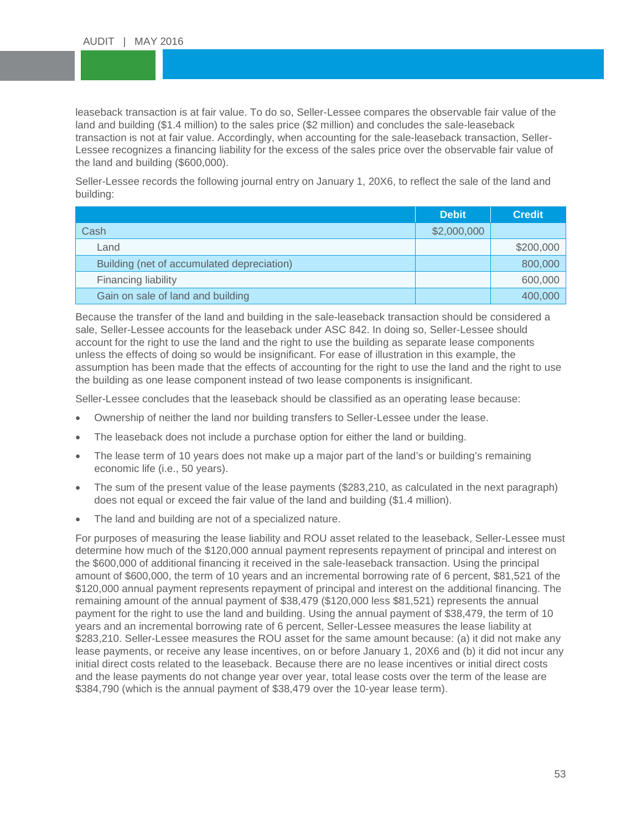leaseback transaction is at fair value. To do so, Seller-Lessee compares the observable fair valu<br>land and building (\$1.4 million) to the sales price (\$2 million) and concludes the sale-leaseback transaction is not at fair value. Accordingly, when accounting for the sale-leaseback transaction, Seller-<br>Lessee recognizes a financing liability for the excess of the sales price over the observable fair value of leaseback transaction is at fair value. To do so, Seller-Lessee compares the observable fair value of the transaction is not at fair value. Accordingly, when accounting for the sale-leaseback transaction, Sellerthe land and building (\$600,000).

the land and building (\$600,000).<br>Seller-Lessee records the following journal entry on January 1, 20X6, to reflect the sale of the land and FOR LESSEES building:

|                                            | <b>Debit</b> | <b>Credit</b> |
|--------------------------------------------|--------------|---------------|
| Cash                                       | \$2,000,000  |               |
| Land                                       |              | \$200,000     |
| Building (net of accumulated depreciation) |              | 800,000       |
| Financing liability                        |              | 600,000       |
| Gain on sale of land and building          |              | 400,000       |

Because the transfer of the land and building in the sale-leaseback transaction should be considered a sale, Seller-Lessee accounts for the leaseback under ASC 842. In doing so, Seller-Lessee should account for the right to use the land and the right to use the building as separate lease components unless the effects of doing so would be insignificant. For ease of illustration in this example, the assumption has been made that the effects of accounting for the right to use the land and the right to use the building as one lease component instead of two lease components is insignificant.

Seller-Lessee concludes that the leaseback should be classified as an operating lease because:

- Ownership of neither the land nor building transfers to Seller-Lessee under the lease.
- The leaseback does not include a purchase option for either the land or building.
- The lease term of 10 years does not make up a major part of the land's or building's remaining economic life (i.e., 50 years).
- The sum of the present value of the lease payments (\$283,210, as calculated in the next paragraph) does not equal or exceed the fair value of the land and building (\$1.4 million).
- The land and building are not of a specialized nature.

For purposes of measuring the lease liability and ROU asset related to the leaseback, Seller-Lessee must determine how much of the \$120,000 annual payment represents repayment of principal and interest on the \$600,000 of additional financing it received in the sale-leaseback transaction. Using the principal amount of \$600,000, the term of 10 years and an incremental borrowing rate of 6 percent, \$81,521 of the \$120,000 annual payment represents repayment of principal and interest on the additional financing. The remaining amount of the annual payment of \$38,479 (\$120,000 less \$81,521) represents the annual payment for the right to use the land and building. Using the annual payment of \$38,479, the term of 10 years and an incremental borrowing rate of 6 percent, Seller-Lessee measures the lease liability at \$283,210. Seller-Lessee measures the ROU asset for the same amount because: (a) it did not make any lease payments, or receive any lease incentives, on or before January 1, 20X6 and (b) it did not incur any initial direct costs related to the leaseback. Because there are no lease incentives or initial direct costs and the lease payments do not change year over year, total lease costs over the term of the lease are \$384,790 (which is the annual payment of \$38,479 over the 10-year lease term).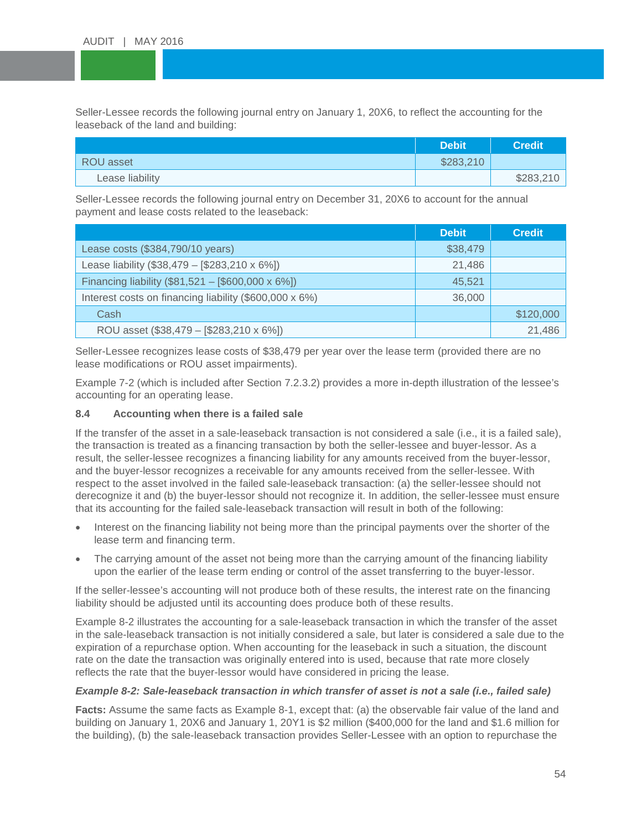Seller-Lessee records the following journal entry on January 1, 20X6, to reflect the accounting for the land and building: leaseback of the land and building:

|                 | <b>Debit</b> | <b>Credit</b> |
|-----------------|--------------|---------------|
| ROU asset       | \$283,210    |               |
| Lease liability |              | \$283,210     |

Seller-Lessee records the following journal entry on December 31, 20X6 to account for the annual payment and lease costs related to the leaseback:

|                                                           | <b>Debit</b> | <b>Credit</b> |
|-----------------------------------------------------------|--------------|---------------|
| Lease costs (\$384,790/10 years)                          | \$38,479     |               |
| Lease liability (\$38,479 - [\$283,210 x 6%])             | 21,486       |               |
| Financing liability $(\$81,521 - [\$600,000 \times 6\%])$ | 45.521       |               |
| Interest costs on financing liability (\$600,000 x 6%)    | 36,000       |               |
| Cash                                                      |              | \$120,000     |
| ROU asset (\$38,479 - [\$283,210 x 6%])                   |              | 21,486        |

Seller-Lessee recognizes lease costs of \$38,479 per year over the lease term (provided there are no lease modifications or ROU asset impairments).

Example 7-2 (which is included after Section 7.2.3.2) provides a more in-depth illustration of the lessee's accounting for an operating lease.

#### **8.4 Accounting when there is a failed sale**

If the transfer of the asset in a sale-leaseback transaction is not considered a sale (i.e., it is a failed sale), the transaction is treated as a financing transaction by both the seller-lessee and buyer-lessor. As a result, the seller-lessee recognizes a financing liability for any amounts received from the buyer-lessor, and the buyer-lessor recognizes a receivable for any amounts received from the seller-lessee. With respect to the asset involved in the failed sale-leaseback transaction: (a) the seller-lessee should not derecognize it and (b) the buyer-lessor should not recognize it. In addition, the seller-lessee must ensure that its accounting for the failed sale-leaseback transaction will result in both of the following:

- Interest on the financing liability not being more than the principal payments over the shorter of the lease term and financing term.
- The carrying amount of the asset not being more than the carrying amount of the financing liability upon the earlier of the lease term ending or control of the asset transferring to the buyer-lessor.

If the seller-lessee's accounting will not produce both of these results, the interest rate on the financing liability should be adjusted until its accounting does produce both of these results.

Example 8-2 illustrates the accounting for a sale-leaseback transaction in which the transfer of the asset in the sale-leaseback transaction is not initially considered a sale, but later is considered a sale due to the expiration of a repurchase option. When accounting for the leaseback in such a situation, the discount rate on the date the transaction was originally entered into is used, because that rate more closely reflects the rate that the buyer-lessor would have considered in pricing the lease.

#### *Example 8-2: Sale-leaseback transaction in which transfer of asset is not a sale (i.e., failed sale)*

**Facts:** Assume the same facts as Example 8-1, except that: (a) the observable fair value of the land and building on January 1, 20X6 and January 1, 20Y1 is \$2 million (\$400,000 for the land and \$1.6 million for the building), (b) the sale-leaseback transaction provides Seller-Lessee with an option to repurchase the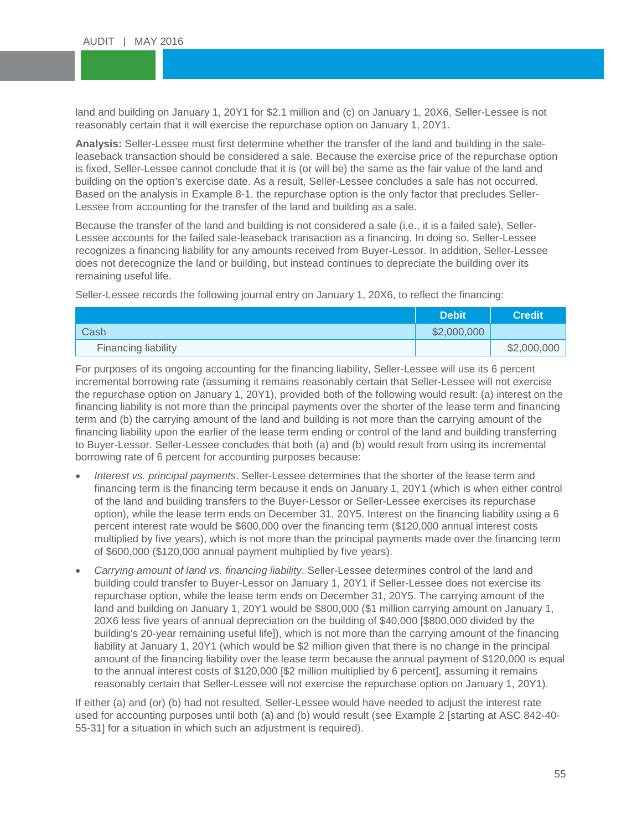land and building on January 1, 20Y1 for \$2.1 million and (c) on January 1, 20X6, reasonably certain that it will exercise the repurchase option on January 1, 20Y1. land and building on January 1, 20Y1 for \$2.1 million and (c) on January 1, 20X6, Seller-Lessee is not

**Analysis:** Seller-Lessee must first determine whether the transfer of the land and building in the sale-<br>Isosobask transaction should be considered a sale. Because the exercise price of the repurchase and reaccident increased cannot conclude that it is (or will be) the same as the fair value of the land and huilding on the option's exercise date. As a result, Seller-Lessee concludes a sale has not occurred Based on the analysis in Example 8-1, the repurchase option is the only factor that precludes Seller-<br>Lessee from accounting for the transfer of the land and building as a sale leaseback transaction should be considered a sale. Because the exercise price of the repurchase option building on the option's exercise date. As a result, Seller-Lessee concludes a sale has not occurred. Lessee from accounting for the transfer of the land and building as a sale.

Because the transfer of the land and building is not considered a sale (i.e., it is a failed sale), Seller-Lessee accounts for the failed sale-leaseback transaction as a financing. In doing so, Seller-Lessee recognizes a financing liability for any amounts received from Buyer-Lessor. In addition, Seller-Lessee does not derecognize the land or building, but instead continues to depreciate the building over its remaining useful life.

Seller-Lessee records the following journal entry on January 1, 20X6, to reflect the financing:

|                     | <b>Debit</b> | <b>Credit</b> |
|---------------------|--------------|---------------|
| Cash                | \$2,000,000  |               |
| Financing liability |              | \$2,000,000   |

For purposes of its ongoing accounting for the financing liability, Seller-Lessee will use its 6 percent incremental borrowing rate (assuming it remains reasonably certain that Seller-Lessee will not exercise the repurchase option on January 1, 20Y1), provided both of the following would result: (a) interest on the financing liability is not more than the principal payments over the shorter of the lease term and financing term and (b) the carrying amount of the land and building is not more than the carrying amount of the financing liability upon the earlier of the lease term ending or control of the land and building transferring to Buyer-Lessor. Seller-Lessee concludes that both (a) and (b) would result from using its incremental borrowing rate of 6 percent for accounting purposes because:

- *Interest vs. principal payments*. Seller-Lessee determines that the shorter of the lease term and financing term is the financing term because it ends on January 1, 20Y1 (which is when either control of the land and building transfers to the Buyer-Lessor or Seller-Lessee exercises its repurchase option), while the lease term ends on December 31, 20Y5. Interest on the financing liability using a 6 percent interest rate would be \$600,000 over the financing term (\$120,000 annual interest costs multiplied by five years), which is not more than the principal payments made over the financing term of \$600,000 (\$120,000 annual payment multiplied by five years).
- *Carrying amount of land vs. financing liability*. Seller-Lessee determines control of the land and building could transfer to Buyer-Lessor on January 1, 20Y1 if Seller-Lessee does not exercise its repurchase option, while the lease term ends on December 31, 20Y5. The carrying amount of the land and building on January 1, 20Y1 would be \$800,000 (\$1 million carrying amount on January 1, 20X6 less five years of annual depreciation on the building of \$40,000 [\$800,000 divided by the building's 20-year remaining useful life]), which is not more than the carrying amount of the financing liability at January 1, 20Y1 (which would be \$2 million given that there is no change in the principal amount of the financing liability over the lease term because the annual payment of \$120,000 is equal to the annual interest costs of \$120,000 [\$2 million multiplied by 6 percent], assuming it remains reasonably certain that Seller-Lessee will not exercise the repurchase option on January 1, 20Y1).

If either (a) and (or) (b) had not resulted, Seller-Lessee would have needed to adjust the interest rate used for accounting purposes until both (a) and (b) would result (see Example 2 [starting at ASC 842-40- 55-31] for a situation in which such an adjustment is required).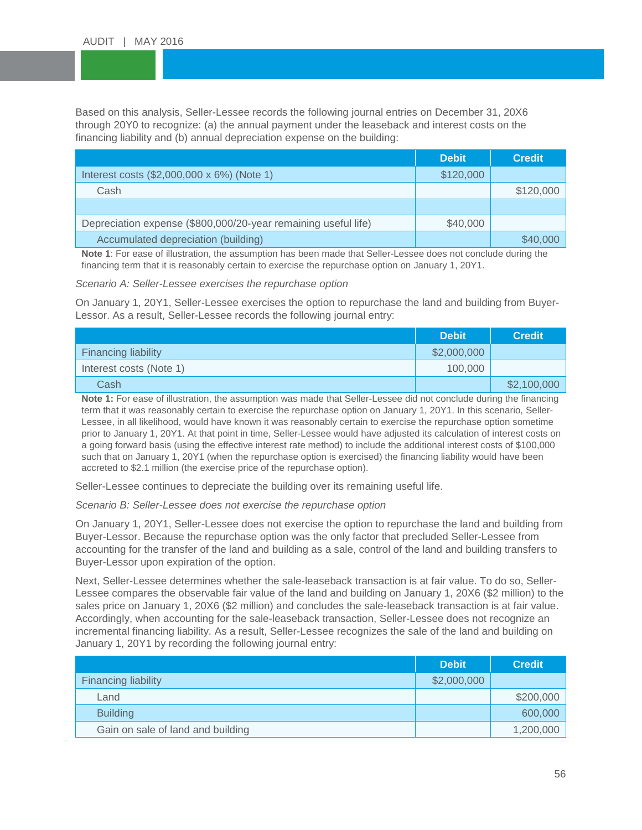Based on this analysis, Seller-Lessee records the following journal entries on December 31, 20X6<br>through 20Y0 to recognize: (a) the annual payment under the leaseback and interest costs on the financing liability and (b) annual depreciation expense on the building:<br>**Example:** through 20Y0 to recognize: (a) the annual payment under the leaseback and interest costs on the

|                                                                | <b>Debit</b> | <b>Credit</b> |
|----------------------------------------------------------------|--------------|---------------|
| Interest costs (\$2,000,000 x 6%) (Note 1)                     | \$120,000    |               |
| Cash                                                           |              | \$120,000     |
|                                                                |              |               |
| Depreciation expense (\$800,000/20-year remaining useful life) | \$40,000     |               |
| Accumulated depreciation (building)                            |              | \$40,000      |

**Note 1**: For ease of illustration, the assumption has been made that Seller-Lessee does not conclude during the financing term that it is reasonably certain to exercise the repurchase option on January 1, 20Y1.

*Scenario A: Seller-Lessee exercises the repurchase option*

On January 1, 20Y1, Seller-Lessee exercises the option to repurchase the land and building from Buyer-Lessor. As a result, Seller-Lessee records the following journal entry:

|                            | <b>Debit</b> | <b>Credit</b> |
|----------------------------|--------------|---------------|
| <b>Financing liability</b> | \$2,000,000  |               |
| Interest costs (Note 1)    | 100,000      |               |
| Cash                       |              | \$2,100,000   |

**Note 1:** For ease of illustration, the assumption was made that Seller-Lessee did not conclude during the financing term that it was reasonably certain to exercise the repurchase option on January 1, 20Y1. In this scenario, Seller-Lessee, in all likelihood, would have known it was reasonably certain to exercise the repurchase option sometime prior to January 1, 20Y1. At that point in time, Seller-Lessee would have adjusted its calculation of interest costs on a going forward basis (using the effective interest rate method) to include the additional interest costs of \$100,000 such that on January 1, 20Y1 (when the repurchase option is exercised) the financing liability would have been accreted to \$2.1 million (the exercise price of the repurchase option).

Seller-Lessee continues to depreciate the building over its remaining useful life.

*Scenario B: Seller-Lessee does not exercise the repurchase option*

On January 1, 20Y1, Seller-Lessee does not exercise the option to repurchase the land and building from Buyer-Lessor. Because the repurchase option was the only factor that precluded Seller-Lessee from accounting for the transfer of the land and building as a sale, control of the land and building transfers to Buyer-Lessor upon expiration of the option.

Next, Seller-Lessee determines whether the sale-leaseback transaction is at fair value. To do so, Seller-Lessee compares the observable fair value of the land and building on January 1, 20X6 (\$2 million) to the sales price on January 1, 20X6 (\$2 million) and concludes the sale-leaseback transaction is at fair value. Accordingly, when accounting for the sale-leaseback transaction, Seller-Lessee does not recognize an incremental financing liability. As a result, Seller-Lessee recognizes the sale of the land and building on January 1, 20Y1 by recording the following journal entry:

|                                   | <b>Debit</b> | <b>Credit</b> |
|-----------------------------------|--------------|---------------|
| <b>Financing liability</b>        | \$2,000,000  |               |
| Land                              |              | \$200,000     |
| <b>Building</b>                   |              | 600,000       |
| Gain on sale of land and building |              | 1,200,000     |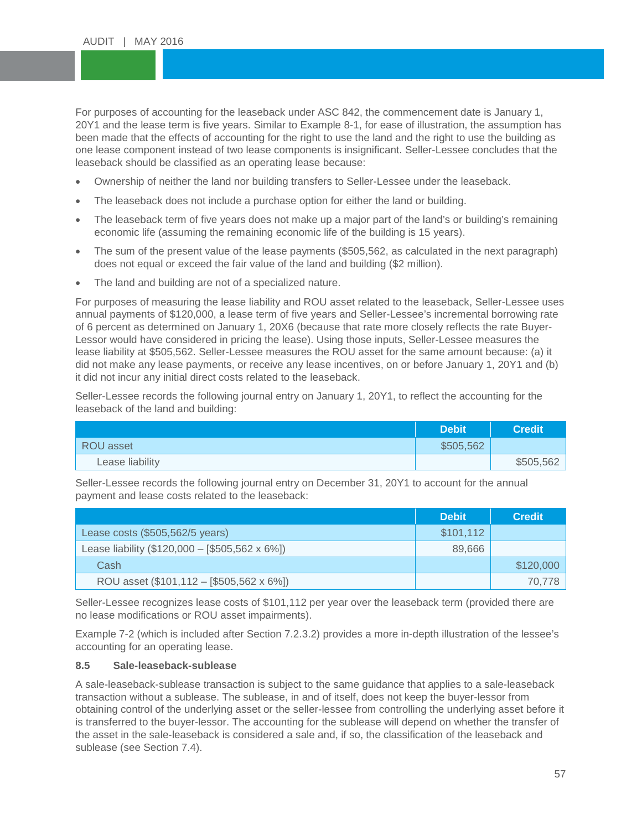For purposes of accounting for the leaseback under ASC 842, the commencement date is January 1,<br>20Y1 and the lease term is five years. Similar to Example 8-1, for ease of illustration, the assumption has been made that the effects of accounting for the right to use the land and the right to use the building as<br>one lease component instead of two lease components is insignificant. Seller-Lessee concludes that the leaseback should be classified as an operating lease because:<br>• Chinarship of poither the land nor building transfers to Sell For purposes of accounting for the leaseback under ASC 842, the commencement date is January 1, been made that the effects of accounting for the right to use the land and the right to use the building as

- Ownership of neither the land nor building transfers to Seller-Lessee under the leaseback.
- The leaseback does not include a purchase option for either the land or building.
- The leaseback term of five years does not make up a major part of the land's or building's remaining economic life (assuming the remaining economic life of the building is 15 years).
- The sum of the present value of the lease payments (\$505,562, as calculated in the next paragraph) does not equal or exceed the fair value of the land and building (\$2 million).
- The land and building are not of a specialized nature.

For purposes of measuring the lease liability and ROU asset related to the leaseback, Seller-Lessee uses annual payments of \$120,000, a lease term of five years and Seller-Lessee's incremental borrowing rate of 6 percent as determined on January 1, 20X6 (because that rate more closely reflects the rate Buyer-Lessor would have considered in pricing the lease). Using those inputs, Seller-Lessee measures the lease liability at \$505,562. Seller-Lessee measures the ROU asset for the same amount because: (a) it did not make any lease payments, or receive any lease incentives, on or before January 1, 20Y1 and (b) it did not incur any initial direct costs related to the leaseback.

Seller-Lessee records the following journal entry on January 1, 20Y1, to reflect the accounting for the leaseback of the land and building:

|                 | <b>Debit</b> | <b>Credit</b> |
|-----------------|--------------|---------------|
| ROU asset       | \$505,562    |               |
| Lease liability |              | \$505,562     |

Seller-Lessee records the following journal entry on December 31, 20Y1 to account for the annual payment and lease costs related to the leaseback:

|                                                | <b>Debit</b> | <b>Credit</b> |
|------------------------------------------------|--------------|---------------|
| Lease costs (\$505,562/5 years)                | \$101,112    |               |
| Lease liability (\$120,000 - [\$505,562 x 6%]) | 89.666       |               |
| Cash                                           |              | \$120,000     |
| ROU asset (\$101,112 - [\$505,562 x 6%])       |              | 70.778        |

Seller-Lessee recognizes lease costs of \$101,112 per year over the leaseback term (provided there are no lease modifications or ROU asset impairments).

Example 7-2 (which is included after Section 7.2.3.2) provides a more in-depth illustration of the lessee's accounting for an operating lease.

#### **8.5 Sale-leaseback-sublease**

A sale-leaseback-sublease transaction is subject to the same guidance that applies to a sale-leaseback transaction without a sublease. The sublease, in and of itself, does not keep the buyer-lessor from obtaining control of the underlying asset or the seller-lessee from controlling the underlying asset before it is transferred to the buyer-lessor. The accounting for the sublease will depend on whether the transfer of the asset in the sale-leaseback is considered a sale and, if so, the classification of the leaseback and sublease (see Section 7.4).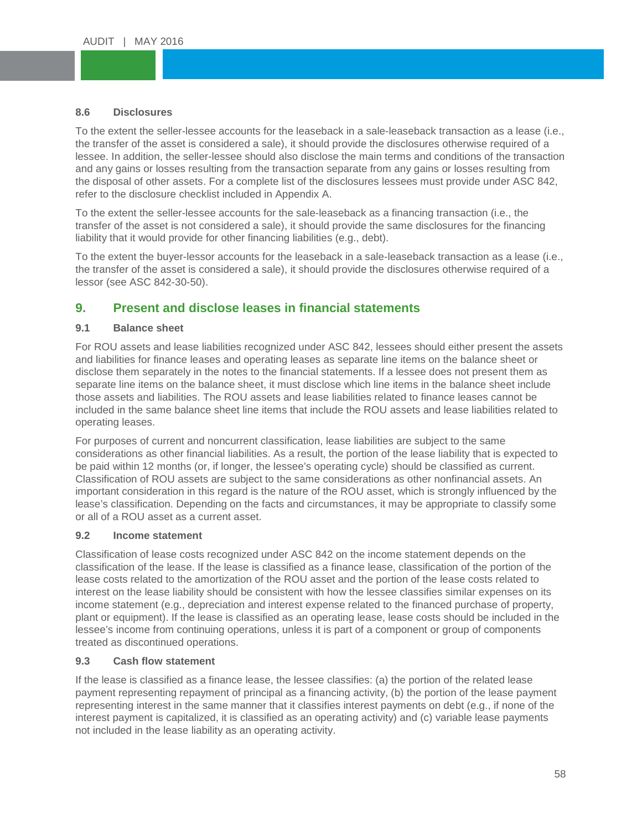#### **8.6 Disclosures**

8.6 Di<mark>sclosures</mark><br>To the extent the seller-lessee accounts for the leaseback in a sale-leaseback transaction as a lease (i.e., To the extent the sener lessee accounts for the leaseback in a sale leaseback transaction as a lease (i.e.<br>the transfer of the asset is considered a sale), it should provide the disclosures otherwise required of a and any gains or losses resulting from the transaction separate from any gains or losses resulting from<br>the disposal of other assets. For a complete list of the disclosures lessees must provide under ASC 842 refer to the disclosure checklist included in Appendix A. lessee. In addition, the seller-lessee should also disclose the main terms and conditions of the transaction the disposal of other assets. For a complete list of the disclosures lessees must provide under ASC 842,

To the extent the seller-lessee accounts for the sale-leaseback as a financing transaction (i.e., the transfer of the asset is not considered a sale), it should provide the same disclosures for the financing liability that it would provide for other financing liabilities (e.g., debt).

To the extent the buyer-lessor accounts for the leaseback in a sale-leaseback transaction as a lease (i.e., the transfer of the asset is considered a sale), it should provide the disclosures otherwise required of a lessor (see ASC 842-30-50).

### **9. Present and disclose leases in financial statements**

#### **9.1 Balance sheet**

For ROU assets and lease liabilities recognized under ASC 842, lessees should either present the assets and liabilities for finance leases and operating leases as separate line items on the balance sheet or disclose them separately in the notes to the financial statements. If a lessee does not present them as separate line items on the balance sheet, it must disclose which line items in the balance sheet include those assets and liabilities. The ROU assets and lease liabilities related to finance leases cannot be included in the same balance sheet line items that include the ROU assets and lease liabilities related to operating leases.

For purposes of current and noncurrent classification, lease liabilities are subject to the same considerations as other financial liabilities. As a result, the portion of the lease liability that is expected to be paid within 12 months (or, if longer, the lessee's operating cycle) should be classified as current. Classification of ROU assets are subject to the same considerations as other nonfinancial assets. An important consideration in this regard is the nature of the ROU asset, which is strongly influenced by the lease's classification. Depending on the facts and circumstances, it may be appropriate to classify some or all of a ROU asset as a current asset.

#### **9.2 Income statement**

Classification of lease costs recognized under ASC 842 on the income statement depends on the classification of the lease. If the lease is classified as a finance lease, classification of the portion of the lease costs related to the amortization of the ROU asset and the portion of the lease costs related to interest on the lease liability should be consistent with how the lessee classifies similar expenses on its income statement (e.g., depreciation and interest expense related to the financed purchase of property, plant or equipment). If the lease is classified as an operating lease, lease costs should be included in the lessee's income from continuing operations, unless it is part of a component or group of components treated as discontinued operations.

### **9.3 Cash flow statement**

If the lease is classified as a finance lease, the lessee classifies: (a) the portion of the related lease payment representing repayment of principal as a financing activity, (b) the portion of the lease payment representing interest in the same manner that it classifies interest payments on debt (e.g., if none of the interest payment is capitalized, it is classified as an operating activity) and (c) variable lease payments not included in the lease liability as an operating activity.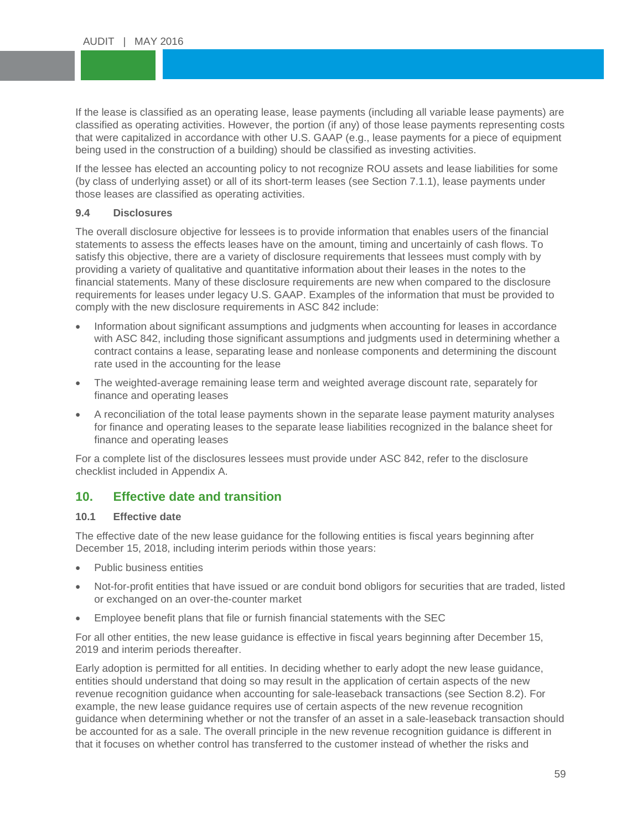If the lease is classified as an operating lease, lease payments (including all variable lease payments) are classified as operating costs that were capitalized in accordance with other U.S. GAAP (e.g., lease payments for a p<br>being used in the construction of a building) should be classified as investing activities. If the lease is classified as an operating lease, lease payments (including all variable lease payments) are that were capitalized in accordance with other U.S. GAAP (e.g., lease payments for a piece of equipment

If the lessee has elected an accounting policy to not recognize ROU assets and lease liabilities for some<br>(by class of underlying asset) or all of its short-term leases (see Section 7.1.1), lease payments under those leases are classified as operating activities. (by class of underlying asset) or all of its short-term leases (see Section 7.1.1), lease payments under

#### **9.4 Disclosures**

The overall disclosure objective for lessees is to provide information that enables users of the financial statements to assess the effects leases have on the amount, timing and uncertainly of cash flows. To satisfy this objective, there are a variety of disclosure requirements that lessees must comply with by providing a variety of qualitative and quantitative information about their leases in the notes to the financial statements. Many of these disclosure requirements are new when compared to the disclosure requirements for leases under legacy U.S. GAAP. Examples of the information that must be provided to comply with the new disclosure requirements in ASC 842 include:

- Information about significant assumptions and judgments when accounting for leases in accordance with ASC 842, including those significant assumptions and judgments used in determining whether a contract contains a lease, separating lease and nonlease components and determining the discount rate used in the accounting for the lease
- The weighted-average remaining lease term and weighted average discount rate, separately for finance and operating leases
- A reconciliation of the total lease payments shown in the separate lease payment maturity analyses for finance and operating leases to the separate lease liabilities recognized in the balance sheet for finance and operating leases

For a complete list of the disclosures lessees must provide under ASC 842, refer to the disclosure checklist included in Appendix A.

### **10. Effective date and transition**

#### **10.1 Effective date**

The effective date of the new lease guidance for the following entities is fiscal years beginning after December 15, 2018, including interim periods within those years:

- Public business entities
- Not-for-profit entities that have issued or are conduit bond obligors for securities that are traded, listed or exchanged on an over-the-counter market
- Employee benefit plans that file or furnish financial statements with the SEC

For all other entities, the new lease guidance is effective in fiscal years beginning after December 15, 2019 and interim periods thereafter.

Early adoption is permitted for all entities. In deciding whether to early adopt the new lease guidance, entities should understand that doing so may result in the application of certain aspects of the new revenue recognition guidance when accounting for sale-leaseback transactions (see Section 8.2). For example, the new lease guidance requires use of certain aspects of the new revenue recognition guidance when determining whether or not the transfer of an asset in a sale-leaseback transaction should be accounted for as a sale. The overall principle in the new revenue recognition guidance is different in that it focuses on whether control has transferred to the customer instead of whether the risks and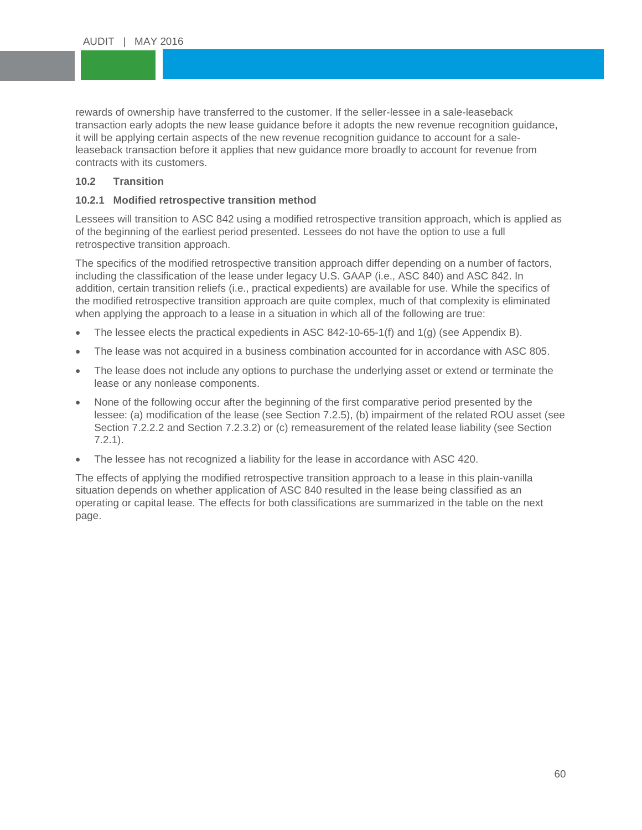rewards of ownership have transferred to the customer. If the seller-lessee in a sale-leaseback<br>transaction early adopts the new lease guidance before it adopts the new revenue recognition guidance, it will be applying certain aspects of the new revenue recognition guidance to account for a sale-<br>leaseback transaction before it applies that new guidance more broadly to account for revenue from ustomers.<br>, rewards of ownership have transferred to the customer. If the seller-lessee in a sale-leaseback it will be applying certain aspects of the new revenue recognition guidance to account for a salecontracts with its customers.

#### **10.2 Transition**

# **10.2.1 Modified retrospective transition method**

Lessees will transition to ASC 842 using a modified retrospective transition approach, which is applied as of the beginning of the earliest period presented. Lessees do not have the option to use a full retrospective transition approach.

The specifics of the modified retrospective transition approach differ depending on a number of factors, including the classification of the lease under legacy U.S. GAAP (i.e., ASC 840) and ASC 842. In addition, certain transition reliefs (i.e., practical expedients) are available for use. While the specifics of the modified retrospective transition approach are quite complex, much of that complexity is eliminated when applying the approach to a lease in a situation in which all of the following are true:

- The lessee elects the practical expedients in ASC 842-10-65-1(f) and 1(g) (see Appendix B).
- The lease was not acquired in a business combination accounted for in accordance with ASC 805.
- The lease does not include any options to purchase the underlying asset or extend or terminate the lease or any nonlease components.
- None of the following occur after the beginning of the first comparative period presented by the lessee: (a) modification of the lease (see Section 7.2.5), (b) impairment of the related ROU asset (see Section 7.2.2.2 and Section 7.2.3.2) or (c) remeasurement of the related lease liability (see Section 7.2.1).
- The lessee has not recognized a liability for the lease in accordance with ASC 420.

The effects of applying the modified retrospective transition approach to a lease in this plain-vanilla situation depends on whether application of ASC 840 resulted in the lease being classified as an operating or capital lease. The effects for both classifications are summarized in the table on the next page.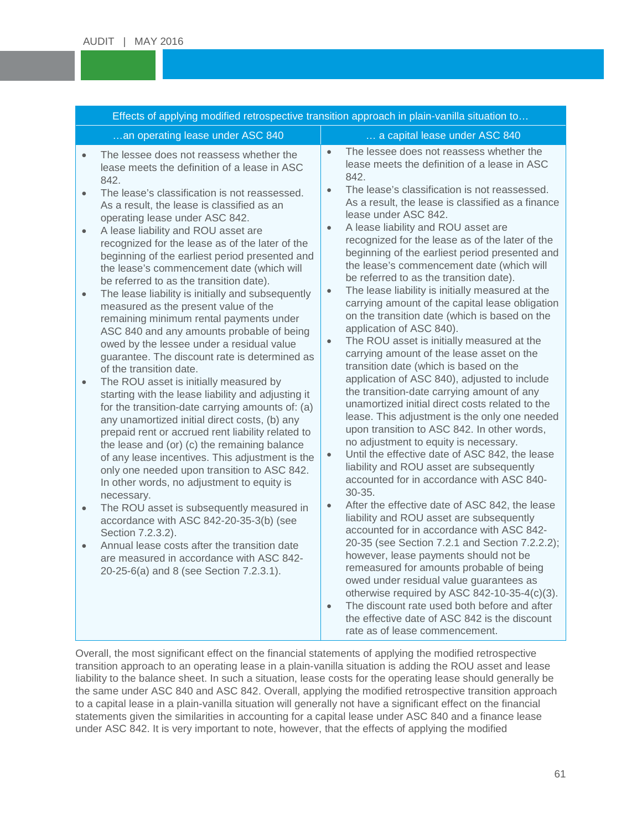| Effects of applying modified retrospective transition approach in plain-vanilla situation to                                                                                                                                                                                                                                                                                                                                                                                                                                                                                                                                                                                                                                                                                                                                                                                                                                                                                                                                                                                                                                                                                                                                                                     |                                                                                                                                                                                                                                                                                                                                                                                                                                                                                                                                                                                                                                                                                                                                                                                                                                                                                                                                                                                                                                                                                                                                                                                                                                                                   |  |  |  |
|------------------------------------------------------------------------------------------------------------------------------------------------------------------------------------------------------------------------------------------------------------------------------------------------------------------------------------------------------------------------------------------------------------------------------------------------------------------------------------------------------------------------------------------------------------------------------------------------------------------------------------------------------------------------------------------------------------------------------------------------------------------------------------------------------------------------------------------------------------------------------------------------------------------------------------------------------------------------------------------------------------------------------------------------------------------------------------------------------------------------------------------------------------------------------------------------------------------------------------------------------------------|-------------------------------------------------------------------------------------------------------------------------------------------------------------------------------------------------------------------------------------------------------------------------------------------------------------------------------------------------------------------------------------------------------------------------------------------------------------------------------------------------------------------------------------------------------------------------------------------------------------------------------------------------------------------------------------------------------------------------------------------------------------------------------------------------------------------------------------------------------------------------------------------------------------------------------------------------------------------------------------------------------------------------------------------------------------------------------------------------------------------------------------------------------------------------------------------------------------------------------------------------------------------|--|--|--|
| an operating lease under ASC 840                                                                                                                                                                                                                                                                                                                                                                                                                                                                                                                                                                                                                                                                                                                                                                                                                                                                                                                                                                                                                                                                                                                                                                                                                                 | a capital lease under ASC 840                                                                                                                                                                                                                                                                                                                                                                                                                                                                                                                                                                                                                                                                                                                                                                                                                                                                                                                                                                                                                                                                                                                                                                                                                                     |  |  |  |
| The lessee does not reassess whether the<br>$\bullet$<br>lease meets the definition of a lease in ASC<br>842.<br>The lease's classification is not reassessed.<br>$\bullet$<br>As a result, the lease is classified as an<br>operating lease under ASC 842.<br>A lease liability and ROU asset are<br>$\bullet$<br>recognized for the lease as of the later of the<br>beginning of the earliest period presented and<br>the lease's commencement date (which will<br>be referred to as the transition date).<br>The lease liability is initially and subsequently<br>$\bullet$<br>measured as the present value of the<br>remaining minimum rental payments under<br>ASC 840 and any amounts probable of being<br>owed by the lessee under a residual value<br>guarantee. The discount rate is determined as<br>of the transition date.<br>The ROU asset is initially measured by<br>$\bullet$<br>starting with the lease liability and adjusting it<br>for the transition-date carrying amounts of: (a)<br>any unamortized initial direct costs, (b) any<br>prepaid rent or accrued rent liability related to<br>the lease and (or) (c) the remaining balance<br>of any lease incentives. This adjustment is the<br>only one needed upon transition to ASC 842. | The lessee does not reassess whether the<br>$\bullet$<br>lease meets the definition of a lease in ASC<br>842.<br>The lease's classification is not reassessed.<br>$\bullet$<br>As a result, the lease is classified as a finance<br>lease under ASC 842.<br>A lease liability and ROU asset are<br>$\bullet$<br>recognized for the lease as of the later of the<br>beginning of the earliest period presented and<br>the lease's commencement date (which will<br>be referred to as the transition date).<br>The lease liability is initially measured at the<br>$\bullet$<br>carrying amount of the capital lease obligation<br>on the transition date (which is based on the<br>application of ASC 840).<br>The ROU asset is initially measured at the<br>$\bullet$<br>carrying amount of the lease asset on the<br>transition date (which is based on the<br>application of ASC 840), adjusted to include<br>the transition-date carrying amount of any<br>unamortized initial direct costs related to the<br>lease. This adjustment is the only one needed<br>upon transition to ASC 842. In other words,<br>no adjustment to equity is necessary.<br>Until the effective date of ASC 842, the lease<br>$\bullet$<br>liability and ROU asset are subsequently |  |  |  |
| In other words, no adjustment to equity is<br>necessary.<br>The ROU asset is subsequently measured in<br>$\bullet$<br>accordance with ASC 842-20-35-3(b) (see<br>Section 7.2.3.2).<br>Annual lease costs after the transition date<br>$\bullet$<br>are measured in accordance with ASC 842-                                                                                                                                                                                                                                                                                                                                                                                                                                                                                                                                                                                                                                                                                                                                                                                                                                                                                                                                                                      | accounted for in accordance with ASC 840-<br>$30 - 35.$<br>After the effective date of ASC 842, the lease<br>$\bullet$<br>liability and ROU asset are subsequently<br>accounted for in accordance with ASC 842-<br>20-35 (see Section 7.2.1 and Section 7.2.2.2);<br>however, lease payments should not be                                                                                                                                                                                                                                                                                                                                                                                                                                                                                                                                                                                                                                                                                                                                                                                                                                                                                                                                                        |  |  |  |
| 20-25-6(a) and 8 (see Section 7.2.3.1).                                                                                                                                                                                                                                                                                                                                                                                                                                                                                                                                                                                                                                                                                                                                                                                                                                                                                                                                                                                                                                                                                                                                                                                                                          | remeasured for amounts probable of being<br>owed under residual value guarantees as<br>otherwise required by ASC 842-10-35-4(c)(3).<br>The discount rate used both before and after<br>$\bullet$<br>the effective date of ASC 842 is the discount<br>rate as of lease commencement.                                                                                                                                                                                                                                                                                                                                                                                                                                                                                                                                                                                                                                                                                                                                                                                                                                                                                                                                                                               |  |  |  |

Overall, the most significant effect on the financial statements of applying the modified retrospective transition approach to an operating lease in a plain-vanilla situation is adding the ROU asset and lease liability to the balance sheet. In such a situation, lease costs for the operating lease should generally be the same under ASC 840 and ASC 842. Overall, applying the modified retrospective transition approach to a capital lease in a plain-vanilla situation will generally not have a significant effect on the financial statements given the similarities in accounting for a capital lease under ASC 840 and a finance lease under ASC 842. It is very important to note, however, that the effects of applying the modified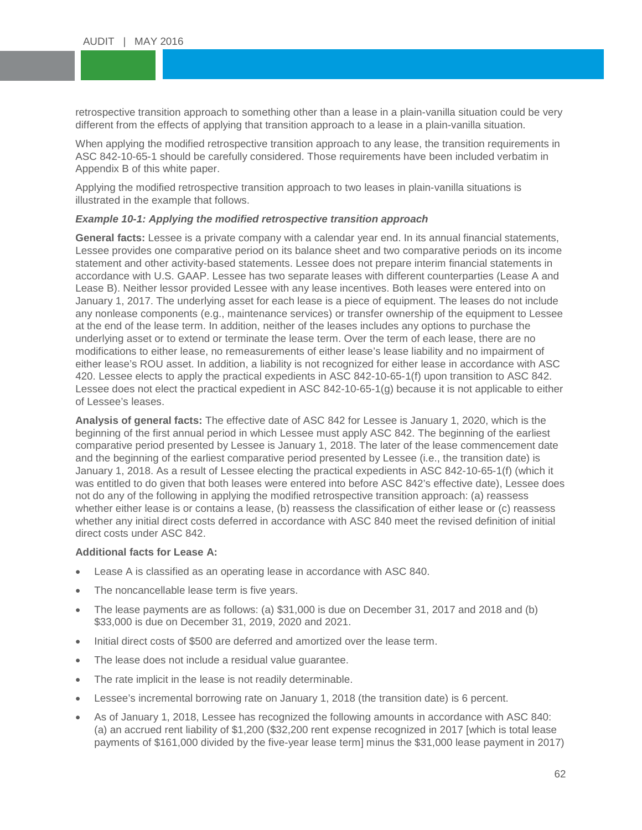retrospective transition approach to something other than a lease in a plain-vanilla situation could<br>different from the effects of applying that transition approach to a lease in a plain-vanilla situation. retrospective transition approach to something other than a lease in a plain-vanilla situation could be very

When applying the modified retrospective transition approach to any lease, the transition requirements in ACC 842.40 CE 4 about the corrective incomplete the correction of the correction of the correction of the correction Appendix B of this white paper. ASC 842-10-65-1 should be carefully considered. Those requirements have been included verbatim in

Applying the modified retrospective transition approach to two leases in plain-vanilla situations is<br>illustrated in the example that follows. illustrated in the example that follows.

#### *Example 10-1: Applying the modified retrospective transition approach*

**General facts:** Lessee is a private company with a calendar year end. In its annual financial statements, Lessee provides one comparative period on its balance sheet and two comparative periods on its income statement and other activity-based statements. Lessee does not prepare interim financial statements in accordance with U.S. GAAP. Lessee has two separate leases with different counterparties (Lease A and Lease B). Neither lessor provided Lessee with any lease incentives. Both leases were entered into on January 1, 2017. The underlying asset for each lease is a piece of equipment. The leases do not include any nonlease components (e.g., maintenance services) or transfer ownership of the equipment to Lessee at the end of the lease term. In addition, neither of the leases includes any options to purchase the underlying asset or to extend or terminate the lease term. Over the term of each lease, there are no modifications to either lease, no remeasurements of either lease's lease liability and no impairment of either lease's ROU asset. In addition, a liability is not recognized for either lease in accordance with ASC 420. Lessee elects to apply the practical expedients in ASC 842-10-65-1(f) upon transition to ASC 842. Lessee does not elect the practical expedient in ASC 842-10-65-1(g) because it is not applicable to either of Lessee's leases.

**Analysis of general facts:** The effective date of ASC 842 for Lessee is January 1, 2020, which is the beginning of the first annual period in which Lessee must apply ASC 842. The beginning of the earliest comparative period presented by Lessee is January 1, 2018. The later of the lease commencement date and the beginning of the earliest comparative period presented by Lessee (i.e., the transition date) is January 1, 2018. As a result of Lessee electing the practical expedients in ASC 842-10-65-1(f) (which it was entitled to do given that both leases were entered into before ASC 842's effective date), Lessee does not do any of the following in applying the modified retrospective transition approach: (a) reassess whether either lease is or contains a lease, (b) reassess the classification of either lease or (c) reassess whether any initial direct costs deferred in accordance with ASC 840 meet the revised definition of initial direct costs under ASC 842.

#### **Additional facts for Lease A:**

- Lease A is classified as an operating lease in accordance with ASC 840.
- The noncancellable lease term is five years.
- The lease payments are as follows: (a) \$31,000 is due on December 31, 2017 and 2018 and (b) \$33,000 is due on December 31, 2019, 2020 and 2021.
- Initial direct costs of \$500 are deferred and amortized over the lease term.
- The lease does not include a residual value guarantee.
- The rate implicit in the lease is not readily determinable.
- Lessee's incremental borrowing rate on January 1, 2018 (the transition date) is 6 percent.
- As of January 1, 2018, Lessee has recognized the following amounts in accordance with ASC 840: (a) an accrued rent liability of \$1,200 (\$32,200 rent expense recognized in 2017 [which is total lease payments of \$161,000 divided by the five-year lease term] minus the \$31,000 lease payment in 2017)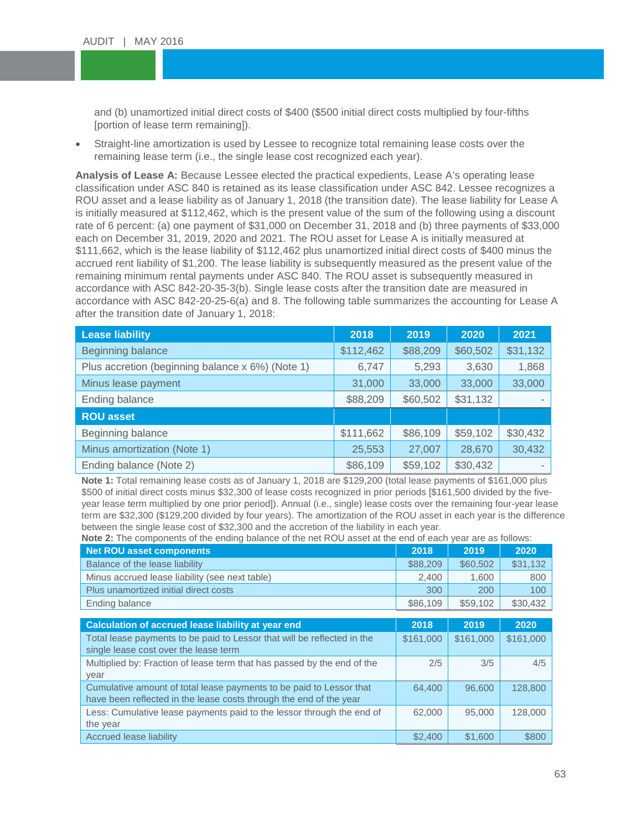and (b) unamortized initial direct costs of \$400 (\$500 initial direct costs multiplied by four-fifths<br>[portion of lease term remaining]). [portion of lease term remaining]).

• Straight-line amortization is used by Lessee to recognize total remaining lease costs over the<br>remaining lease term (i.e., the single lease seet resemined each user) remaining lease term (i.e., the single lease cost recognized each year).

Analysis of Lease A: Because Lessee elected the practical expedients, Lease A's operating lease classification under ASC 840 is retained as its lease classification under ASC 842. Lessee recognizes a<br>ROU asset and a lease liability as of January 1, 2018 (the transition date). The lease liability for Lease A classification under ASC 840 is retained as its lease classification under ASC 842. Lessee recognizes a is initially measured at \$112,462, which is the present value of the sum of the following using a discount rate of 6 percent: (a) one payment of \$31,000 on December 31, 2018 and (b) three payments of \$33,000 each on December 31, 2019, 2020 and 2021. The ROU asset for Lease A is initially measured at \$111,662, which is the lease liability of \$112,462 plus unamortized initial direct costs of \$400 minus the accrued rent liability of \$1,200. The lease liability is subsequently measured as the present value of the remaining minimum rental payments under ASC 840. The ROU asset is subsequently measured in accordance with ASC 842-20-35-3(b). Single lease costs after the transition date are measured in accordance with ASC 842-20-25-6(a) and 8. The following table summarizes the accounting for Lease A after the transition date of January 1, 2018:

| <b>Lease liability</b>                           | 2018      | 2019     | 2020     | 2021                     |
|--------------------------------------------------|-----------|----------|----------|--------------------------|
| Beginning balance                                | \$112,462 | \$88,209 | \$60,502 | \$31,132                 |
| Plus accretion (beginning balance x 6%) (Note 1) | 6,747     | 5,293    | 3,630    | 1,868                    |
| Minus lease payment                              | 31,000    | 33,000   | 33,000   | 33,000                   |
| Ending balance                                   | \$88,209  | \$60,502 | \$31,132 |                          |
| <b>ROU asset</b>                                 |           |          |          |                          |
| Beginning balance                                | \$111,662 | \$86,109 | \$59,102 | \$30,432                 |
| Minus amortization (Note 1)                      | 25,553    | 27,007   | 28,670   | 30,432                   |
| Ending balance (Note 2)                          | \$86,109  | \$59,102 | \$30,432 | $\overline{\phantom{a}}$ |

**Note 1:** Total remaining lease costs as of January 1, 2018 are \$129,200 (total lease payments of \$161,000 plus \$500 of initial direct costs minus \$32,300 of lease costs recognized in prior periods [\$161,500 divided by the fiveyear lease term multiplied by one prior period]). Annual (i.e., single) lease costs over the remaining four-year lease term are \$32,300 (\$129,200 divided by four years). The amortization of the ROU asset in each year is the difference between the single lease cost of \$32,300 and the accretion of the liability in each year.

| <b>Note 2:</b> The components of the ending balance of the net ROU asset at the end of each year are as follows:                          |           |           |           |
|-------------------------------------------------------------------------------------------------------------------------------------------|-----------|-----------|-----------|
| <b>Net ROU asset components</b>                                                                                                           | 2018      | 2019      | 2020      |
| Balance of the lease liability                                                                                                            | \$88,209  | \$60,502  | \$31,132  |
| Minus accrued lease liability (see next table)                                                                                            | 2,400     | 1,600     | 800       |
| Plus unamortized initial direct costs                                                                                                     | 300       | 200       | 100       |
| Ending balance                                                                                                                            | \$86,109  | \$59,102  | \$30,432  |
|                                                                                                                                           |           |           |           |
| Calculation of accrued lease liability at year end                                                                                        | 2018      | 2019      | 2020      |
| Total lease payments to be paid to Lessor that will be reflected in the<br>single lease cost over the lease term                          | \$161,000 | \$161,000 | \$161,000 |
| Multiplied by: Fraction of lease term that has passed by the end of the<br>year                                                           | 2/5       | 3/5       | 4/5       |
| Cumulative amount of total lease payments to be paid to Lessor that<br>have been reflected in the lease costs through the end of the year | 64.400    | 96,600    | 128,800   |
| Less: Cumulative lease payments paid to the lessor through the end of<br>the year                                                         | 62,000    | 95,000    | 128,000   |
| <b>Accrued lease liability</b>                                                                                                            | \$2,400   | \$1,600   | \$800     |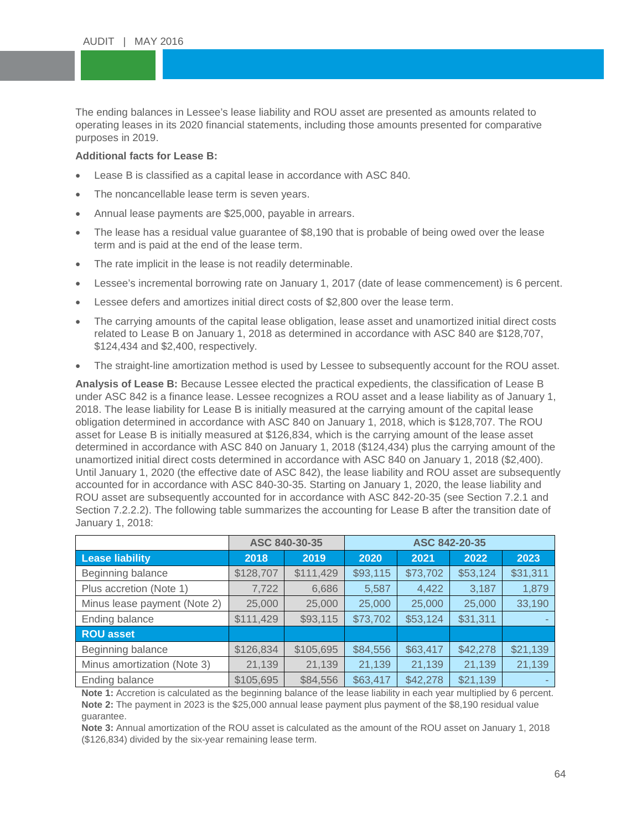The ending balances in Lessee's lease liability and ROU asset are presented as amounts related to<br>operating leases in its 2020 financial statements, including those amounts presented for comparative  $\overline{\phantom{a}}$ operating leases in its 2020 financial statements, including those amounts presented for comparative purposes in 2019.

#### **Additional facts for Lease B:**

- Lease B is classified as a capital lease in accordance with ASC 840.
- The noncancellable lease term is seven years.
- Annual lease payments are \$25,000, payable in arrears.
- The lease has a residual value guarantee of \$8,190 that is probable of being owed over the lease term and is paid at the end of the lease term.
- The rate implicit in the lease is not readily determinable.
- Lessee's incremental borrowing rate on January 1, 2017 (date of lease commencement) is 6 percent.
- Lessee defers and amortizes initial direct costs of \$2,800 over the lease term.
- The carrying amounts of the capital lease obligation, lease asset and unamortized initial direct costs related to Lease B on January 1, 2018 as determined in accordance with ASC 840 are \$128,707, \$124,434 and \$2,400, respectively.
- The straight-line amortization method is used by Lessee to subsequently account for the ROU asset.

**Analysis of Lease B:** Because Lessee elected the practical expedients, the classification of Lease B under ASC 842 is a finance lease. Lessee recognizes a ROU asset and a lease liability as of January 1, 2018. The lease liability for Lease B is initially measured at the carrying amount of the capital lease obligation determined in accordance with ASC 840 on January 1, 2018, which is \$128,707. The ROU asset for Lease B is initially measured at \$126,834, which is the carrying amount of the lease asset determined in accordance with ASC 840 on January 1, 2018 (\$124,434) plus the carrying amount of the unamortized initial direct costs determined in accordance with ASC 840 on January 1, 2018 (\$2,400). Until January 1, 2020 (the effective date of ASC 842), the lease liability and ROU asset are subsequently accounted for in accordance with ASC 840-30-35. Starting on January 1, 2020, the lease liability and ROU asset are subsequently accounted for in accordance with ASC 842-20-35 (see Section 7.2.1 and Section 7.2.2.2). The following table summarizes the accounting for Lease B after the transition date of January 1, 2018:

|                              |           | ASC 840-30-35 | ASC 842-20-35 |          |          |          |
|------------------------------|-----------|---------------|---------------|----------|----------|----------|
| <b>Lease liability</b>       | 2018      | 2019          | 2020          | 2021     | 2022     | 2023     |
| Beginning balance            | \$128,707 | \$111,429     | \$93,115      | \$73,702 | \$53,124 | \$31,311 |
| Plus accretion (Note 1)      | 7,722     | 6,686         | 5,587         | 4,422    | 3,187    | 1,879    |
| Minus lease payment (Note 2) | 25,000    | 25,000        | 25,000        | 25,000   | 25,000   | 33,190   |
| Ending balance               | \$111,429 | \$93,115      | \$73,702      | \$53,124 | \$31,311 |          |
| <b>ROU</b> asset             |           |               |               |          |          |          |
| Beginning balance            | \$126,834 | \$105,695     | \$84,556      | \$63,417 | \$42,278 | \$21,139 |
| Minus amortization (Note 3)  | 21,139    | 21,139        | 21,139        | 21,139   | 21,139   | 21,139   |
| Ending balance               | \$105,695 | \$84,556      | \$63,417      | \$42,278 | \$21,139 | ۰.       |

**Note 1:** Accretion is calculated as the beginning balance of the lease liability in each year multiplied by 6 percent. **Note 2:** The payment in 2023 is the \$25,000 annual lease payment plus payment of the \$8,190 residual value guarantee.

**Note 3:** Annual amortization of the ROU asset is calculated as the amount of the ROU asset on January 1, 2018 (\$126,834) divided by the six-year remaining lease term.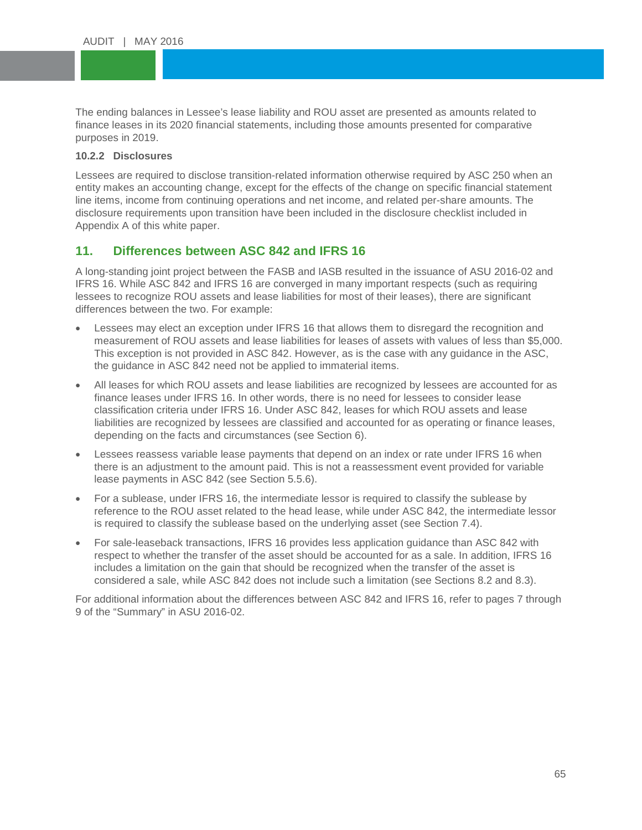The ending balances in Lessee's lease liability and ROU asset are presented as amounts related to<br>finance leases in its 2020 financial statements, including those amounts presented for comparative  $\mathbf{A}$ finance leases in its 2020 financial statements, including those amounts presented for comparative purposes in 2019.

#### **10.2.2 Disclosures**

Tensis Theoreeures<br>Lessees are required to disclose transition-related information otherwise required by ASC 250 when an entity makes an accounting change, except for the effects of the change on specific financial statem<br>line items, income from continuing operations and net income, and related per-share amounts. The entity makes an accounting change, except for the effects of the change on specific financial statement disclosure requirements upon transition have been included in the disclosure checklist included in Appendix A of this white paper.

### **11. Differences between ASC 842 and IFRS 16**

A long-standing joint project between the FASB and IASB resulted in the issuance of ASU 2016-02 and IFRS 16. While ASC 842 and IFRS 16 are converged in many important respects (such as requiring lessees to recognize ROU assets and lease liabilities for most of their leases), there are significant differences between the two. For example:

- Lessees may elect an exception under IFRS 16 that allows them to disregard the recognition and measurement of ROU assets and lease liabilities for leases of assets with values of less than \$5,000. This exception is not provided in ASC 842. However, as is the case with any guidance in the ASC, the guidance in ASC 842 need not be applied to immaterial items.
- All leases for which ROU assets and lease liabilities are recognized by lessees are accounted for as finance leases under IFRS 16. In other words, there is no need for lessees to consider lease classification criteria under IFRS 16. Under ASC 842, leases for which ROU assets and lease liabilities are recognized by lessees are classified and accounted for as operating or finance leases, depending on the facts and circumstances (see Section 6).
- Lessees reassess variable lease payments that depend on an index or rate under IFRS 16 when there is an adjustment to the amount paid. This is not a reassessment event provided for variable lease payments in ASC 842 (see Section 5.5.6).
- For a sublease, under IFRS 16, the intermediate lessor is required to classify the sublease by reference to the ROU asset related to the head lease, while under ASC 842, the intermediate lessor is required to classify the sublease based on the underlying asset (see Section 7.4).
- For sale-leaseback transactions, IFRS 16 provides less application guidance than ASC 842 with respect to whether the transfer of the asset should be accounted for as a sale. In addition, IFRS 16 includes a limitation on the gain that should be recognized when the transfer of the asset is considered a sale, while ASC 842 does not include such a limitation (see Sections 8.2 and 8.3).

For additional information about the differences between ASC 842 and IFRS 16, refer to pages 7 through 9 of the "Summary" in ASU 2016-02.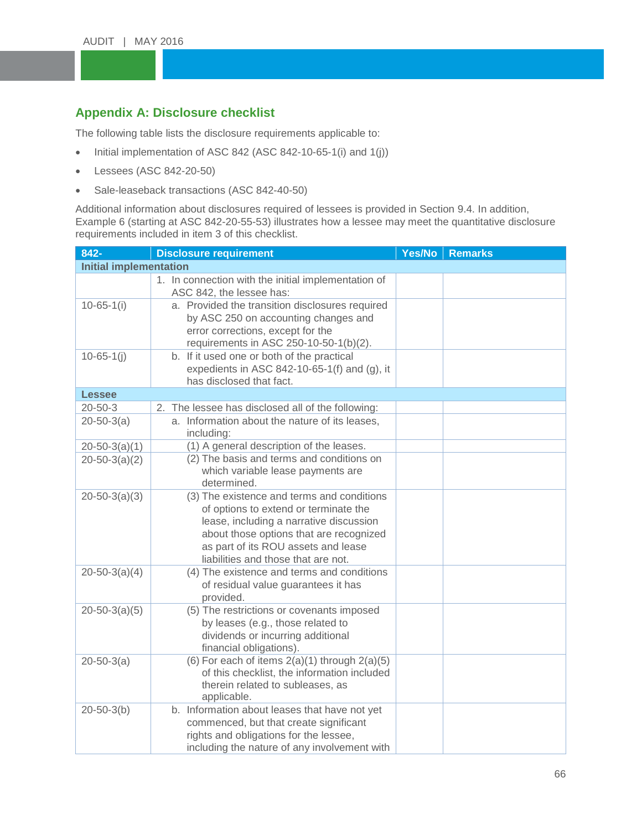# Appendix A: Disclosure checklist

The following table lists the disclosure requirements applicable to:

- The following table lists the disclosure requirements applicable to.<br>• Initial implementation of ASC 842 (ASC 842-10-65-1(i) and 1(j))
- $\textdegree$  Lessees (ASC 842-20-50)
- Sale-leaseback transactions (ASC 842-40-50)<br>Additional information about disclosures required of la

Additional information about disclosures required of lessees is provided in Section 9.4. In addition, Example 6 (starting at ASC 842-20-55-53) illustrates how a lessee may meet the quantitative disclosure requirements included in item 3 of this checklist.

| 842-                          | <b>Disclosure requirement</b>                                                                                                                                                                                                                           | Yes/No | <b>Remarks</b> |
|-------------------------------|---------------------------------------------------------------------------------------------------------------------------------------------------------------------------------------------------------------------------------------------------------|--------|----------------|
| <b>Initial implementation</b> |                                                                                                                                                                                                                                                         |        |                |
|                               | 1. In connection with the initial implementation of<br>ASC 842, the lessee has:                                                                                                                                                                         |        |                |
| $10 - 65 - 1(i)$              | a. Provided the transition disclosures required<br>by ASC 250 on accounting changes and<br>error corrections, except for the<br>requirements in ASC 250-10-50-1(b)(2).                                                                                  |        |                |
| $10 - 65 - 1(j)$              | b. If it used one or both of the practical<br>expedients in ASC 842-10-65-1(f) and $(g)$ , it<br>has disclosed that fact.                                                                                                                               |        |                |
| <b>Lessee</b>                 |                                                                                                                                                                                                                                                         |        |                |
| $20 - 50 - 3$                 | 2. The lessee has disclosed all of the following:                                                                                                                                                                                                       |        |                |
| $20 - 50 - 3(a)$              | a. Information about the nature of its leases,<br>including:                                                                                                                                                                                            |        |                |
| $20 - 50 - 3(a)(1)$           | (1) A general description of the leases.                                                                                                                                                                                                                |        |                |
| $20 - 50 - 3(a)(2)$           | (2) The basis and terms and conditions on<br>which variable lease payments are<br>determined.                                                                                                                                                           |        |                |
| $20 - 50 - 3(a)(3)$           | (3) The existence and terms and conditions<br>of options to extend or terminate the<br>lease, including a narrative discussion<br>about those options that are recognized<br>as part of its ROU assets and lease<br>liabilities and those that are not. |        |                |
| $20 - 50 - 3(a)(4)$           | (4) The existence and terms and conditions<br>of residual value guarantees it has<br>provided.                                                                                                                                                          |        |                |
| $20 - 50 - 3(a)(5)$           | (5) The restrictions or covenants imposed<br>by leases (e.g., those related to<br>dividends or incurring additional<br>financial obligations).                                                                                                          |        |                |
| $20 - 50 - 3(a)$              | (6) For each of items $2(a)(1)$ through $2(a)(5)$<br>of this checklist, the information included<br>therein related to subleases, as<br>applicable.                                                                                                     |        |                |
| $20 - 50 - 3(b)$              | b. Information about leases that have not yet<br>commenced, but that create significant<br>rights and obligations for the lessee,<br>including the nature of any involvement with                                                                       |        |                |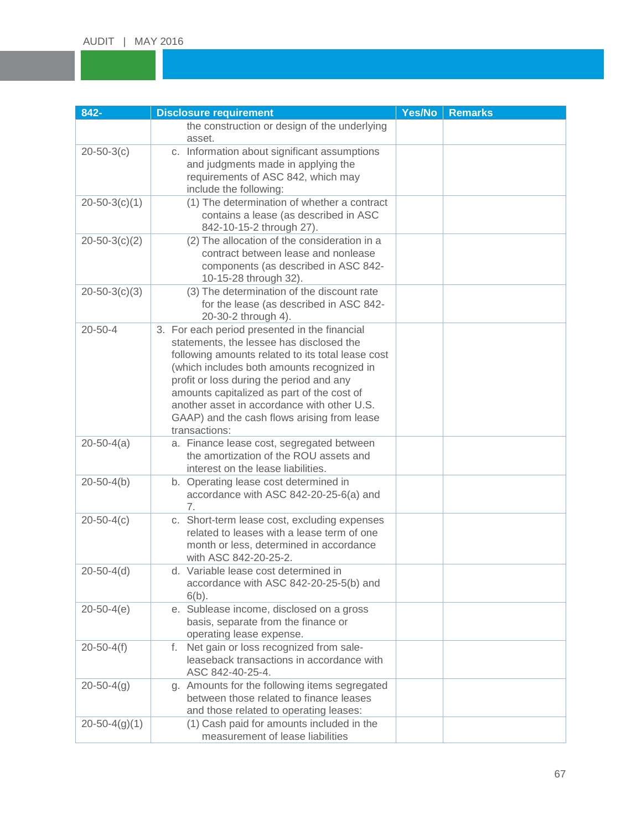| 842-                | <b>Disclosure requirement</b>                                                                                                                                                                                                                                                                                                                                                                         | Yes/No | <b>Remarks</b> |
|---------------------|-------------------------------------------------------------------------------------------------------------------------------------------------------------------------------------------------------------------------------------------------------------------------------------------------------------------------------------------------------------------------------------------------------|--------|----------------|
|                     | the construction or design of the underlying<br>asset.                                                                                                                                                                                                                                                                                                                                                |        |                |
| $20 - 50 - 3(c)$    | c. Information about significant assumptions<br>and judgments made in applying the<br>requirements of ASC 842, which may<br>include the following:                                                                                                                                                                                                                                                    |        |                |
| $20 - 50 - 3(c)(1)$ | (1) The determination of whether a contract<br>contains a lease (as described in ASC<br>842-10-15-2 through 27).                                                                                                                                                                                                                                                                                      |        |                |
| $20 - 50 - 3(c)(2)$ | (2) The allocation of the consideration in a<br>contract between lease and nonlease<br>components (as described in ASC 842-<br>10-15-28 through 32).                                                                                                                                                                                                                                                  |        |                |
| $20 - 50 - 3(c)(3)$ | (3) The determination of the discount rate<br>for the lease (as described in ASC 842-<br>20-30-2 through 4).                                                                                                                                                                                                                                                                                          |        |                |
| $20 - 50 - 4$       | 3. For each period presented in the financial<br>statements, the lessee has disclosed the<br>following amounts related to its total lease cost<br>(which includes both amounts recognized in<br>profit or loss during the period and any<br>amounts capitalized as part of the cost of<br>another asset in accordance with other U.S.<br>GAAP) and the cash flows arising from lease<br>transactions: |        |                |
| $20 - 50 - 4(a)$    | a. Finance lease cost, segregated between<br>the amortization of the ROU assets and<br>interest on the lease liabilities.                                                                                                                                                                                                                                                                             |        |                |
| $20 - 50 - 4(b)$    | b. Operating lease cost determined in<br>accordance with ASC 842-20-25-6(a) and<br>7.                                                                                                                                                                                                                                                                                                                 |        |                |
| $20 - 50 - 4(c)$    | c. Short-term lease cost, excluding expenses<br>related to leases with a lease term of one<br>month or less, determined in accordance<br>with ASC 842-20-25-2.                                                                                                                                                                                                                                        |        |                |
| $20 - 50 - 4(d)$    | d. Variable lease cost determined in<br>accordance with ASC 842-20-25-5(b) and<br>$6(b)$ .                                                                                                                                                                                                                                                                                                            |        |                |
| $20 - 50 - 4(e)$    | e. Sublease income, disclosed on a gross<br>basis, separate from the finance or<br>operating lease expense.                                                                                                                                                                                                                                                                                           |        |                |
| $20 - 50 - 4(f)$    | f. Net gain or loss recognized from sale-<br>leaseback transactions in accordance with<br>ASC 842-40-25-4.                                                                                                                                                                                                                                                                                            |        |                |
| $20 - 50 - 4(g)$    | g. Amounts for the following items segregated<br>between those related to finance leases<br>and those related to operating leases:                                                                                                                                                                                                                                                                    |        |                |
| $20 - 50 - 4(g)(1)$ | (1) Cash paid for amounts included in the<br>measurement of lease liabilities                                                                                                                                                                                                                                                                                                                         |        |                |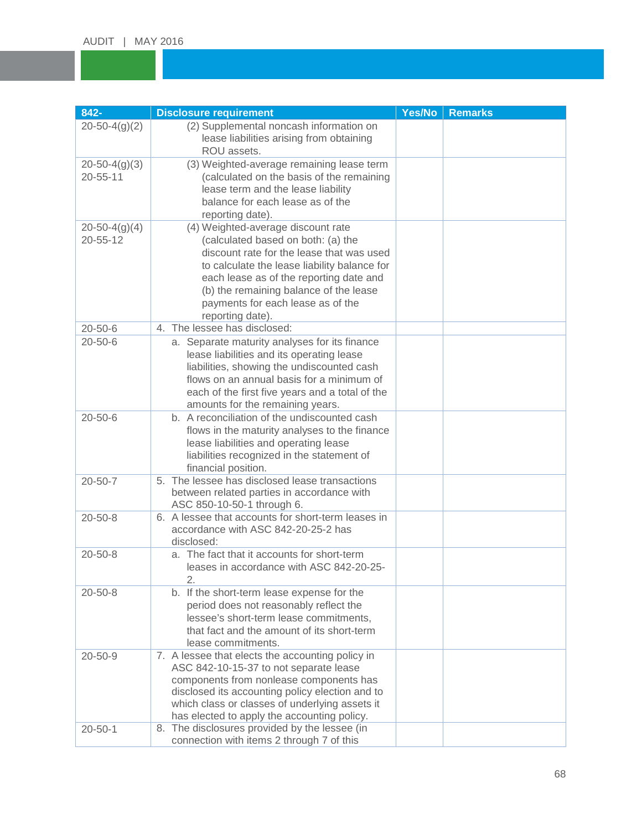| 842-                                  | <b>Disclosure requirement</b>                                                                                                                                                                                                                                                                                       | Yes/No | <b>Remarks</b> |
|---------------------------------------|---------------------------------------------------------------------------------------------------------------------------------------------------------------------------------------------------------------------------------------------------------------------------------------------------------------------|--------|----------------|
| $20 - 50 - 4(g)(2)$                   | (2) Supplemental noncash information on<br>lease liabilities arising from obtaining<br>ROU assets.                                                                                                                                                                                                                  |        |                |
| $20 - 50 - 4(g)(3)$<br>20-55-11       | (3) Weighted-average remaining lease term<br>(calculated on the basis of the remaining<br>lease term and the lease liability<br>balance for each lease as of the<br>reporting date).                                                                                                                                |        |                |
| $20 - 50 - 4(g)(4)$<br>$20 - 55 - 12$ | (4) Weighted-average discount rate<br>(calculated based on both: (a) the<br>discount rate for the lease that was used<br>to calculate the lease liability balance for<br>each lease as of the reporting date and<br>(b) the remaining balance of the lease<br>payments for each lease as of the<br>reporting date). |        |                |
| $20 - 50 - 6$                         | 4. The lessee has disclosed:                                                                                                                                                                                                                                                                                        |        |                |
| $20 - 50 - 6$                         | a. Separate maturity analyses for its finance<br>lease liabilities and its operating lease<br>liabilities, showing the undiscounted cash<br>flows on an annual basis for a minimum of<br>each of the first five years and a total of the<br>amounts for the remaining years.                                        |        |                |
| $20 - 50 - 6$                         | b. A reconciliation of the undiscounted cash<br>flows in the maturity analyses to the finance<br>lease liabilities and operating lease<br>liabilities recognized in the statement of<br>financial position.                                                                                                         |        |                |
| $20 - 50 - 7$                         | 5. The lessee has disclosed lease transactions<br>between related parties in accordance with<br>ASC 850-10-50-1 through 6.                                                                                                                                                                                          |        |                |
| $20 - 50 - 8$                         | 6. A lessee that accounts for short-term leases in<br>accordance with ASC 842-20-25-2 has<br>disclosed:                                                                                                                                                                                                             |        |                |
| $20 - 50 - 8$                         | a. The fact that it accounts for short-term<br>leases in accordance with ASC 842-20-25-<br>$\overline{2}$ .                                                                                                                                                                                                         |        |                |
| $20 - 50 - 8$                         | b. If the short-term lease expense for the<br>period does not reasonably reflect the<br>lessee's short-term lease commitments,<br>that fact and the amount of its short-term<br>lease commitments.                                                                                                                  |        |                |
| $20 - 50 - 9$                         | 7. A lessee that elects the accounting policy in<br>ASC 842-10-15-37 to not separate lease<br>components from nonlease components has<br>disclosed its accounting policy election and to<br>which class or classes of underlying assets it<br>has elected to apply the accounting policy.                           |        |                |
| $20 - 50 - 1$                         | 8. The disclosures provided by the lessee (in<br>connection with items 2 through 7 of this                                                                                                                                                                                                                          |        |                |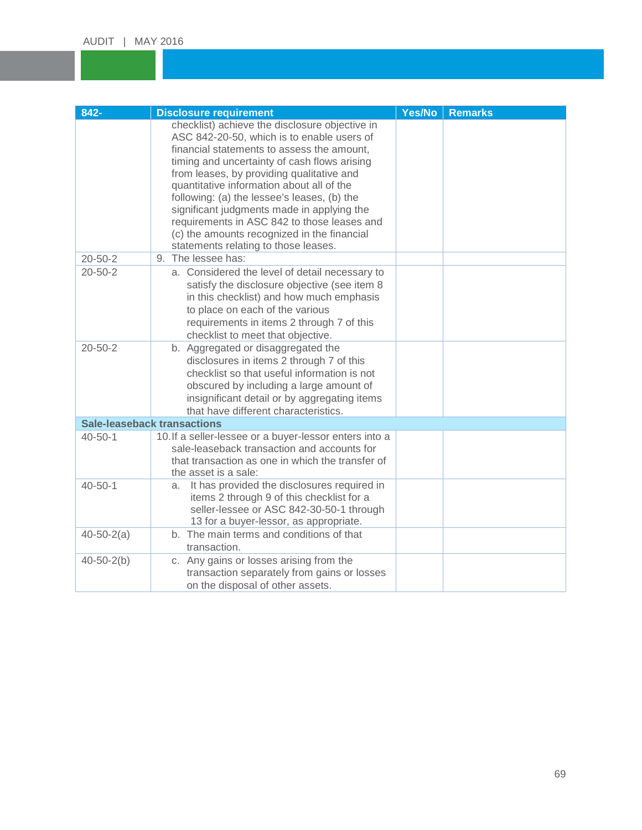| 842-             | <b>Disclosure requirement</b>                                                            | Yes/No | <b>Remarks</b> |
|------------------|------------------------------------------------------------------------------------------|--------|----------------|
|                  | checklist) achieve the disclosure objective in                                           |        |                |
|                  | ASC 842-20-50, which is to enable users of<br>financial statements to assess the amount, |        |                |
|                  | timing and uncertainty of cash flows arising                                             |        |                |
|                  | from leases, by providing qualitative and                                                |        |                |
|                  | quantitative information about all of the                                                |        |                |
|                  | following: (a) the lessee's leases, (b) the                                              |        |                |
|                  | significant judgments made in applying the                                               |        |                |
|                  | requirements in ASC 842 to those leases and                                              |        |                |
|                  | (c) the amounts recognized in the financial<br>statements relating to those leases.      |        |                |
| $20 - 50 - 2$    | 9. The lessee has:                                                                       |        |                |
| $20 - 50 - 2$    | a. Considered the level of detail necessary to                                           |        |                |
|                  | satisfy the disclosure objective (see item 8                                             |        |                |
|                  | in this checklist) and how much emphasis                                                 |        |                |
|                  | to place on each of the various                                                          |        |                |
|                  | requirements in items 2 through 7 of this                                                |        |                |
|                  | checklist to meet that objective.                                                        |        |                |
| $20 - 50 - 2$    | b. Aggregated or disaggregated the                                                       |        |                |
|                  | disclosures in items 2 through 7 of this<br>checklist so that useful information is not  |        |                |
|                  | obscured by including a large amount of                                                  |        |                |
|                  | insignificant detail or by aggregating items                                             |        |                |
|                  | that have different characteristics.                                                     |        |                |
|                  | <b>Sale-leaseback transactions</b>                                                       |        |                |
| $40 - 50 - 1$    | 10. If a seller-lessee or a buyer-lessor enters into a                                   |        |                |
|                  | sale-leaseback transaction and accounts for                                              |        |                |
|                  | that transaction as one in which the transfer of                                         |        |                |
| $40 - 50 - 1$    | the asset is a sale:<br>It has provided the disclosures required in<br>a.                |        |                |
|                  | items 2 through 9 of this checklist for a                                                |        |                |
|                  | seller-lessee or ASC 842-30-50-1 through                                                 |        |                |
|                  | 13 for a buyer-lessor, as appropriate.                                                   |        |                |
| $40 - 50 - 2(a)$ | b. The main terms and conditions of that                                                 |        |                |
|                  | transaction.                                                                             |        |                |
| $40 - 50 - 2(b)$ | c. Any gains or losses arising from the                                                  |        |                |
|                  | transaction separately from gains or losses<br>on the disposal of other assets.          |        |                |
|                  |                                                                                          |        |                |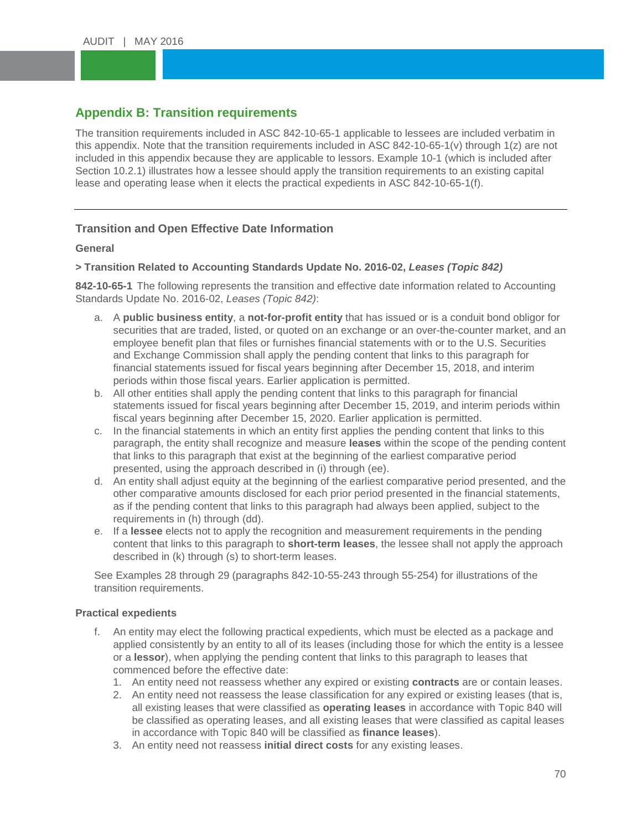# **Appendix B: Transition requirements**

The transition requirements included in ASC 842-10-65-1 applicable to lessees are included verbatim in<br>this appendix. Note that the transition requirements included in ASC 842-10-65-1(v) through 1(z) are not mention in this appendix because they are applicable to ressors. Example 10-1 (which is included are<br>Section 10.2.1) illustrates how a lessee should apply the transition requirements to an existing capital lease and operating lease when it elects the practical expedients in ASC 842-10-65-1(f).<br> The transition requirements included in ASC 842-10-65-1 applicable to lessees are included verbatim in included in this appendix because they are applicable to lessors. Example 10-1 (which is included after

### **Transition and Open Effective Date Information**

#### **General**

#### **> Transition Related to Accounting Standards Update No. 2016-02,** *Leases (Topic 842)*

**842-10-65-1** The following represents the transition and effective date information related to Accounting Standards Update No. 2016-02, *Leases (Topic 842)*:

- a. A **public business entity**, a **not-for-profit entity** that has issued or is a conduit bond obligor for securities that are traded, listed, or quoted on an exchange or an over-the-counter market, and an employee benefit plan that files or furnishes financial statements with or to the U.S. Securities and Exchange Commission shall apply the pending content that links to this paragraph for financial statements issued for fiscal years beginning after December 15, 2018, and interim periods within those fiscal years. Earlier application is permitted.
- b. All other entities shall apply the pending content that links to this paragraph for financial statements issued for fiscal years beginning after December 15, 2019, and interim periods within fiscal years beginning after December 15, 2020. Earlier application is permitted.
- c. In the financial statements in which an entity first applies the pending content that links to this paragraph, the entity shall recognize and measure **leases** within the scope of the pending content that links to this paragraph that exist at the beginning of the earliest comparative period presented, using the approach described in (i) through (ee).
- d. An entity shall adjust equity at the beginning of the earliest comparative period presented, and the other comparative amounts disclosed for each prior period presented in the financial statements, as if the pending content that links to this paragraph had always been applied, subject to the requirements in (h) through (dd).
- e. If a **lessee** elects not to apply the recognition and measurement requirements in the pending content that links to this paragraph to **short-term leases**, the lessee shall not apply the approach described in (k) through (s) to short-term leases.

See Examples 28 through 29 (paragraphs 842-10-55-243 through 55-254) for illustrations of the transition requirements.

#### **Practical expedients**

- f. An entity may elect the following practical expedients, which must be elected as a package and applied consistently by an entity to all of its leases (including those for which the entity is a lessee or a **lessor**), when applying the pending content that links to this paragraph to leases that commenced before the effective date:
	- 1. An entity need not reassess whether any expired or existing **contracts** are or contain leases.
	- 2. An entity need not reassess the lease classification for any expired or existing leases (that is, all existing leases that were classified as **operating leases** in accordance with Topic 840 will be classified as operating leases, and all existing leases that were classified as capital leases in accordance with Topic 840 will be classified as **finance leases**).
	- 3. An entity need not reassess **initial direct costs** for any existing leases.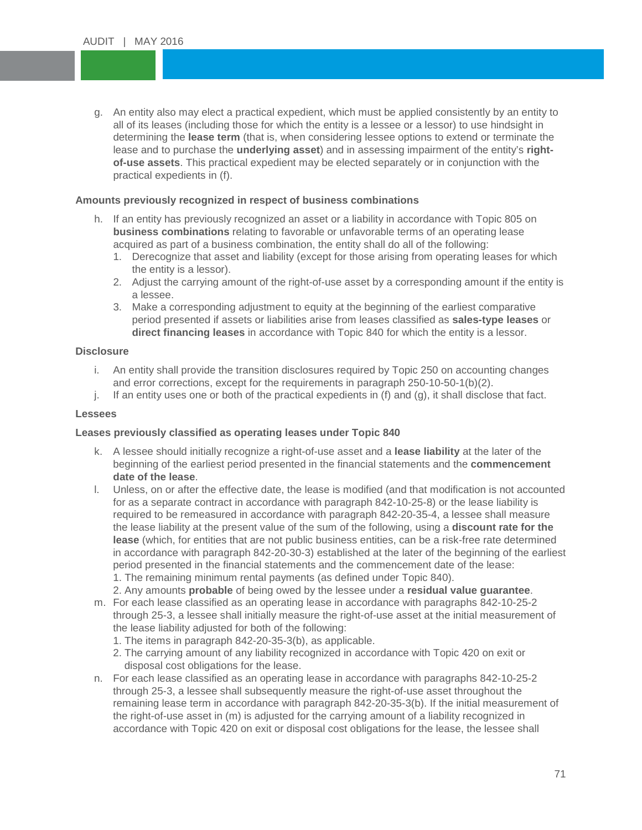g. An entity also may elect a practical expedient, which must be applied consistently by an entity to all of its leases (including those for which the entity is a lessee or a lessor) to use hindsight in determining the **lease term** (that is, when considering lessee options to extend or terminate the<br>lease and to purchase the **underlying asset**) and in assessing impairment of the entity's **rightof-use assets**. This practical expedient may be elected separately or in conjunction with the<br>practical expedients in (f). all of its leases (including those for which the entity is a lessee or a lessor) to use hindsight in determining the **lease term** (that is, when considering lessee options to extend or terminate the practical expedients in (f).

# **Amounts previously recognized in respect of business combinations**

- h. If an entity has previously recognized an asset or a liability in accordance with Topic 805 on **business combinations** relating to favorable or unfavorable terms of an operating lease acquired as part of a business combination, the entity shall do all of the following:
	- 1. Derecognize that asset and liability (except for those arising from operating leases for which the entity is a lessor).
	- 2. Adjust the carrying amount of the right-of-use asset by a corresponding amount if the entity is a lessee.
	- 3. Make a corresponding adjustment to equity at the beginning of the earliest comparative period presented if assets or liabilities arise from leases classified as **sales-type leases** or **direct financing leases** in accordance with Topic 840 for which the entity is a lessor.

#### **Disclosure**

- i. An entity shall provide the transition disclosures required by Topic 250 on accounting changes and error corrections, except for the requirements in paragraph 250-10-50-1(b)(2).
- $j.$  If an entity uses one or both of the practical expedients in (f) and (g), it shall disclose that fact.

#### **Lessees**

#### **Leases previously classified as operating leases under Topic 840**

- k. A lessee should initially recognize a right-of-use asset and a **lease liability** at the later of the beginning of the earliest period presented in the financial statements and the **commencement date of the lease**.
- l. Unless, on or after the effective date, the lease is modified (and that modification is not accounted for as a separate contract in accordance with paragraph 842-10-25-8) or the lease liability is required to be remeasured in accordance with paragraph 842-20-35-4, a lessee shall measure the lease liability at the present value of the sum of the following, using a **discount rate for the lease** (which, for entities that are not public business entities, can be a risk-free rate determined in accordance with paragraph 842-20-30-3) established at the later of the beginning of the earliest period presented in the financial statements and the commencement date of the lease: 1. The remaining minimum rental payments (as defined under Topic 840).

2. Any amounts **probable** of being owed by the lessee under a **residual value guarantee**.

- m. For each lease classified as an operating lease in accordance with paragraphs 842-10-25-2 through 25-3, a lessee shall initially measure the right-of-use asset at the initial measurement of the lease liability adjusted for both of the following:
	- 1. The items in paragraph 842-20-35-3(b), as applicable.
	- 2. The carrying amount of any liability recognized in accordance with Topic 420 on exit or disposal cost obligations for the lease.
- n. For each lease classified as an operating lease in accordance with paragraphs 842-10-25-2 through 25-3, a lessee shall subsequently measure the right-of-use asset throughout the remaining lease term in accordance with paragraph 842-20-35-3(b). If the initial measurement of the right-of-use asset in (m) is adjusted for the carrying amount of a liability recognized in accordance with Topic 420 on exit or disposal cost obligations for the lease, the lessee shall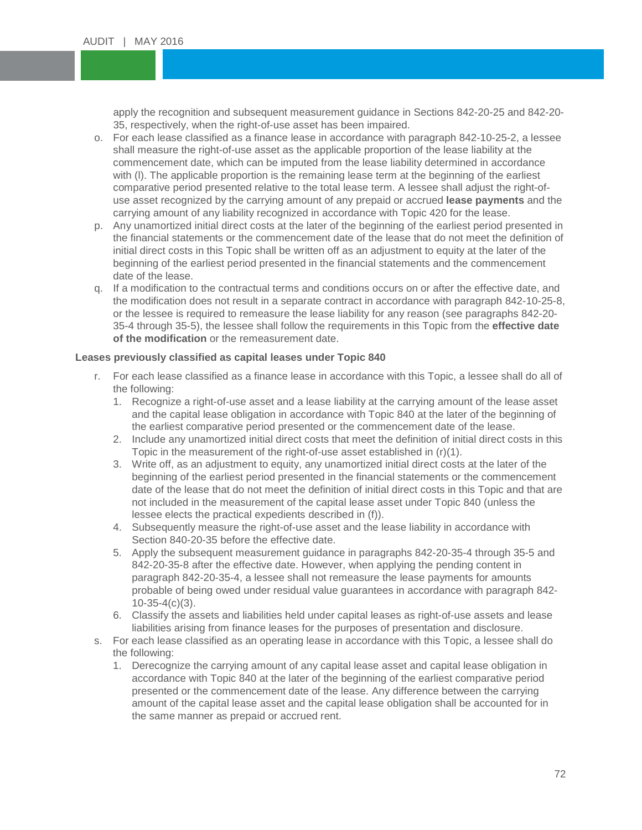apply the recognition and subsequent measurement guidance in Sections 842-20-25 and 842-20-<br>35, respectively, when the right-of-use asset has been impaired. 35, respectively, when the right-of-use asset has been impaired.

- For each lease classified as a finance lease in accordance with paragraph 842-10-25-2, a lest<br>shall measure the right-of-use asset as the applicable proportion of the lease liability at the commencement date, which can be imputed from the lease liability determined in accordance<br>with (I). The applicable proportion is the remaining lease term at the beginning of the earliest comparative period presented relative to the total lease term. A lessee shall adjust the right-of-<br>use asset recognized by the carrying amount of any prepaid or accrued **lease payments** and the o. For each lease classified as a finance lease in accordance with paragraph 842-10-25-2, a lessee commencement date, which can be imputed from the lease liability determined in accordance comparative period presented relative to the total lease term. A lessee shall adjust the right-ofcarrying amount of any liability recognized in accordance with Topic 420 for the lease.
- p. Any unamortized initial direct costs at the later of the beginning of the earliest period presented in the financial statements or the commencement date of the lease that do not meet the definition of initial direct costs in this Topic shall be written off as an adjustment to equity at the later of the beginning of the earliest period presented in the financial statements and the commencement date of the lease.
- q. If a modification to the contractual terms and conditions occurs on or after the effective date, and the modification does not result in a separate contract in accordance with paragraph 842-10-25-8, or the lessee is required to remeasure the lease liability for any reason (see paragraphs 842-20- 35-4 through 35-5), the lessee shall follow the requirements in this Topic from the **effective date of the modification** or the remeasurement date.

#### **Leases previously classified as capital leases under Topic 840**

- r. For each lease classified as a finance lease in accordance with this Topic, a lessee shall do all of the following:
	- 1. Recognize a right-of-use asset and a lease liability at the carrying amount of the lease asset and the capital lease obligation in accordance with Topic 840 at the later of the beginning of the earliest comparative period presented or the commencement date of the lease.
	- 2. Include any unamortized initial direct costs that meet the definition of initial direct costs in this Topic in the measurement of the right-of-use asset established in (r)(1).
	- 3. Write off, as an adjustment to equity, any unamortized initial direct costs at the later of the beginning of the earliest period presented in the financial statements or the commencement date of the lease that do not meet the definition of initial direct costs in this Topic and that are not included in the measurement of the capital lease asset under Topic 840 (unless the lessee elects the practical expedients described in (f)).
	- 4. Subsequently measure the right-of-use asset and the lease liability in accordance with Section 840-20-35 before the effective date.
	- 5. Apply the subsequent measurement guidance in paragraphs 842-20-35-4 through 35-5 and 842-20-35-8 after the effective date. However, when applying the pending content in paragraph 842-20-35-4, a lessee shall not remeasure the lease payments for amounts probable of being owed under residual value guarantees in accordance with paragraph 842- 10-35-4(c)(3).
	- 6. Classify the assets and liabilities held under capital leases as right-of-use assets and lease liabilities arising from finance leases for the purposes of presentation and disclosure.
- s. For each lease classified as an operating lease in accordance with this Topic, a lessee shall do the following:
	- 1. Derecognize the carrying amount of any capital lease asset and capital lease obligation in accordance with Topic 840 at the later of the beginning of the earliest comparative period presented or the commencement date of the lease. Any difference between the carrying amount of the capital lease asset and the capital lease obligation shall be accounted for in the same manner as prepaid or accrued rent.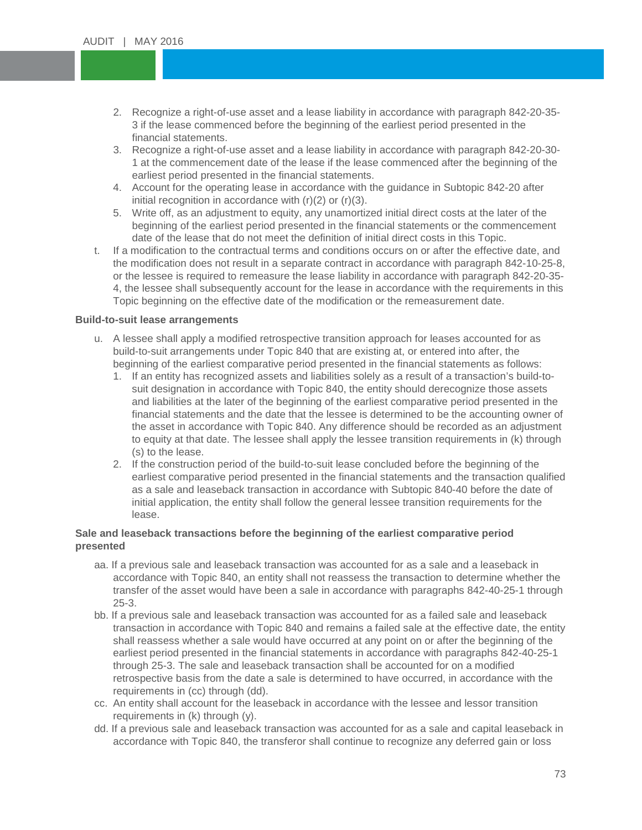- 2. Recognize a right-of-use asset and a lease liability in accordance with paragraph 842-20-35-<br>3 if the lease commenced before the beginning of the earliest period presented in the 3 if the lease commenced before the beginning of the earliest period presented in the financial statements.
- financial statements.<br>3. Recognize a right-of-use asset and a lease liability in accordance with paragraph 842-20-30-1 at the commencement date of the lease if the lease<br>earliest period presented in the financial statements. 1 at the commencement date of the lease if the lease commenced after the beginning of the
- Account for the operating lease in accordance with<br>initial recognition in accordance with (r)(2) or (r)(3). 4. Account for the operating lease in accordance with the guidance in Subtopic 842-20 after
- 5. Write off, as an adjustment to equity, any unamortized initial direct costs at the later of the beginning of the earliest period presented in the financial statements or the commencement date of the lease that do not meet the definition of initial direct costs in this Topic.
- t. If a modification to the contractual terms and conditions occurs on or after the effective date, and the modification does not result in a separate contract in accordance with paragraph 842-10-25-8, or the lessee is required to remeasure the lease liability in accordance with paragraph 842-20-35- 4, the lessee shall subsequently account for the lease in accordance with the requirements in this Topic beginning on the effective date of the modification or the remeasurement date.

## **Build-to-suit lease arrangements**

- u. A lessee shall apply a modified retrospective transition approach for leases accounted for as build-to-suit arrangements under Topic 840 that are existing at, or entered into after, the beginning of the earliest comparative period presented in the financial statements as follows:
	- 1. If an entity has recognized assets and liabilities solely as a result of a transaction's build-tosuit designation in accordance with Topic 840, the entity should derecognize those assets and liabilities at the later of the beginning of the earliest comparative period presented in the financial statements and the date that the lessee is determined to be the accounting owner of the asset in accordance with Topic 840. Any difference should be recorded as an adjustment to equity at that date. The lessee shall apply the lessee transition requirements in (k) through (s) to the lease.
	- 2. If the construction period of the build-to-suit lease concluded before the beginning of the earliest comparative period presented in the financial statements and the transaction qualified as a sale and leaseback transaction in accordance with Subtopic 840-40 before the date of initial application, the entity shall follow the general lessee transition requirements for the lease.

## **Sale and leaseback transactions before the beginning of the earliest comparative period presented**

- aa. If a previous sale and leaseback transaction was accounted for as a sale and a leaseback in accordance with Topic 840, an entity shall not reassess the transaction to determine whether the transfer of the asset would have been a sale in accordance with paragraphs 842-40-25-1 through 25-3.
- bb. If a previous sale and leaseback transaction was accounted for as a failed sale and leaseback transaction in accordance with Topic 840 and remains a failed sale at the effective date, the entity shall reassess whether a sale would have occurred at any point on or after the beginning of the earliest period presented in the financial statements in accordance with paragraphs 842-40-25-1 through 25-3. The sale and leaseback transaction shall be accounted for on a modified retrospective basis from the date a sale is determined to have occurred, in accordance with the requirements in (cc) through (dd).
- cc. An entity shall account for the leaseback in accordance with the lessee and lessor transition requirements in (k) through (y).
- dd. If a previous sale and leaseback transaction was accounted for as a sale and capital leaseback in accordance with Topic 840, the transferor shall continue to recognize any deferred gain or loss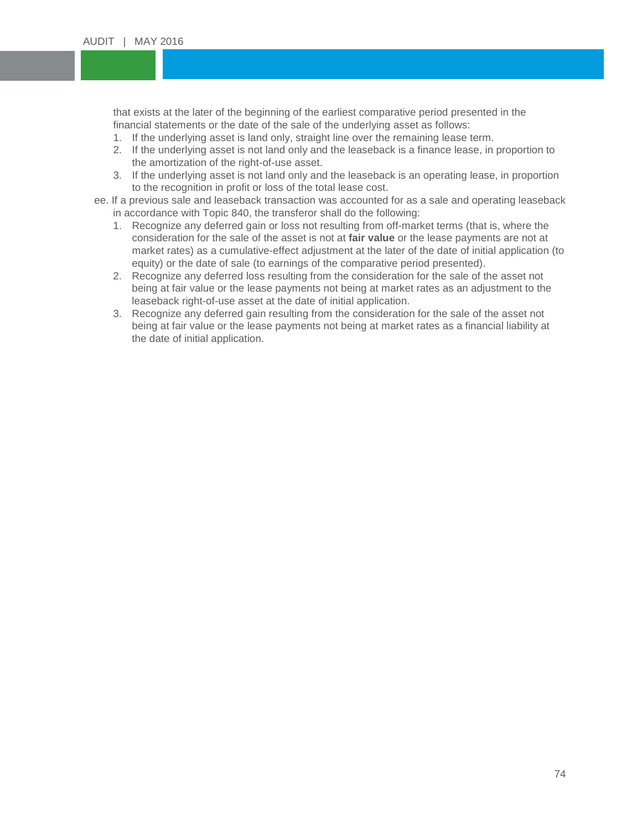that exists at the later of the beginning of the earliest comparative period presented in the<br>financial statements or the date of the sale of the underlying asset as follows: financial statements or the date of the sale of the underlying asset as follows:

- 1. If the underlying asset is land only, straight line over the remaining lease term.
- 1. If the underlying asset is land only, straight line over the remaining lease term.<br>2. If the underlying asset is not land only and the leaseback is a finance lease, in proportion to the amortization of the right-of-use asset.
- the amortization of the right-of-use asset.<br>3. If the underlying asset is not land only and the leaseback is an operating lease, in proportion to the recognition in profit or loss of the total lease cost.
- to the recognition in profit or loss of the total lease cost.<br>ee. If a previous sale and leaseback transaction was accounted for as a sale and operating leaseback in accordance with Topic 840, the transferor shall do the following:
	- 1. Recognize any deferred gain or loss not resulting from off-market terms (that is, where the consideration for the sale of the asset is not at **fair value** or the lease payments are not at market rates) as a cumulative-effect adjustment at the later of the date of initial application (to equity) or the date of sale (to earnings of the comparative period presented).
	- 2. Recognize any deferred loss resulting from the consideration for the sale of the asset not being at fair value or the lease payments not being at market rates as an adjustment to the leaseback right-of-use asset at the date of initial application.
	- 3. Recognize any deferred gain resulting from the consideration for the sale of the asset not being at fair value or the lease payments not being at market rates as a financial liability at the date of initial application.